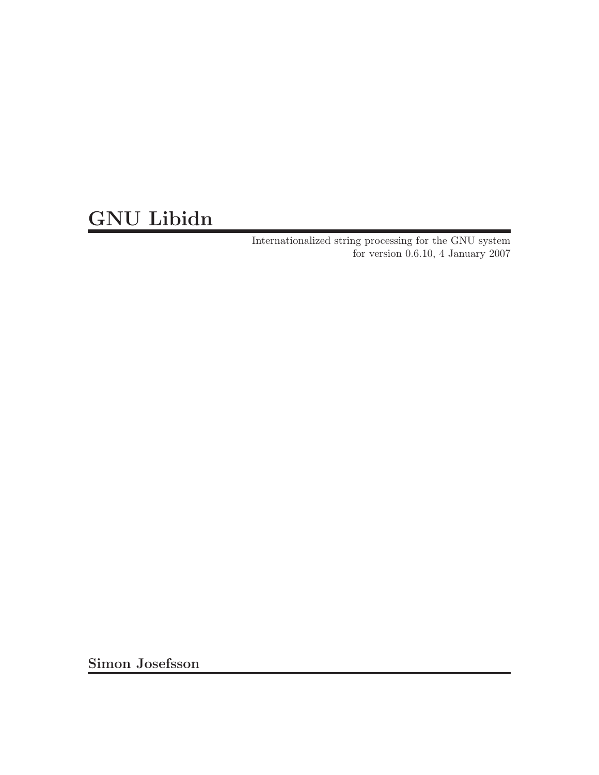# GNU Libidn

Internationalized string processing for the GNU system for version 0.6.10, 4 January 2007

Simon Josefsson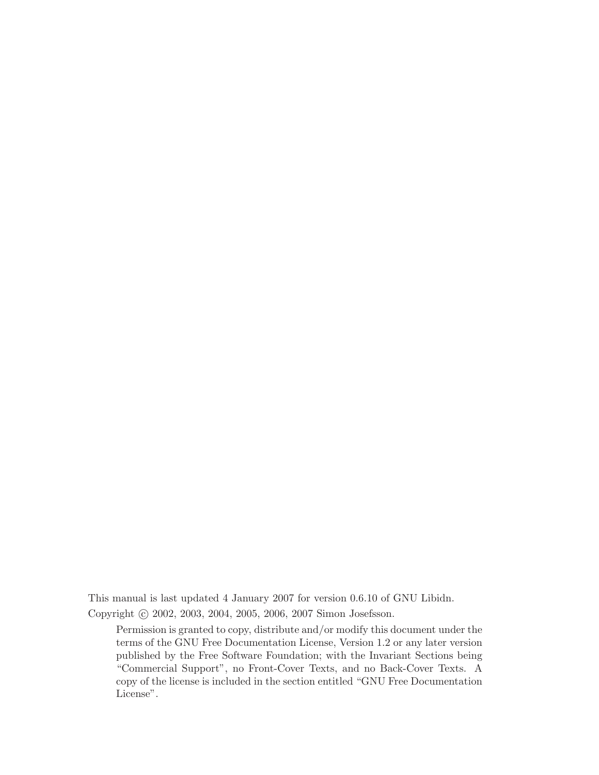This manual is last updated 4 January 2007 for version 0.6.10 of GNU Libidn. Copyright © 2002, 2003, 2004, 2005, 2006, 2007 Simon Josefsson.

Permission is granted to copy, distribute and/or modify this document under the terms of the GNU Free Documentation License, Version 1.2 or any later version published by the Free Software Foundation; with the Invariant Sections being "Commercial Support", no Front-Cover Texts, and no Back-Cover Texts. A copy of the license is included in the section entitled "GNU Free Documentation License".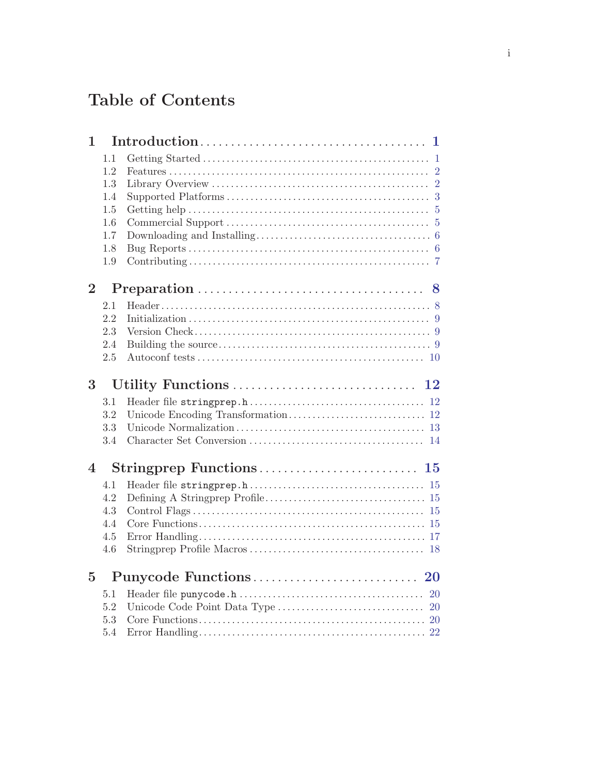# Table of Contents

| 1              |     |           |
|----------------|-----|-----------|
|                | 1.1 |           |
|                | 1.2 |           |
|                | 1.3 |           |
|                | 1.4 |           |
|                | 1.5 |           |
|                | 1.6 |           |
|                | 1.7 |           |
|                | 1.8 |           |
|                | 1.9 |           |
| $\overline{2}$ |     |           |
|                | 2.1 |           |
|                | 2.2 |           |
|                | 2.3 |           |
|                | 2.4 |           |
|                | 2.5 |           |
| 3              |     | $\bf{12}$ |
|                | 3.1 |           |
|                | 3.2 |           |
|                | 3.3 |           |
|                | 3.4 |           |
| $\overline{4}$ |     |           |
|                | 4.1 |           |
|                | 4.2 |           |
|                | 4.3 |           |
|                | 4.4 |           |
|                | 4.5 |           |
|                | 4.6 |           |
| $\overline{5}$ |     |           |
|                | 5.1 |           |
|                | 5.2 |           |
|                |     |           |
|                | 5.3 |           |
|                | 5.4 |           |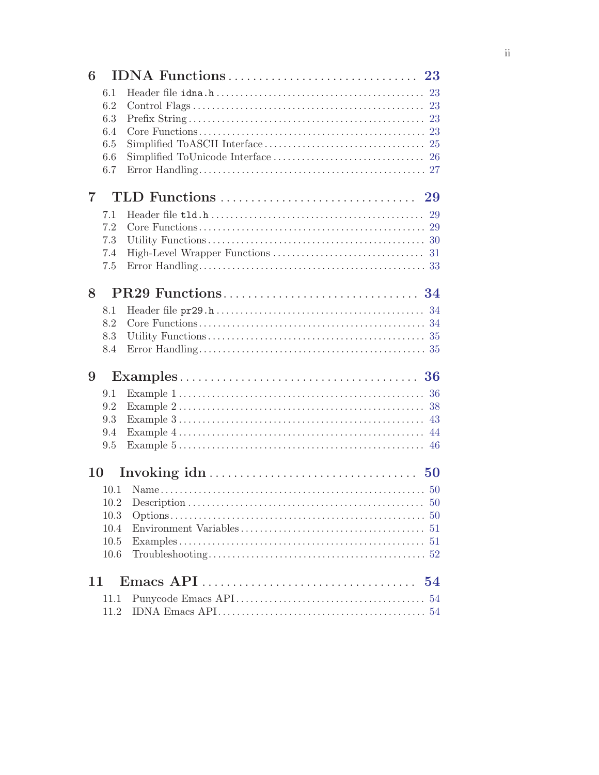| 6              |            |    |
|----------------|------------|----|
|                | 6.1        |    |
|                | 6.2        |    |
|                | 6.3        |    |
|                | 6.4        |    |
|                | 6.5<br>6.6 |    |
|                | 6.7        |    |
|                |            |    |
| $\overline{7}$ |            |    |
|                | 7.1        |    |
|                | 7.2        |    |
|                | 7.3        |    |
|                | 7.4        |    |
|                | 7.5        |    |
| 8              |            |    |
|                | 8.1        |    |
|                | 8.2        |    |
|                | 8.3        |    |
|                | 8.4        |    |
| 9              |            |    |
|                | 9.1        |    |
|                | 9.2        |    |
|                | 9.3        |    |
|                | 9.4        |    |
|                | 9.5        |    |
| 10             |            |    |
|                | 10.1       |    |
|                | 10.2       |    |
|                | 10.3       |    |
|                | 10.4       |    |
|                | 10.5       |    |
|                | 10.6       |    |
| 11             |            | 54 |
|                | 11.1       |    |
|                | 11.2       |    |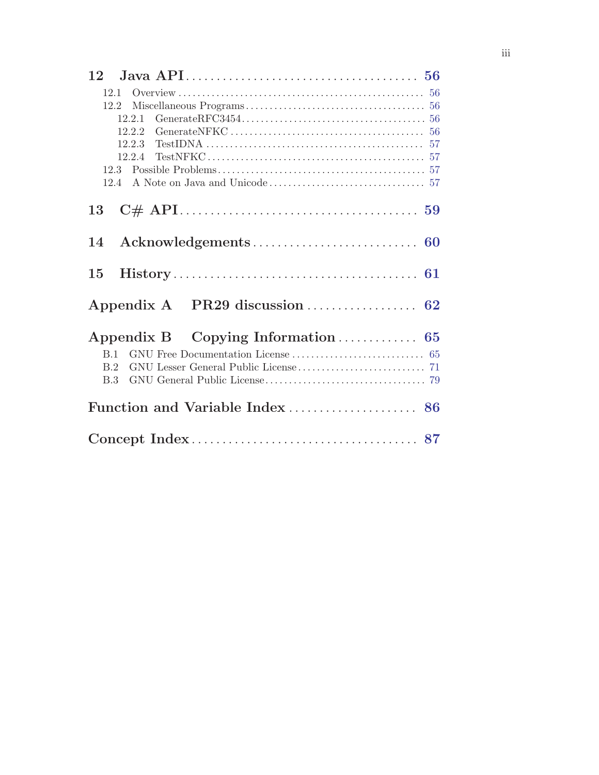| 12.2.1 |
|--------|
|        |
|        |
|        |
|        |
|        |
|        |
| 13     |
|        |
|        |
|        |
|        |
| B.1    |
| B.2    |
|        |
|        |
|        |
|        |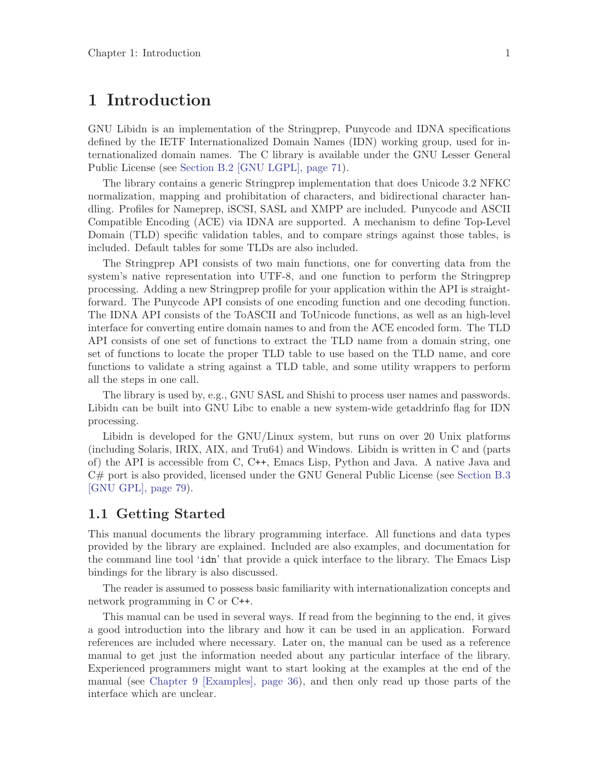# <span id="page-5-0"></span>1 Introduction

GNU Libidn is an implementation of the Stringprep, Punycode and IDNA specifications defined by the IETF Internationalized Domain Names (IDN) working group, used for internationalized domain names. The C library is available under the GNU Lesser General Public License (see [Section B.2 \[GNU LGPL\], page 71\)](#page-75-1).

The library contains a generic Stringprep implementation that does Unicode 3.2 NFKC normalization, mapping and prohibitation of characters, and bidirectional character handling. Profiles for Nameprep, iSCSI, SASL and XMPP are included. Punycode and ASCII Compatible Encoding (ACE) via IDNA are supported. A mechanism to define Top-Level Domain (TLD) specific validation tables, and to compare strings against those tables, is included. Default tables for some TLDs are also included.

The Stringprep API consists of two main functions, one for converting data from the system's native representation into UTF-8, and one function to perform the Stringprep processing. Adding a new Stringprep profile for your application within the API is straightforward. The Punycode API consists of one encoding function and one decoding function. The IDNA API consists of the ToASCII and ToUnicode functions, as well as an high-level interface for converting entire domain names to and from the ACE encoded form. The TLD API consists of one set of functions to extract the TLD name from a domain string, one set of functions to locate the proper TLD table to use based on the TLD name, and core functions to validate a string against a TLD table, and some utility wrappers to perform all the steps in one call.

The library is used by, e.g., GNU SASL and Shishi to process user names and passwords. Libidn can be built into GNU Libc to enable a new system-wide getaddrinfo flag for IDN processing.

Libidn is developed for the GNU/Linux system, but runs on over 20 Unix platforms (including Solaris, IRIX, AIX, and Tru64) and Windows. Libidn is written in C and (parts of) the API is accessible from C, C++, Emacs Lisp, Python and Java. A native Java and C# port is also provided, licensed under the GNU General Public License (see [Section B.3](#page-83-1) [\[GNU GPL\], page 79](#page-83-1)).

### 1.1 Getting Started

This manual documents the library programming interface. All functions and data types provided by the library are explained. Included are also examples, and documentation for the command line tool 'idn' that provide a quick interface to the library. The Emacs Lisp bindings for the library is also discussed.

The reader is assumed to possess basic familiarity with internationalization concepts and network programming in C or C++.

This manual can be used in several ways. If read from the beginning to the end, it gives a good introduction into the library and how it can be used in an application. Forward references are included where necessary. Later on, the manual can be used as a reference manual to get just the information needed about any particular interface of the library. Experienced programmers might want to start looking at the examples at the end of the manual (see [Chapter 9 \[Examples\], page 36](#page-40-0)), and then only read up those parts of the interface which are unclear.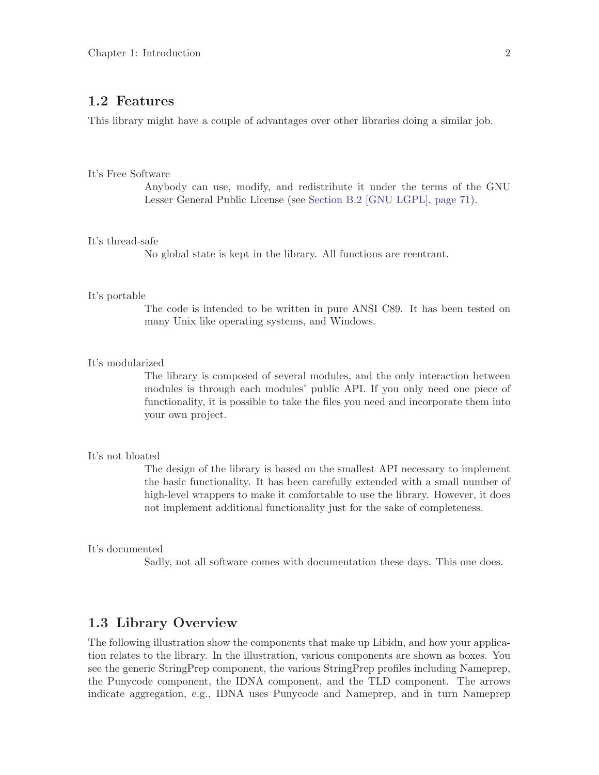### <span id="page-6-0"></span>1.2 Features

This library might have a couple of advantages over other libraries doing a similar job.

#### It's Free Software

Anybody can use, modify, and redistribute it under the terms of the GNU Lesser General Public License (see [Section B.2 \[GNU LGPL\], page 71](#page-75-1)).

#### It's thread-safe

No global state is kept in the library. All functions are reentrant.

#### It's portable

The code is intended to be written in pure ANSI C89. It has been tested on many Unix like operating systems, and Windows.

#### It's modularized

The library is composed of several modules, and the only interaction between modules is through each modules' public API. If you only need one piece of functionality, it is possible to take the files you need and incorporate them into your own project.

### It's not bloated

The design of the library is based on the smallest API necessary to implement the basic functionality. It has been carefully extended with a small number of high-level wrappers to make it comfortable to use the library. However, it does not implement additional functionality just for the sake of completeness.

#### It's documented

Sadly, not all software comes with documentation these days. This one does.

### 1.3 Library Overview

The following illustration show the components that make up Libidn, and how your application relates to the library. In the illustration, various components are shown as boxes. You see the generic StringPrep component, the various StringPrep profiles including Nameprep, the Punycode component, the IDNA component, and the TLD component. The arrows indicate aggregation, e.g., IDNA uses Punycode and Nameprep, and in turn Nameprep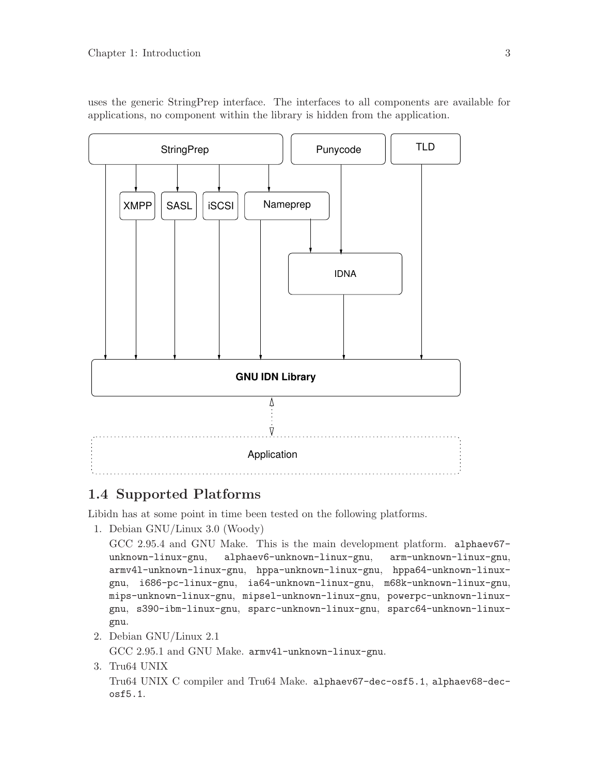<span id="page-7-0"></span>uses the generic StringPrep interface. The interfaces to all components are available for applications, no component within the library is hidden from the application.



### 1.4 Supported Platforms

Libidn has at some point in time been tested on the following platforms.

1. Debian GNU/Linux 3.0 (Woody)

```
GCC 2.95.4 and GNU Make. This is the main development platform. alphaev67-
unknown-linux-gnu, alphaev6-unknown-linux-gnu, arm-unknown-linux-gnu,
armv4l-unknown-linux-gnu, hppa-unknown-linux-gnu, hppa64-unknown-linux-
gnu, i686-pc-linux-gnu, ia64-unknown-linux-gnu, m68k-unknown-linux-gnu,
mips-unknown-linux-gnu, mipsel-unknown-linux-gnu, powerpc-unknown-linux-
gnu, s390-ibm-linux-gnu, sparc-unknown-linux-gnu, sparc64-unknown-linux-
gnu.
```
2. Debian GNU/Linux 2.1

GCC 2.95.1 and GNU Make. armv4l-unknown-linux-gnu.

3. Tru64 UNIX

Tru64 UNIX C compiler and Tru64 Make. alphaev67-dec-osf5.1, alphaev68-decosf5.1.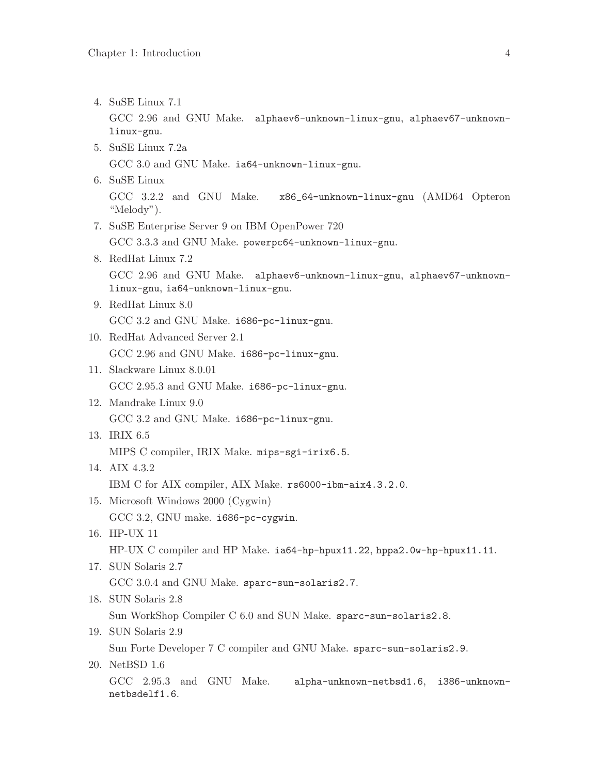4. SuSE Linux 7.1 GCC 2.96 and GNU Make. alphaev6-unknown-linux-gnu, alphaev67-unknownlinux-gnu. 5. SuSE Linux 7.2a GCC 3.0 and GNU Make. ia64-unknown-linux-gnu. 6. SuSE Linux GCC 3.2.2 and GNU Make. x86\_64-unknown-linux-gnu (AMD64 Opteron "Melody"). 7. SuSE Enterprise Server 9 on IBM OpenPower 720 GCC 3.3.3 and GNU Make. powerpc64-unknown-linux-gnu. 8. RedHat Linux 7.2 GCC 2.96 and GNU Make. alphaev6-unknown-linux-gnu, alphaev67-unknownlinux-gnu, ia64-unknown-linux-gnu. 9. RedHat Linux 8.0 GCC 3.2 and GNU Make. i686-pc-linux-gnu. 10. RedHat Advanced Server 2.1 GCC 2.96 and GNU Make. i686-pc-linux-gnu. 11. Slackware Linux 8.0.01 GCC 2.95.3 and GNU Make. i686-pc-linux-gnu. 12. Mandrake Linux 9.0 GCC 3.2 and GNU Make. i686-pc-linux-gnu. 13. IRIX 6.5 MIPS C compiler, IRIX Make. mips-sgi-irix6.5. 14. AIX 4.3.2 IBM C for AIX compiler, AIX Make. rs6000-ibm-aix4.3.2.0. 15. Microsoft Windows 2000 (Cygwin) GCC 3.2, GNU make. i686-pc-cygwin. 16. HP-UX 11 HP-UX C compiler and HP Make. ia64-hp-hpux11.22, hppa2.0w-hp-hpux11.11. 17. SUN Solaris 2.7 GCC 3.0.4 and GNU Make. sparc-sun-solaris2.7. 18. SUN Solaris 2.8 Sun WorkShop Compiler C 6.0 and SUN Make. sparc-sun-solaris2.8. 19. SUN Solaris 2.9 Sun Forte Developer 7 C compiler and GNU Make. sparc-sun-solaris2.9. 20. NetBSD 1.6 GCC 2.95.3 and GNU Make. alpha-unknown-netbsd1.6, i386-unknownnetbsdelf1.6.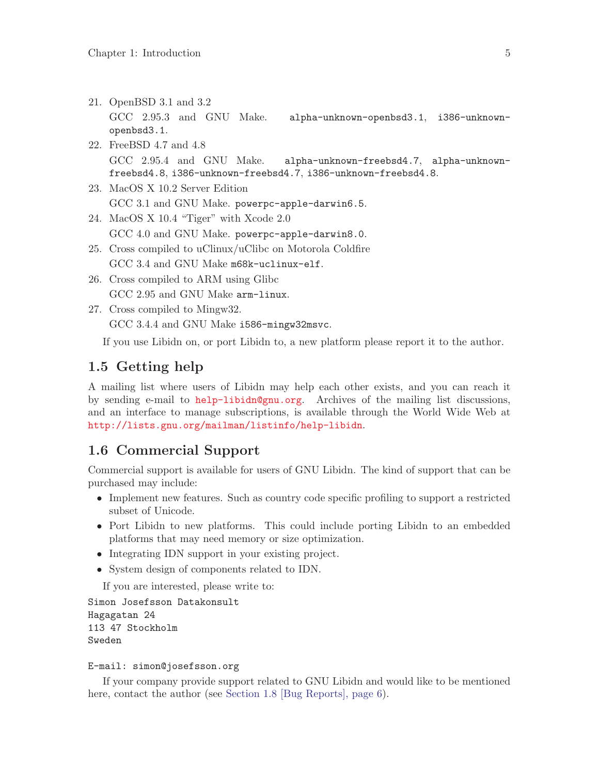- <span id="page-9-0"></span>21. OpenBSD 3.1 and 3.2 GCC 2.95.3 and GNU Make. alpha-unknown-openbsd3.1, i386-unknownopenbsd3.1.
- 22. FreeBSD 4.7 and 4.8 GCC 2.95.4 and GNU Make. alpha-unknown-freebsd4.7, alpha-unknownfreebsd4.8, i386-unknown-freebsd4.7, i386-unknown-freebsd4.8.
- 23. MacOS X 10.2 Server Edition GCC 3.1 and GNU Make. powerpc-apple-darwin6.5.
- 24. MacOS X 10.4 "Tiger" with Xcode 2.0 GCC 4.0 and GNU Make. powerpc-apple-darwin8.0.
- 25. Cross compiled to uClinux/uClibc on Motorola Coldfire GCC 3.4 and GNU Make m68k-uclinux-elf.
- 26. Cross compiled to ARM using Glibc GCC 2.95 and GNU Make arm-linux.
- 27. Cross compiled to Mingw32. GCC 3.4.4 and GNU Make i586-mingw32msvc.

If you use Libidn on, or port Libidn to, a new platform please report it to the author.

### 1.5 Getting help

A mailing list where users of Libidn may help each other exists, and you can reach it by sending e-mail to [help-libidn@gnu.org](mailto:help-libidn@gnu.org). Archives of the mailing list discussions, and an interface to manage subscriptions, is available through the World Wide Web at <http://lists.gnu.org/mailman/listinfo/help-libidn>.

### 1.6 Commercial Support

Commercial support is available for users of GNU Libidn. The kind of support that can be purchased may include:

- Implement new features. Such as country code specific profiling to support a restricted subset of Unicode.
- Port Libidn to new platforms. This could include porting Libidn to an embedded platforms that may need memory or size optimization.
- Integrating IDN support in your existing project.
- System design of components related to IDN.

If you are interested, please write to:

```
Simon Josefsson Datakonsult
Hagagatan 24
113 47 Stockholm
Sweden
```
#### E-mail: simon@josefsson.org

If your company provide support related to GNU Libidn and would like to be mentioned here, contact the author (see [Section 1.8 \[Bug Reports\], page 6\)](#page-10-1).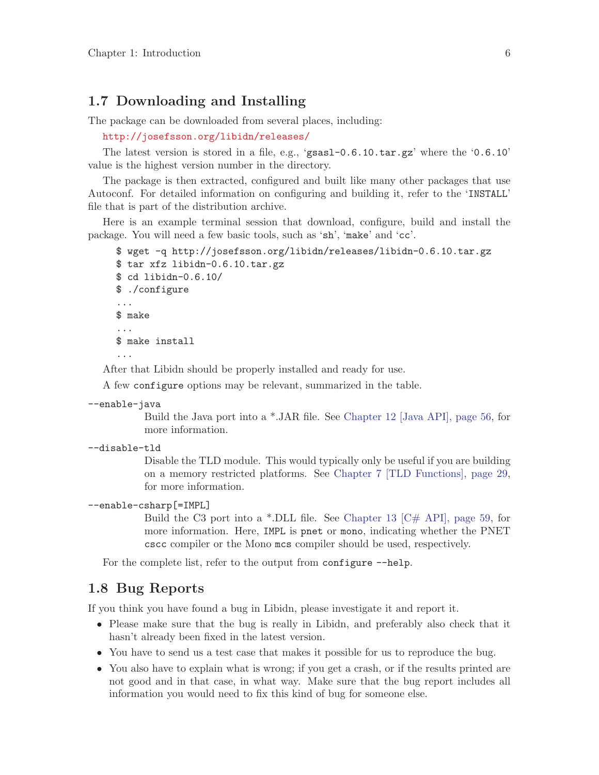### <span id="page-10-0"></span>1.7 Downloading and Installing

The package can be downloaded from several places, including:

<http://josefsson.org/libidn/releases/>

The latest version is stored in a file, e.g., 'gsasl-0.6.10.tar.gz' where the '0.6.10' value is the highest version number in the directory.

The package is then extracted, configured and built like many other packages that use Autoconf. For detailed information on configuring and building it, refer to the 'INSTALL' file that is part of the distribution archive.

Here is an example terminal session that download, configure, build and install the package. You will need a few basic tools, such as 'sh', 'make' and 'cc'.

```
$ wget -q http://josefsson.org/libidn/releases/libidn-0.6.10.tar.gz
$ tar xfz libidn-0.6.10.tar.gz
$ cd libidn-0.6.10/
$ ./configure
...
$ make
...
$ make install
...
```
After that Libidn should be properly installed and ready for use.

A few configure options may be relevant, summarized in the table.

```
--enable-java
```
Build the Java port into a \*.JAR file. See [Chapter 12 \[Java API\], page 56](#page-60-0), for more information.

--disable-tld

Disable the TLD module. This would typically only be useful if you are building on a memory restricted platforms. See [Chapter 7 \[TLD Functions\], page 29,](#page-33-0) for more information.

#### --enable-csharp[=IMPL]

Build the C3 port into a \*.DLL file. See Chapter 13  $\left[\mathbb{C}^{\#}$  API, page 59, for more information. Here, IMPL is pnet or mono, indicating whether the PNET cscc compiler or the Mono mcs compiler should be used, respectively.

For the complete list, refer to the output from configure  $-\text{help.}$ 

### <span id="page-10-1"></span>1.8 Bug Reports

If you think you have found a bug in Libidn, please investigate it and report it.

- Please make sure that the bug is really in Libidn, and preferably also check that it hasn't already been fixed in the latest version.
- You have to send us a test case that makes it possible for us to reproduce the bug.
- You also have to explain what is wrong; if you get a crash, or if the results printed are not good and in that case, in what way. Make sure that the bug report includes all information you would need to fix this kind of bug for someone else.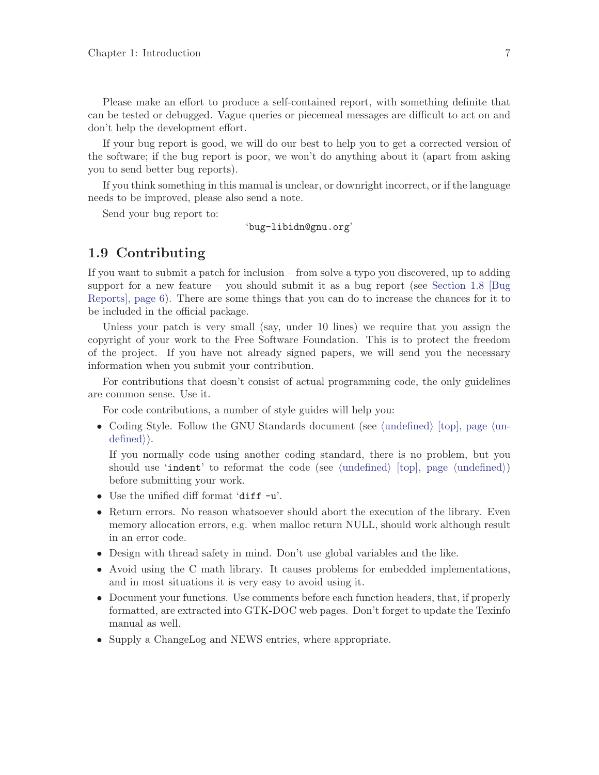<span id="page-11-0"></span>Please make an effort to produce a self-contained report, with something definite that can be tested or debugged. Vague queries or piecemeal messages are difficult to act on and don't help the development effort.

If your bug report is good, we will do our best to help you to get a corrected version of the software; if the bug report is poor, we won't do anything about it (apart from asking you to send better bug reports).

If you think something in this manual is unclear, or downright incorrect, or if the language needs to be improved, please also send a note.

Send your bug report to:

'bug-libidn@gnu.org'

### 1.9 Contributing

If you want to submit a patch for inclusion – from solve a typo you discovered, up to adding support for a new feature – you should submit it as a bug report (see [Section 1.8 \[Bug](#page-10-1) [Reports\], page 6](#page-10-1)). There are some things that you can do to increase the chances for it to be included in the official package.

Unless your patch is very small (say, under 10 lines) we require that you assign the copyright of your work to the Free Software Foundation. This is to protect the freedom of the project. If you have not already signed papers, we will send you the necessary information when you submit your contribution.

For contributions that doesn't consist of actual programming code, the only guidelines are common sense. Use it.

For code contributions, a number of style guides will help you:

• Coding Style. Follow the GNU Standards document (see  $\langle$ undefined $\rangle$  [top], page  $\langle$ un- $\langle \text{defined} \rangle$ .

If you normally code using another coding standard, there is no problem, but you should use 'indent' to reformat the code (see  $\langle$ undefined $\rangle$  [top], page  $\langle$ undefined $\rangle$ ) before submitting your work.

- Use the unified diff format 'diff -u'.
- Return errors. No reason whatsoever should abort the execution of the library. Even memory allocation errors, e.g. when malloc return NULL, should work although result in an error code.
- Design with thread safety in mind. Don't use global variables and the like.
- Avoid using the C math library. It causes problems for embedded implementations, and in most situations it is very easy to avoid using it.
- Document your functions. Use comments before each function headers, that, if properly formatted, are extracted into GTK-DOC web pages. Don't forget to update the Texinfo manual as well.
- Supply a ChangeLog and NEWS entries, where appropriate.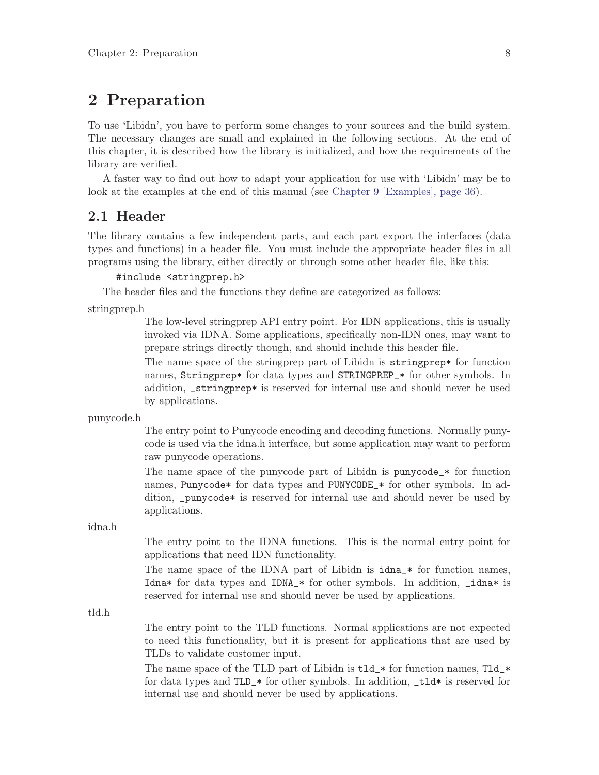# <span id="page-12-0"></span>2 Preparation

To use 'Libidn', you have to perform some changes to your sources and the build system. The necessary changes are small and explained in the following sections. At the end of this chapter, it is described how the library is initialized, and how the requirements of the library are verified.

A faster way to find out how to adapt your application for use with 'Libidn' may be to look at the examples at the end of this manual (see [Chapter 9 \[Examples\], page 36](#page-40-0)).

### 2.1 Header

The library contains a few independent parts, and each part export the interfaces (data types and functions) in a header file. You must include the appropriate header files in all programs using the library, either directly or through some other header file, like this:

#### #include <stringprep.h>

The header files and the functions they define are categorized as follows:

stringprep.h

The low-level stringprep API entry point. For IDN applications, this is usually invoked via IDNA. Some applications, specifically non-IDN ones, may want to prepare strings directly though, and should include this header file.

The name space of the stringprep part of Libidn is stringprep\* for function names, Stringprep\* for data types and STRINGPREP\_\* for other symbols. In addition, \_stringprep\* is reserved for internal use and should never be used by applications.

punycode.h

The entry point to Punycode encoding and decoding functions. Normally punycode is used via the idna.h interface, but some application may want to perform raw punycode operations.

The name space of the punycode part of Libidn is punycode\_\* for function names, Punycode\* for data types and PUNYCODE\_\* for other symbols. In addition, \_punycode\* is reserved for internal use and should never be used by applications.

idna.h

The entry point to the IDNA functions. This is the normal entry point for applications that need IDN functionality.

The name space of the IDNA part of Libidn is idna\_\* for function names, Idna\* for data types and IDNA\_\* for other symbols. In addition, \_idna\* is reserved for internal use and should never be used by applications.

tld.h

The entry point to the TLD functions. Normal applications are not expected to need this functionality, but it is present for applications that are used by TLDs to validate customer input.

The name space of the TLD part of Libidn is  $tld$   $*$  for function names, Tld  $*$ for data types and TLD\_\* for other symbols. In addition, \_tld\* is reserved for internal use and should never be used by applications.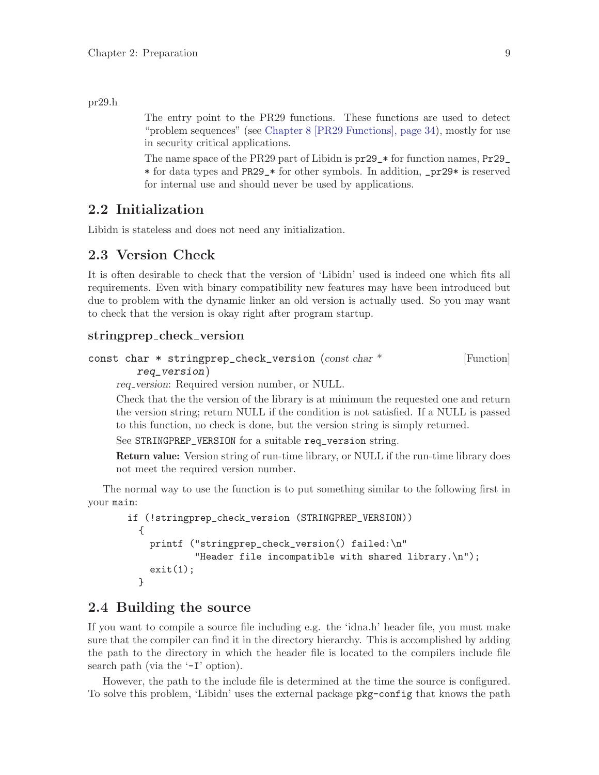#### <span id="page-13-0"></span>pr29.h

The entry point to the PR29 functions. These functions are used to detect "problem sequences" (see [Chapter 8 \[PR29 Functions\], page 34](#page-38-0)), mostly for use in security critical applications.

The name space of the PR29 part of Libidn is pr29\_\* for function names, Pr29\_ \* for data types and PR29\_\* for other symbols. In addition, \_pr29\* is reserved for internal use and should never be used by applications.

### 2.2 Initialization

Libidn is stateless and does not need any initialization.

### 2.3 Version Check

It is often desirable to check that the version of 'Libidn' used is indeed one which fits all requirements. Even with binary compatibility new features may have been introduced but due to problem with the dynamic linker an old version is actually used. So you may want to check that the version is okay right after program startup.

### stringprep check version

```
const char * stringprep_check_version (const char * [Function]
       req_version)
```
req version: Required version number, or NULL.

Check that the the version of the library is at minimum the requested one and return the version string; return NULL if the condition is not satisfied. If a NULL is passed to this function, no check is done, but the version string is simply returned.

See STRINGPREP\_VERSION for a suitable req\_version string.

Return value: Version string of run-time library, or NULL if the run-time library does not meet the required version number.

The normal way to use the function is to put something similar to the following first in your main:

```
if (!stringprep_check_version (STRINGPREP_VERSION))
  {
   printf ("stringprep_check_version() failed:\n"
            "Header file incompatible with shared library.\ln");
    exit(1);}
```
### 2.4 Building the source

If you want to compile a source file including e.g. the 'idna.h' header file, you must make sure that the compiler can find it in the directory hierarchy. This is accomplished by adding the path to the directory in which the header file is located to the compilers include file search path (via the  $-1$  option).

However, the path to the include file is determined at the time the source is configured. To solve this problem, 'Libidn' uses the external package pkg-config that knows the path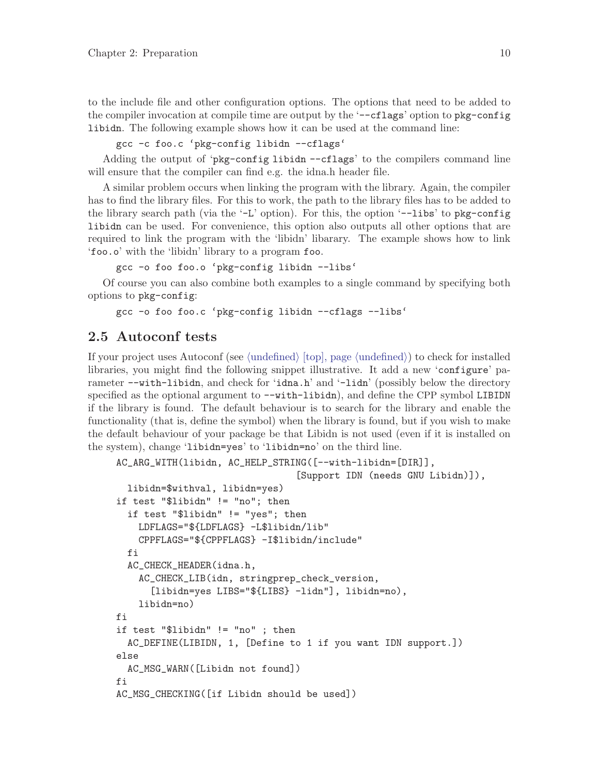<span id="page-14-0"></span>to the include file and other configuration options. The options that need to be added to the compiler invocation at compile time are output by the '--cflags' option to pkg-config libidn. The following example shows how it can be used at the command line:

gcc -c foo.c 'pkg-config libidn --cflags'

Adding the output of 'pkg-config libidn --cflags' to the compilers command line will ensure that the compiler can find e.g. the idna.h header file.

A similar problem occurs when linking the program with the library. Again, the compiler has to find the library files. For this to work, the path to the library files has to be added to the library search path (via the  $-L'$  option). For this, the option  $\text{-}$ -libs' to pkg-config libidn can be used. For convenience, this option also outputs all other options that are required to link the program with the 'libidn' libarary. The example shows how to link 'foo.o' with the 'libidn' library to a program foo.

```
gcc -o foo foo.o 'pkg-config libidn --libs'
```
Of course you can also combine both examples to a single command by specifying both options to pkg-config:

gcc -o foo foo.c 'pkg-config libidn --cflags --libs'

### 2.5 Autoconf tests

If your project uses Autoconf (see  $\langle$ undefined $\rangle$  [top], page  $\langle$ undefined $\rangle$ ] to check for installed libraries, you might find the following snippet illustrative. It add a new 'configure' parameter --with-libidn, and check for 'idna.h' and '-lidn' (possibly below the directory specified as the optional argument to  $-\text{with-libidn}$ , and define the CPP symbol LIBIDN if the library is found. The default behaviour is to search for the library and enable the functionality (that is, define the symbol) when the library is found, but if you wish to make the default behaviour of your package be that Libidn is not used (even if it is installed on the system), change 'libidn=yes' to 'libidn=no' on the third line.

```
AC_ARG_WITH(libidn, AC_HELP_STRING([--with-libidn=[DIR]],
                                 [Support IDN (needs GNU Libidn)]),
  libidn=$withval, libidn=yes)
if test "$libidn" != "no"; then
  if test "$libidn" != "yes"; then
    LDFLAGS="${LDFLAGS} -L$libidn/lib"
    CPPFLAGS="${CPPFLAGS} -I$libidn/include"
  fi
  AC_CHECK_HEADER(idna.h,
    AC_CHECK_LIB(idn, stringprep_check_version,
      [libidn=yes LIBS="${LIBS} -lidn"], libidn=no),
   libidn=no)
fi
if test "$libidn" != "no" ; then
  AC_DEFINE(LIBIDN, 1, [Define to 1 if you want IDN support.])
else
  AC_MSG_WARN([Libidn not found])
fi
AC_MSG_CHECKING([if Libidn should be used])
```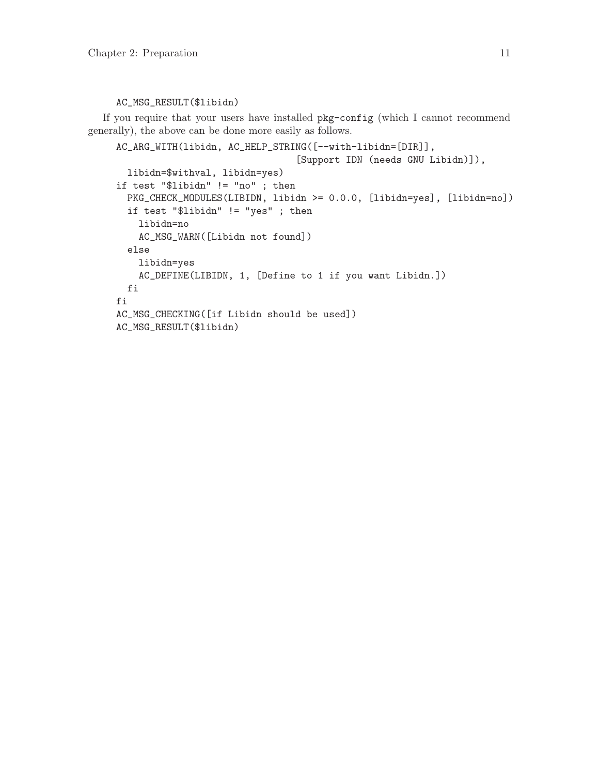#### AC\_MSG\_RESULT(\$libidn)

If you require that your users have installed pkg-config (which I cannot recommend generally), the above can be done more easily as follows.

```
AC_ARG_WITH(libidn, AC_HELP_STRING([--with-libidn=[DIR]],
                                [Support IDN (needs GNU Libidn)]),
 libidn=$withval, libidn=yes)
if test "$libidn" != "no" ; then
 PKG_CHECK_MODULES(LIBIDN, libidn >= 0.0.0, [libidn=yes], [libidn=no])
  if test "$libidn" != "yes" ; then
   libidn=no
   AC_MSG_WARN([Libidn not found])
 else
   libidn=yes
   AC_DEFINE(LIBIDN, 1, [Define to 1 if you want Libidn.])
 fi
fi
AC_MSG_CHECKING([if Libidn should be used])
AC_MSG_RESULT($libidn)
```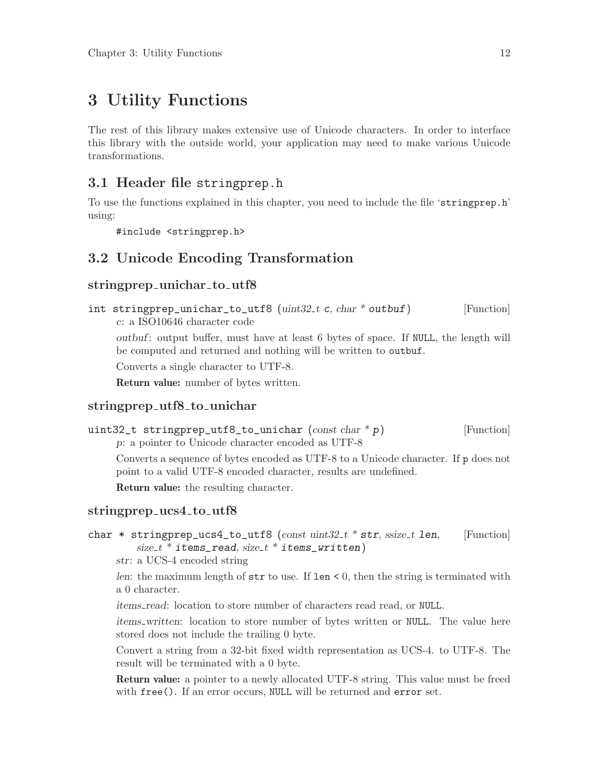# <span id="page-16-0"></span>3 Utility Functions

The rest of this library makes extensive use of Unicode characters. In order to interface this library with the outside world, your application may need to make various Unicode transformations.

### 3.1 Header file stringprep.h

To use the functions explained in this chapter, you need to include the file 'stringprep.h' using:

#include <stringprep.h>

### 3.2 Unicode Encoding Transformation

### stringprep\_unichar\_to\_utf8

```
int stringprep_unichar_to_utf8 (uint32_t c, char * outbuf) [Function]
     c: a ISO10646 character code
```
outbuf : output buffer, must have at least 6 bytes of space. If NULL, the length will be computed and returned and nothing will be written to outbuf.

Converts a single character to UTF-8.

Return value: number of bytes written.

#### stringprep\_utf8\_to\_unichar

```
uint32_t stringprep_utf8_to_unichar (const \ char * p) [Function]
    p: a pointer to Unicode character encoded as UTF-8
```
Converts a sequence of bytes encoded as UTF-8 to a Unicode character. If p does not point to a valid UTF-8 encoded character, results are undefined.

Return value: the resulting character.

#### stringprep\_ucs4\_to\_utf8

```
char * stringprep_ucs4_to_utf8 (const uint32_t * str, ssize_t len, [Function]
         size_t * items\_read, size_t * items\_written)
```
str: a UCS-4 encoded string

len: the maximum length of  $str$  to use. If  $len < 0$ , then the string is terminated with a 0 character.

items read: location to store number of characters read read, or NULL.

items written: location to store number of bytes written or NULL. The value here stored does not include the trailing 0 byte.

Convert a string from a 32-bit fixed width representation as UCS-4. to UTF-8. The result will be terminated with a 0 byte.

Return value: a pointer to a newly allocated UTF-8 string. This value must be freed with free(). If an error occurs, NULL will be returned and error set.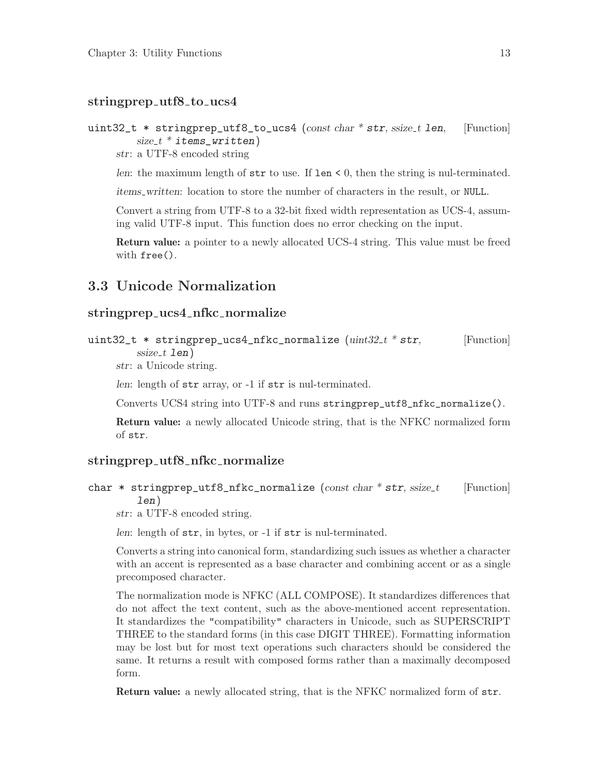#### <span id="page-17-0"></span>stringprep\_utf8\_to\_ucs4

```
uint32_t * stringprep_utf8_to_ucs4 (const char * str, ssize_t len, [Function]
        size_t * items\_written)
```
str: a UTF-8 encoded string

len: the maximum length of  $str$  to use. If  $len < 0$ , then the string is nul-terminated.

items written: location to store the number of characters in the result, or NULL.

Convert a string from UTF-8 to a 32-bit fixed width representation as UCS-4, assuming valid UTF-8 input. This function does no error checking on the input.

Return value: a pointer to a newly allocated UCS-4 string. This value must be freed with free().

### 3.3 Unicode Normalization

#### stringprep\_ucs4\_nfkc\_normalize

```
uint32<sub>_t</sub> * stringprep_ucs4_nfkc_normalize (uint32_t * str, [Function]
         ssize_t len)
```
str: a Unicode string.

len: length of str array, or -1 if str is nul-terminated.

Converts UCS4 string into UTF-8 and runs stringprep\_utf8\_nfkc\_normalize().

Return value: a newly allocated Unicode string, that is the NFKC normalized form of str.

#### stringprep\_utf8\_nfkc\_normalize

char \* stringprep\_utf8\_nfkc\_normalize (const char \* str, ssize\_t [Function] len)

str: a UTF-8 encoded string.

len: length of str, in bytes, or -1 if str is nul-terminated.

Converts a string into canonical form, standardizing such issues as whether a character with an accent is represented as a base character and combining accent or as a single precomposed character.

The normalization mode is NFKC (ALL COMPOSE). It standardizes differences that do not affect the text content, such as the above-mentioned accent representation. It standardizes the "compatibility" characters in Unicode, such as SUPERSCRIPT THREE to the standard forms (in this case DIGIT THREE). Formatting information may be lost but for most text operations such characters should be considered the same. It returns a result with composed forms rather than a maximally decomposed form.

Return value: a newly allocated string, that is the NFKC normalized form of str.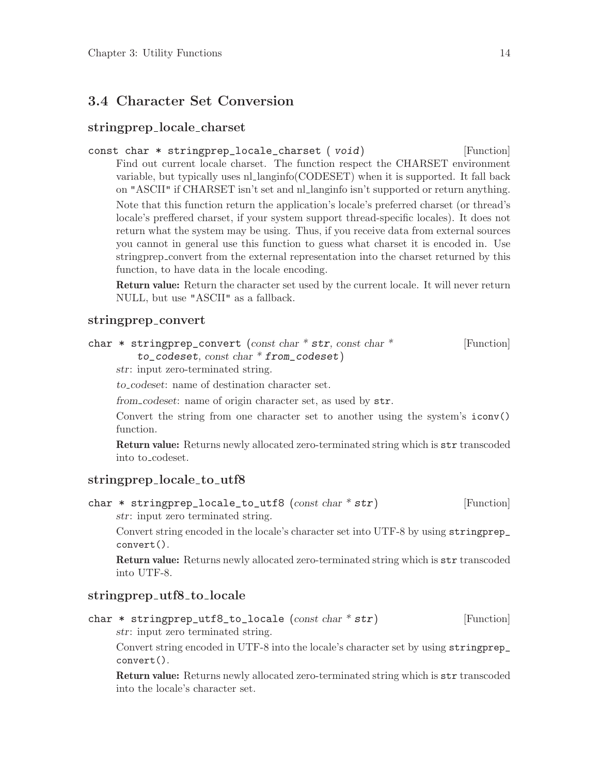### <span id="page-18-0"></span>3.4 Character Set Conversion

#### stringprep locale charset

```
const char * stringprep_locale_charset ( void) [Function]
     Find out current locale charset. The function respect the CHARSET environment
     variable, but typically uses nl langinfo(CODESET) when it is supported. It fall back
     on "ASCII" if CHARSET isn't set and nl langinfo isn't supported or return anything.
     Note that this function return the application's locale's preferred charset (or thread's
     locale's preffered charset, if your system support thread-specific locales). It does not
     return what the system may be using. Thus, if you receive data from external sources
     you cannot in general use this function to guess what charset it is encoded in. Use
     stringprep convert from the external representation into the charset returned by this
     function, to have data in the locale encoding.
```
Return value: Return the character set used by the current locale. It will never return NULL, but use "ASCII" as a fallback.

#### stringprep convert

```
char * stringprep_convert (const char * str, const char * [Function]
```

```
to codeset, const char * from codeset)
```
str: input zero-terminated string.

to codeset: name of destination character set.

from codeset: name of origin character set, as used by str.

Convert the string from one character set to another using the system's iconv() function.

Return value: Returns newly allocated zero-terminated string which is str transcoded into to codeset.

### stringprep\_locale\_to\_utf8

char  $*$  stringprep\_locale\_to\_utf8 (const char  $*$  str) [Function]

str: input zero terminated string.

Convert string encoded in the locale's character set into UTF-8 by using stringprep\_ convert().

Return value: Returns newly allocated zero-terminated string which is str transcoded into UTF-8.

### stringprep\_utf8\_to\_locale

char  $*$  stringprep\_utf8\_to\_locale (const char  $*$  str) [Function] str: input zero terminated string.

Convert string encoded in UTF-8 into the locale's character set by using stringprep\_ convert().

Return value: Returns newly allocated zero-terminated string which is str transcoded into the locale's character set.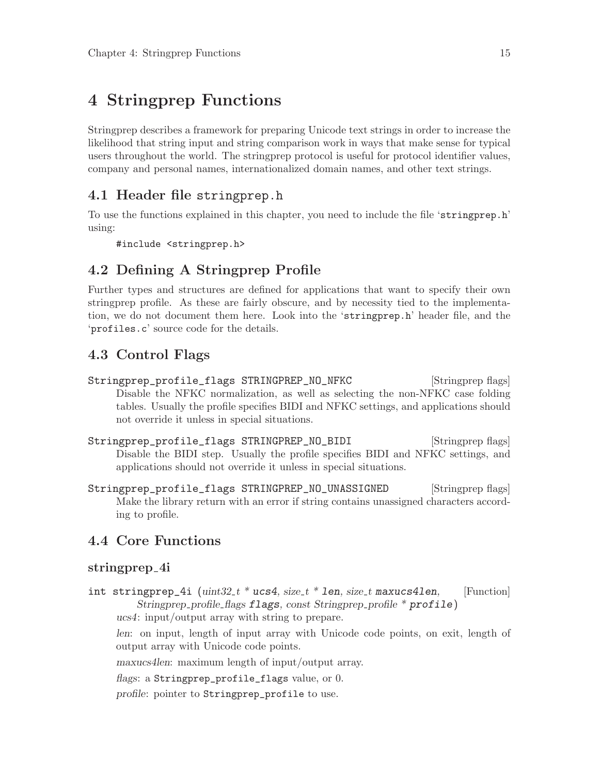# <span id="page-19-0"></span>4 Stringprep Functions

Stringprep describes a framework for preparing Unicode text strings in order to increase the likelihood that string input and string comparison work in ways that make sense for typical users throughout the world. The stringprep protocol is useful for protocol identifier values, company and personal names, internationalized domain names, and other text strings.

### 4.1 Header file stringprep.h

To use the functions explained in this chapter, you need to include the file 'stringprep.h' using:

#include <stringprep.h>

### 4.2 Defining A Stringprep Profile

Further types and structures are defined for applications that want to specify their own stringprep profile. As these are fairly obscure, and by necessity tied to the implementation, we do not document them here. Look into the 'stringprep.h' header file, and the 'profiles.c' source code for the details.

### 4.3 Control Flags

- Stringprep\_profile\_flags STRINGPREP\_NO\_NFKC [Stringprep flags] Disable the NFKC normalization, as well as selecting the non-NFKC case folding tables. Usually the profile specifies BIDI and NFKC settings, and applications should not override it unless in special situations.
- Stringprep\_profile\_flags STRINGPREP\_NO\_BIDI [Stringprep flags] Disable the BIDI step. Usually the profile specifies BIDI and NFKC settings, and applications should not override it unless in special situations.
- Stringprep\_profile\_flags STRINGPREP\_NO\_UNASSIGNED [Stringprep flags] Make the library return with an error if string contains unassigned characters according to profile.

### 4.4 Core Functions

### stringprep<sub>-4i</sub>

int stringprep\_4i  $(uint32_t * ucs4, size_t * len, size_t maxucs4len,$  [Function] Stringprep\_profile\_flags flags, const Stringprep\_profile  $*$  profile) ucs4: input/output array with string to prepare.

len: on input, length of input array with Unicode code points, on exit, length of output array with Unicode code points.

maxucs4len: maximum length of input/output array.

```
flags: a Stringprep_profile_flags value, or 0.
```
profile: pointer to Stringprep\_profile to use.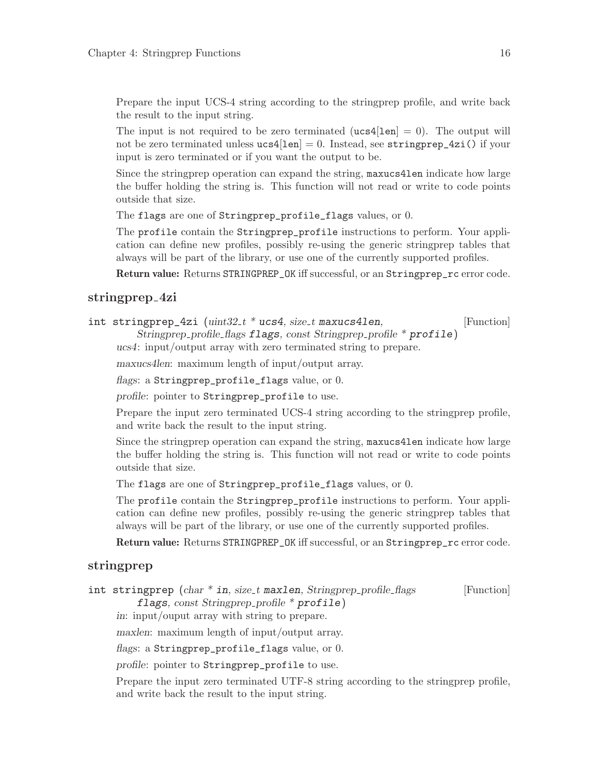Prepare the input UCS-4 string according to the stringprep profile, and write back the result to the input string.

The input is not required to be zero terminated  $(ucs4[len] = 0)$ . The output will not be zero terminated unless  $ucs4[len] = 0$ . Instead, see stringprep\_4zi() if your input is zero terminated or if you want the output to be.

Since the stringprep operation can expand the string, maxucs4len indicate how large the buffer holding the string is. This function will not read or write to code points outside that size.

The flags are one of Stringprep\_profile\_flags values, or 0.

The profile contain the Stringprep\_profile instructions to perform. Your application can define new profiles, possibly re-using the generic stringprep tables that always will be part of the library, or use one of the currently supported profiles.

Return value: Returns STRINGPREP\_OK iff successful, or an Stringprep\_rc error code.

### stringprep<sub>-4zi</sub>

|  | int stringprep_4zi $(\text{uint32}_{t} * \text{ucs4}, \text{size}_{t} \text{ maxucs4len},$ | [Function] |
|--|--------------------------------------------------------------------------------------------|------------|
|  | Stringprep_profile_flags flags, const Stringprep_profile * profile)                        |            |

ucs4: input/output array with zero terminated string to prepare.

maxucs4len: maximum length of input/output array.

flags: a Stringprep\_profile\_flags value, or 0.

profile: pointer to Stringprep\_profile to use.

Prepare the input zero terminated UCS-4 string according to the stringprep profile, and write back the result to the input string.

Since the stringprep operation can expand the string, maxucs4len indicate how large the buffer holding the string is. This function will not read or write to code points outside that size.

The flags are one of Stringprep\_profile\_flags values, or 0.

The profile contain the Stringprep\_profile instructions to perform. Your application can define new profiles, possibly re-using the generic stringprep tables that always will be part of the library, or use one of the currently supported profiles.

Return value: Returns STRINGPREP\_OK iff successful, or an Stringprep\_rc error code.

### stringprep

int stringprep  $(char * in, size_t \text{ maxlen}, Stringprep-profile \text{.} \text{Furction}]$ 

flags, const Stringprep\_profile  $*$  profile)

in: input/ouput array with string to prepare.

maxlen: maximum length of input/output array.

flags: a Stringprep\_profile\_flags value, or 0.

profile: pointer to Stringprep\_profile to use.

Prepare the input zero terminated UTF-8 string according to the stringprep profile, and write back the result to the input string.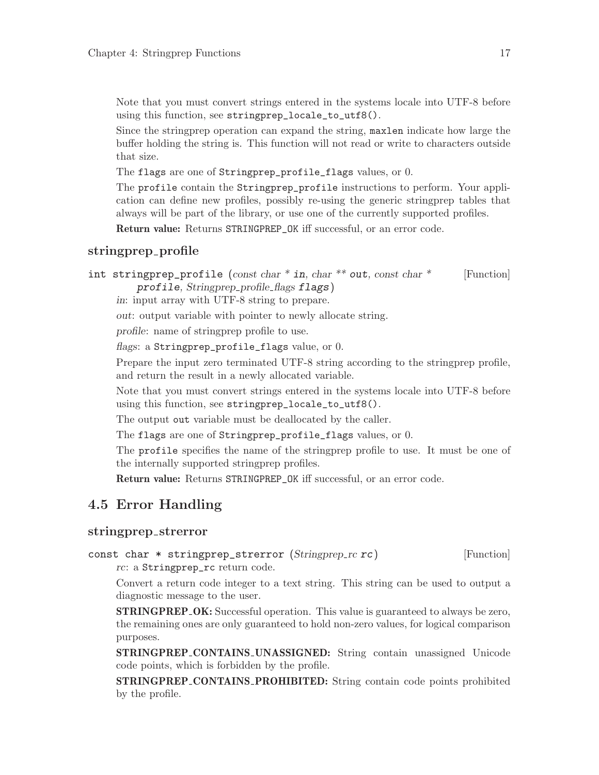<span id="page-21-0"></span>Note that you must convert strings entered in the systems locale into UTF-8 before using this function, see stringprep\_locale\_to\_utf8().

Since the stringprep operation can expand the string, maxlen indicate how large the buffer holding the string is. This function will not read or write to characters outside that size.

The flags are one of Stringprep\_profile\_flags values, or 0.

The profile contain the Stringprep\_profile instructions to perform. Your application can define new profiles, possibly re-using the generic stringprep tables that always will be part of the library, or use one of the currently supported profiles.

Return value: Returns STRINGPREP\_OK iff successful, or an error code.

#### stringprep\_profile

int stringprep\_profile  $(const char * in, char ** out, const char *$  [Function] profile, Stringprep profile flags flags)

in: input array with UTF-8 string to prepare.

out: output variable with pointer to newly allocate string.

profile: name of stringprep profile to use.

flags: a Stringprep\_profile\_flags value, or 0.

Prepare the input zero terminated UTF-8 string according to the stringprep profile, and return the result in a newly allocated variable.

Note that you must convert strings entered in the systems locale into UTF-8 before using this function, see stringprep\_locale\_to\_utf8().

The output out variable must be deallocated by the caller.

The flags are one of Stringprep\_profile\_flags values, or 0.

The profile specifies the name of the stringprep profile to use. It must be one of the internally supported stringprep profiles.

Return value: Returns STRINGPREP\_OK iff successful, or an error code.

### 4.5 Error Handling

#### stringprep strerror

const char  $*$  stringprep\_strerror (Stringprep\_rc  $rc$ ) [Function] rc: a Stringprep\_rc return code.

Convert a return code integer to a text string. This string can be used to output a diagnostic message to the user.

STRINGPREP<sub>-OK</sub>: Successful operation. This value is guaranteed to always be zero, the remaining ones are only guaranteed to hold non-zero values, for logical comparison purposes.

STRINGPREP CONTAINS UNASSIGNED: String contain unassigned Unicode code points, which is forbidden by the profile.

STRINGPREP CONTAINS PROHIBITED: String contain code points prohibited by the profile.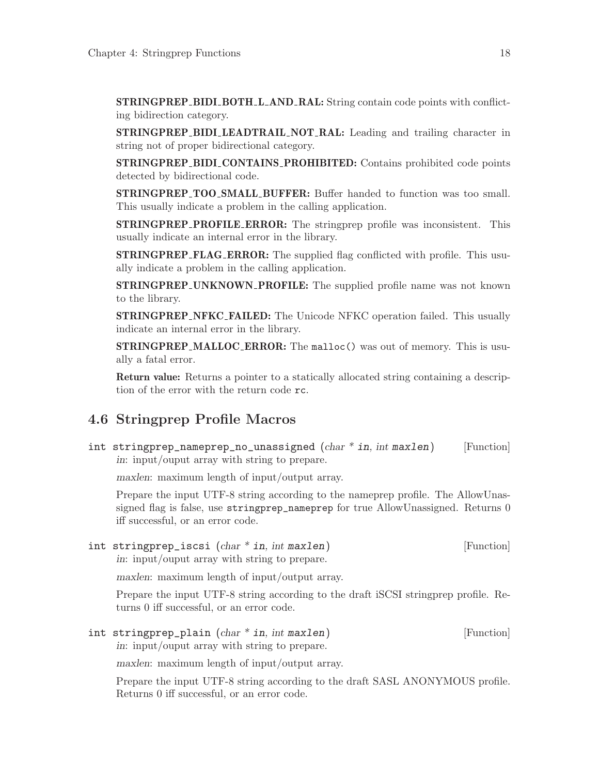<span id="page-22-0"></span>STRINGPREP BIDI BOTH L AND RAL: String contain code points with conflicting bidirection category.

STRINGPREP BIDI LEADTRAIL NOT RAL: Leading and trailing character in string not of proper bidirectional category.

STRINGPREP BIDI CONTAINS PROHIBITED: Contains prohibited code points detected by bidirectional code.

STRINGPREP TOO SMALL BUFFER: Buffer handed to function was too small. This usually indicate a problem in the calling application.

STRINGPREP PROFILE ERROR: The stringprep profile was inconsistent. This usually indicate an internal error in the library.

**STRINGPREP\_FLAG\_ERROR:** The supplied flag conflicted with profile. This usually indicate a problem in the calling application.

STRINGPREP UNKNOWN PROFILE: The supplied profile name was not known to the library.

STRINGPREP NFKC FAILED: The Unicode NFKC operation failed. This usually indicate an internal error in the library.

**STRINGPREP\_MALLOC\_ERROR:** The malloc() was out of memory. This is usually a fatal error.

Return value: Returns a pointer to a statically allocated string containing a description of the error with the return code rc.

### 4.6 Stringprep Profile Macros

int stringprep\_nameprep\_no\_unassigned  $(char * in, int \, maxlen)$  [Function] in: input/ouput array with string to prepare.

maxlen: maximum length of input/output array.

Prepare the input UTF-8 string according to the nameprep profile. The AllowUnassigned flag is false, use stringprep\_nameprep for true AllowUnassigned. Returns 0 iff successful, or an error code.

int stringprep\_iscsi (char \* in, int maxlen) [Function] in: input/ouput array with string to prepare.

maxlen: maximum length of input/output array.

Prepare the input UTF-8 string according to the draft iSCSI stringprep profile. Returns 0 iff successful, or an error code.

int stringprep\_plain (char \* in, int maxlen) [Function] in: input/ouput array with string to prepare.

maxlen: maximum length of input/output array.

Prepare the input UTF-8 string according to the draft SASL ANONYMOUS profile. Returns 0 iff successful, or an error code.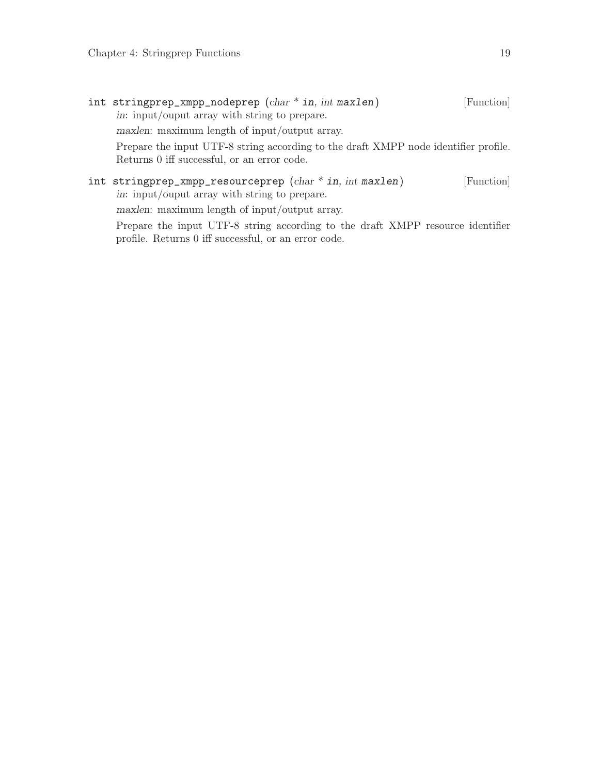| in: input/ouput array with string to prepare.                                                                                                                                 |  |  |  |
|-------------------------------------------------------------------------------------------------------------------------------------------------------------------------------|--|--|--|
| maxlen: maximum length of input/output array.                                                                                                                                 |  |  |  |
| Prepare the input UTF-8 string according to the draft XMPP node identifier profile.<br>Returns 0 iff successful, or an error code.                                            |  |  |  |
| int stringprep_xmpp_resourceprep $(char * in, int \, maxlen)$<br>[Function]<br>in: input/ouput array with string to prepare.<br>maxlen: maximum length of input/output array. |  |  |  |
| Prepare the input UTF-8 string according to the draft XMPP resource identifier<br>profile. Returns 0 iff successful, or an error code.                                        |  |  |  |
|                                                                                                                                                                               |  |  |  |

int stringprep\_xmpp\_nodeprep  $(char * in, int maxlen)$  [Function]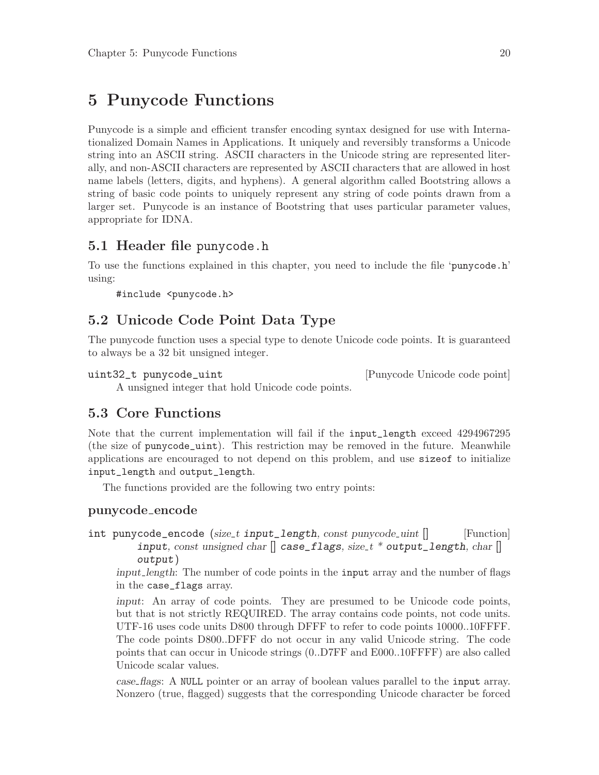# <span id="page-24-0"></span>5 Punycode Functions

Punycode is a simple and efficient transfer encoding syntax designed for use with Internationalized Domain Names in Applications. It uniquely and reversibly transforms a Unicode string into an ASCII string. ASCII characters in the Unicode string are represented literally, and non-ASCII characters are represented by ASCII characters that are allowed in host name labels (letters, digits, and hyphens). A general algorithm called Bootstring allows a string of basic code points to uniquely represent any string of code points drawn from a larger set. Punycode is an instance of Bootstring that uses particular parameter values, appropriate for IDNA.

### 5.1 Header file punycode.h

To use the functions explained in this chapter, you need to include the file 'punycode.h' using:

#include <punycode.h>

### 5.2 Unicode Code Point Data Type

The punycode function uses a special type to denote Unicode code points. It is guaranteed to always be a 32 bit unsigned integer.

uint32\_t punycode\_uint [Punycode Unicode code point]

A unsigned integer that hold Unicode code points.

### 5.3 Core Functions

Note that the current implementation will fail if the input\_length exceed 4294967295 (the size of punycode\_uint). This restriction may be removed in the future. Meanwhile applications are encouraged to not depend on this problem, and use sizeof to initialize input\_length and output\_length.

The functions provided are the following two entry points:

### punycode encode

int punycode\_encode (size\_t input\_length, const punycode\_uint  $\lceil \rceil$  [Function] input, const unsigned char  $\parallel$  case\_flags, size\_t \* output\_length, char  $\parallel$ output)

input length: The number of code points in the input array and the number of flags in the case\_flags array.

input: An array of code points. They are presumed to be Unicode code points, but that is not strictly REQUIRED. The array contains code points, not code units. UTF-16 uses code units D800 through DFFF to refer to code points 10000..10FFFF. The code points D800..DFFF do not occur in any valid Unicode string. The code points that can occur in Unicode strings (0..D7FF and E000..10FFFF) are also called Unicode scalar values.

case flags: A NULL pointer or an array of boolean values parallel to the input array. Nonzero (true, flagged) suggests that the corresponding Unicode character be forced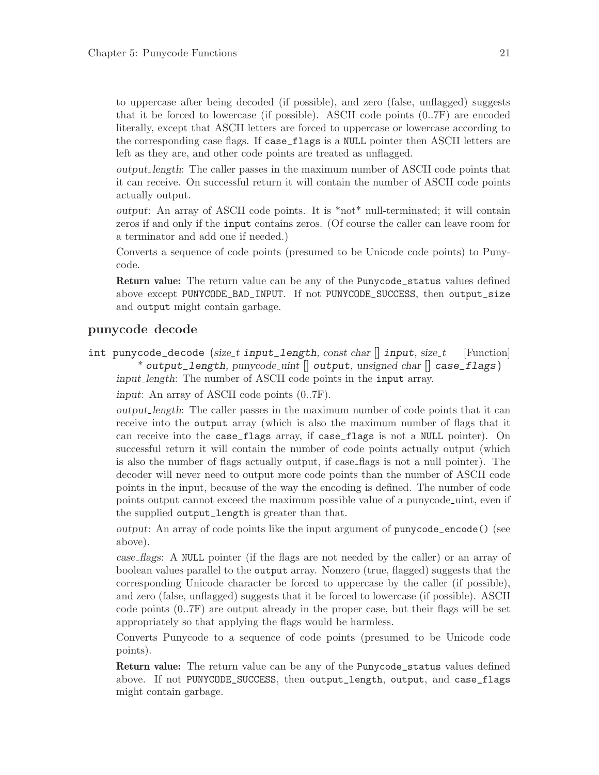to uppercase after being decoded (if possible), and zero (false, unflagged) suggests that it be forced to lowercase (if possible). ASCII code points (0..7F) are encoded literally, except that ASCII letters are forced to uppercase or lowercase according to the corresponding case flags. If case\_flags is a NULL pointer then ASCII letters are left as they are, and other code points are treated as unflagged.

output length: The caller passes in the maximum number of ASCII code points that it can receive. On successful return it will contain the number of ASCII code points actually output.

output: An array of ASCII code points. It is \*not\* null-terminated; it will contain zeros if and only if the input contains zeros. (Of course the caller can leave room for a terminator and add one if needed.)

Converts a sequence of code points (presumed to be Unicode code points) to Punycode.

Return value: The return value can be any of the Punycode\_status values defined above except PUNYCODE\_BAD\_INPUT. If not PUNYCODE\_SUCCESS, then output\_size and output might contain garbage.

#### punycode decode

int punycode\_decode (size\_t input\_length, const char  $\parallel$  input, size\_t [Function] \* output\_length,  $p$ unycode\_uint  $\parallel$  output, unsigned char  $\parallel$  case\_flags) input length: The number of ASCII code points in the input array.

input: An array of ASCII code points (0..7F).

output length: The caller passes in the maximum number of code points that it can receive into the output array (which is also the maximum number of flags that it can receive into the case\_flags array, if case\_flags is not a NULL pointer). On successful return it will contain the number of code points actually output (which is also the number of flags actually output, if case flags is not a null pointer). The decoder will never need to output more code points than the number of ASCII code points in the input, because of the way the encoding is defined. The number of code points output cannot exceed the maximum possible value of a punycode uint, even if the supplied output\_length is greater than that.

output: An array of code points like the input argument of punycode\_encode() (see above).

case flags: A NULL pointer (if the flags are not needed by the caller) or an array of boolean values parallel to the output array. Nonzero (true, flagged) suggests that the corresponding Unicode character be forced to uppercase by the caller (if possible), and zero (false, unflagged) suggests that it be forced to lowercase (if possible). ASCII code points (0..7F) are output already in the proper case, but their flags will be set appropriately so that applying the flags would be harmless.

Converts Punycode to a sequence of code points (presumed to be Unicode code points).

Return value: The return value can be any of the Punycode\_status values defined above. If not PUNYCODE\_SUCCESS, then output\_length, output, and case\_flags might contain garbage.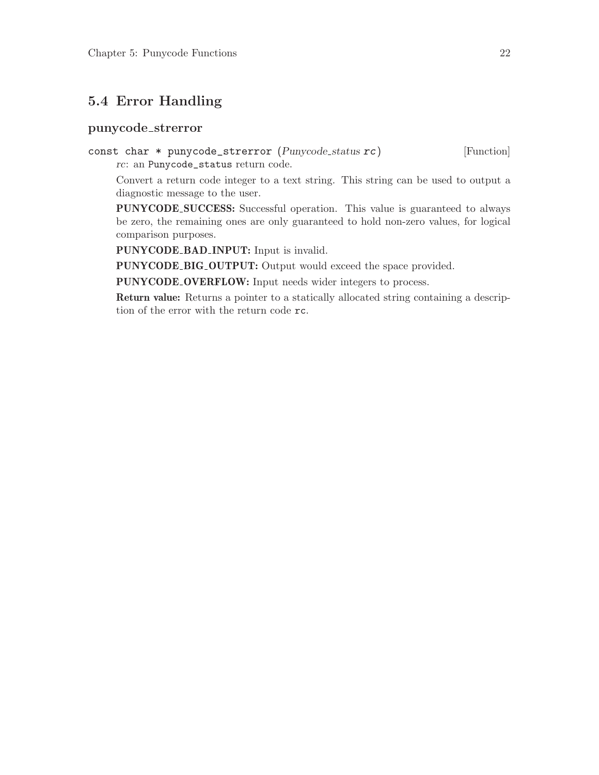### <span id="page-26-0"></span>5.4 Error Handling

#### punycode strerror

const char \* punycode\_strerror (Punycode\_status rc) [Function] rc: an Punycode\_status return code.

Convert a return code integer to a text string. This string can be used to output a diagnostic message to the user.

PUNYCODE SUCCESS: Successful operation. This value is guaranteed to always be zero, the remaining ones are only guaranteed to hold non-zero values, for logical comparison purposes.

PUNYCODE\_BAD\_INPUT: Input is invalid.

PUNYCODE\_BIG\_OUTPUT: Output would exceed the space provided.

PUNYCODE OVERFLOW: Input needs wider integers to process.

Return value: Returns a pointer to a statically allocated string containing a description of the error with the return code rc.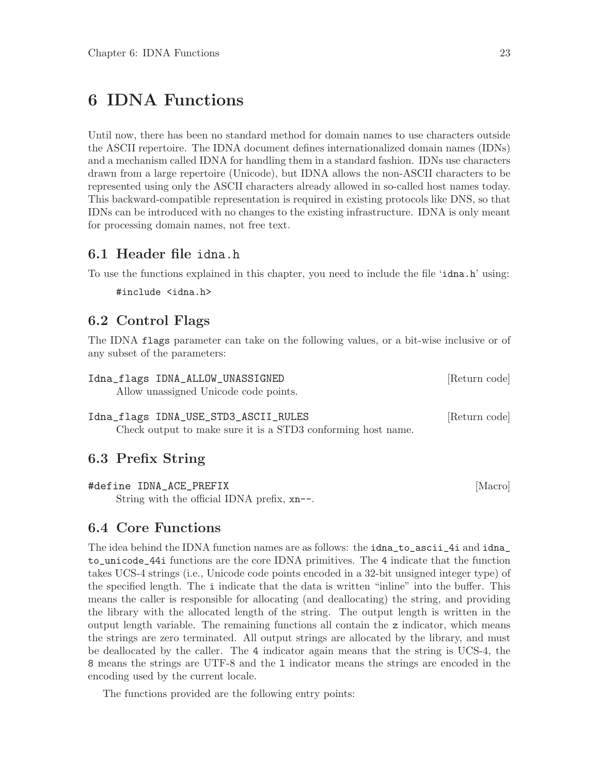# <span id="page-27-0"></span>6 IDNA Functions

Until now, there has been no standard method for domain names to use characters outside the ASCII repertoire. The IDNA document defines internationalized domain names (IDNs) and a mechanism called IDNA for handling them in a standard fashion. IDNs use characters drawn from a large repertoire (Unicode), but IDNA allows the non-ASCII characters to be represented using only the ASCII characters already allowed in so-called host names today. This backward-compatible representation is required in existing protocols like DNS, so that IDNs can be introduced with no changes to the existing infrastructure. IDNA is only meant for processing domain names, not free text.

### 6.1 Header file idna.h

To use the functions explained in this chapter, you need to include the file 'idna.h' using:

#include <idna.h>

### 6.2 Control Flags

The IDNA flags parameter can take on the following values, or a bit-wise inclusive or of any subset of the parameters:

| Idna_flags IDNA_ALLOW_UNASSIGNED      | [Return code] |
|---------------------------------------|---------------|
| Allow unassigned Unicode code points. |               |
|                                       |               |
| Idna_flags IDNA_USE_STD3_ASCII_RULES  | [Return code] |

Check output to make sure it is a STD3 conforming host name.

### 6.3 Prefix String

#define IDNA\_ACE\_PREFIX [Macro] String with the official IDNA prefix, xn--.

### 6.4 Core Functions

The idea behind the IDNA function names are as follows: the idna\_to\_ascii\_4i and idna\_ to\_unicode\_44i functions are the core IDNA primitives. The 4 indicate that the function takes UCS-4 strings (i.e., Unicode code points encoded in a 32-bit unsigned integer type) of the specified length. The i indicate that the data is written "inline" into the buffer. This means the caller is responsible for allocating (and deallocating) the string, and providing the library with the allocated length of the string. The output length is written in the output length variable. The remaining functions all contain the z indicator, which means the strings are zero terminated. All output strings are allocated by the library, and must be deallocated by the caller. The 4 indicator again means that the string is UCS-4, the 8 means the strings are UTF-8 and the l indicator means the strings are encoded in the encoding used by the current locale.

The functions provided are the following entry points: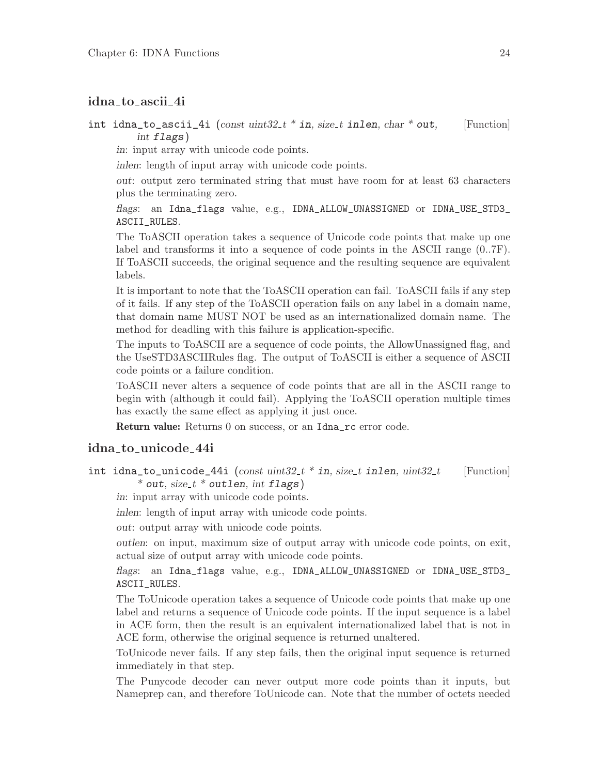#### idna to ascii 4i

#### int idna\_to\_ascii\_4i  $(const \;uint32_t * in, \; size_t \; inlen, \; char * out,$  [Function] int flags)

in: input array with unicode code points.

inlen: length of input array with unicode code points.

out: output zero terminated string that must have room for at least 63 characters plus the terminating zero.

flags: an Idna\_flags value, e.g., IDNA\_ALLOW\_UNASSIGNED or IDNA\_USE\_STD3\_ ASCII\_RULES.

The ToASCII operation takes a sequence of Unicode code points that make up one label and transforms it into a sequence of code points in the ASCII range (0..7F). If ToASCII succeeds, the original sequence and the resulting sequence are equivalent labels.

It is important to note that the ToASCII operation can fail. ToASCII fails if any step of it fails. If any step of the ToASCII operation fails on any label in a domain name, that domain name MUST NOT be used as an internationalized domain name. The method for deadling with this failure is application-specific.

The inputs to ToASCII are a sequence of code points, the AllowUnassigned flag, and the UseSTD3ASCIIRules flag. The output of ToASCII is either a sequence of ASCII code points or a failure condition.

ToASCII never alters a sequence of code points that are all in the ASCII range to begin with (although it could fail). Applying the ToASCII operation multiple times has exactly the same effect as applying it just once.

Return value: Returns 0 on success, or an Idna\_rc error code.

#### idna to unicode 44i

int idna\_to\_unicode\_44i  $(const \;uint32_t * in, size_t \; intent11en, \;uint32_t$  [Function]  $*$  out, size\_t  $*$  outlen, int flags)

in: input array with unicode code points.

inlen: length of input array with unicode code points.

out: output array with unicode code points.

outlen: on input, maximum size of output array with unicode code points, on exit, actual size of output array with unicode code points.

flags: an Idna\_flags value, e.g., IDNA\_ALLOW\_UNASSIGNED or IDNA\_USE\_STD3\_ ASCII\_RULES.

The ToUnicode operation takes a sequence of Unicode code points that make up one label and returns a sequence of Unicode code points. If the input sequence is a label in ACE form, then the result is an equivalent internationalized label that is not in ACE form, otherwise the original sequence is returned unaltered.

ToUnicode never fails. If any step fails, then the original input sequence is returned immediately in that step.

The Punycode decoder can never output more code points than it inputs, but Nameprep can, and therefore ToUnicode can. Note that the number of octets needed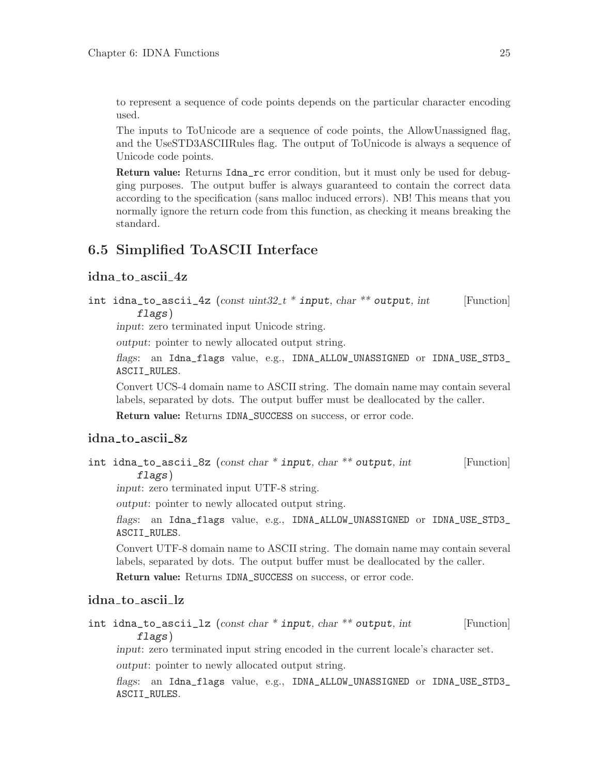<span id="page-29-0"></span>to represent a sequence of code points depends on the particular character encoding used.

The inputs to ToUnicode are a sequence of code points, the AllowUnassigned flag, and the UseSTD3ASCIIRules flag. The output of ToUnicode is always a sequence of Unicode code points.

Return value: Returns Idna\_rc error condition, but it must only be used for debugging purposes. The output buffer is always guaranteed to contain the correct data according to the specification (sans malloc induced errors). NB! This means that you normally ignore the return code from this function, as checking it means breaking the standard.

### 6.5 Simplified ToASCII Interface

#### idna to ascii 4z

int idna\_to\_ascii\_4z  $(const \;uint32_t * input, char ** output, int$  [Function] flags)

input: zero terminated input Unicode string.

output: pointer to newly allocated output string.

flags: an Idna\_flags value, e.g., IDNA\_ALLOW\_UNASSIGNED or IDNA\_USE\_STD3\_ ASCII\_RULES.

Convert UCS-4 domain name to ASCII string. The domain name may contain several labels, separated by dots. The output buffer must be deallocated by the caller.

Return value: Returns IDNA\_SUCCESS on success, or error code.

#### idna to ascii 8z

int idna\_to\_ascii\_8z (const char  $*$  input, char  $**$  output, int [Function] flags)

input: zero terminated input UTF-8 string.

output: pointer to newly allocated output string.

flags: an Idna\_flags value, e.g., IDNA\_ALLOW\_UNASSIGNED or IDNA\_USE\_STD3\_ ASCII\_RULES.

Convert UTF-8 domain name to ASCII string. The domain name may contain several labels, separated by dots. The output buffer must be deallocated by the caller.

Return value: Returns IDNA\_SUCCESS on success, or error code.

#### idna to ascii lz

int idna\_to\_ascii\_lz  $(const \ char * input, char ** output, int$  [Function] flags)

input: zero terminated input string encoded in the current locale's character set. output: pointer to newly allocated output string.

flags: an Idna\_flags value, e.g., IDNA\_ALLOW\_UNASSIGNED or IDNA\_USE\_STD3\_ ASCII\_RULES.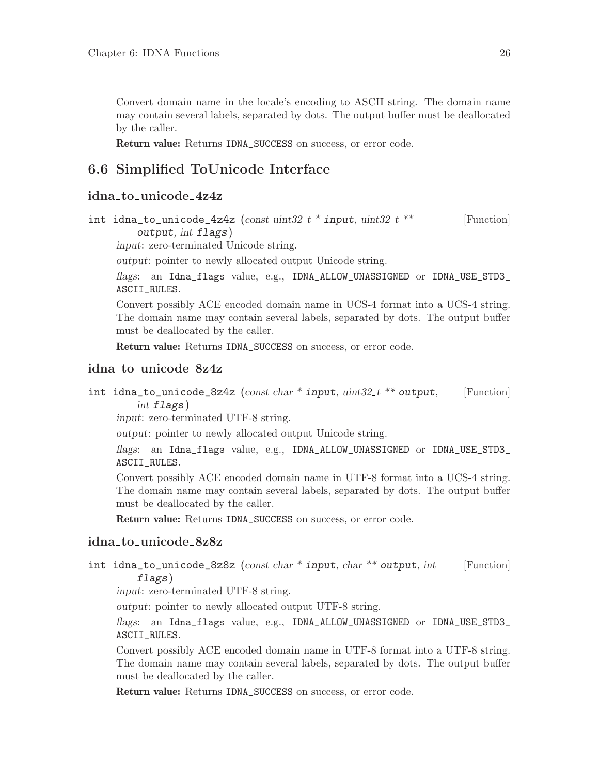<span id="page-30-0"></span>Convert domain name in the locale's encoding to ASCII string. The domain name may contain several labels, separated by dots. The output buffer must be deallocated by the caller.

Return value: Returns IDNA\_SUCCESS on success, or error code.

### 6.6 Simplified ToUnicode Interface

#### idna to unicode 4z4z

```
int idna_to_unicode_4z4z (const \;uint32_t * input, \;uint32_t * * \; [Function])output, int flags)
```
input: zero-terminated Unicode string.

output: pointer to newly allocated output Unicode string.

flags: an Idna\_flags value, e.g., IDNA\_ALLOW\_UNASSIGNED or IDNA\_USE\_STD3\_ ASCII\_RULES.

Convert possibly ACE encoded domain name in UCS-4 format into a UCS-4 string. The domain name may contain several labels, separated by dots. The output buffer must be deallocated by the caller.

Return value: Returns IDNA\_SUCCESS on success, or error code.

#### idna to unicode 8z4z

int idna\_to\_unicode\_8z4z (const char \* input, uint $32_t$  \*\* output, [Function] int flags)

input: zero-terminated UTF-8 string.

output: pointer to newly allocated output Unicode string.

flags: an Idna\_flags value, e.g., IDNA\_ALLOW\_UNASSIGNED or IDNA\_USE\_STD3\_ ASCII\_RULES.

Convert possibly ACE encoded domain name in UTF-8 format into a UCS-4 string. The domain name may contain several labels, separated by dots. The output buffer must be deallocated by the caller.

Return value: Returns IDNA\_SUCCESS on success, or error code.

#### idna to unicode 8z8z

int idna\_to\_unicode\_8z8z (const char  $*$  input, char  $**$  output, int [Function] flags)

input: zero-terminated UTF-8 string.

output: pointer to newly allocated output UTF-8 string.

flags: an Idna\_flags value, e.g., IDNA\_ALLOW\_UNASSIGNED or IDNA\_USE\_STD3\_ ASCII\_RULES.

Convert possibly ACE encoded domain name in UTF-8 format into a UTF-8 string. The domain name may contain several labels, separated by dots. The output buffer must be deallocated by the caller.

Return value: Returns IDNA\_SUCCESS on success, or error code.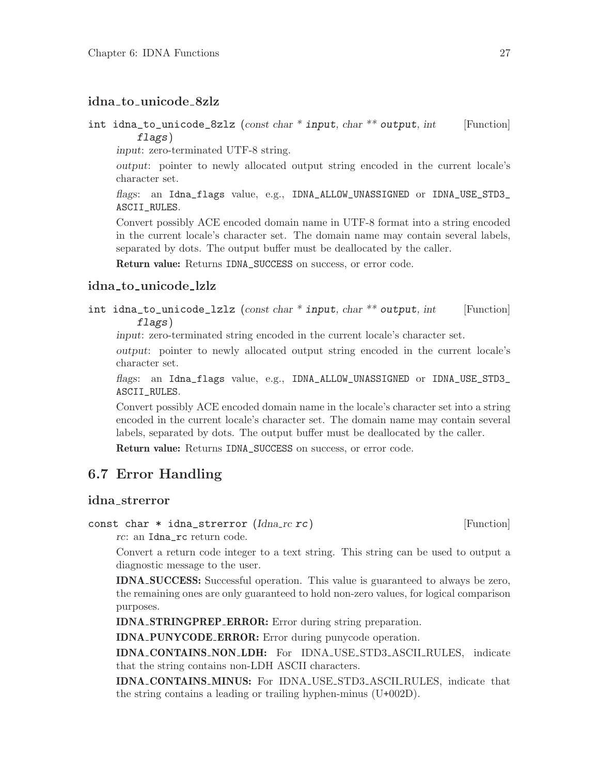### <span id="page-31-0"></span>idna to unicode 8zlz

int idna\_to\_unicode\_8zlz (const char  $*$  input, char  $**$  output, int [Function] flags)

input: zero-terminated UTF-8 string.

output: pointer to newly allocated output string encoded in the current locale's character set.

flags: an Idna\_flags value, e.g., IDNA\_ALLOW\_UNASSIGNED or IDNA\_USE\_STD3\_ ASCII\_RULES.

Convert possibly ACE encoded domain name in UTF-8 format into a string encoded in the current locale's character set. The domain name may contain several labels, separated by dots. The output buffer must be deallocated by the caller.

Return value: Returns IDNA\_SUCCESS on success, or error code.

#### idna to unicode lzlz

int idna\_to\_unicode\_lzlz  $(const char * input, char ** output, int$  [Function] flags)

input: zero-terminated string encoded in the current locale's character set.

output: pointer to newly allocated output string encoded in the current locale's character set.

flags: an Idna\_flags value, e.g., IDNA\_ALLOW\_UNASSIGNED or IDNA\_USE\_STD3\_ ASCII\_RULES.

Convert possibly ACE encoded domain name in the locale's character set into a string encoded in the current locale's character set. The domain name may contain several labels, separated by dots. The output buffer must be deallocated by the caller.

Return value: Returns IDNA\_SUCCESS on success, or error code.

### 6.7 Error Handling

#### idna strerror

const char  $*$  idna strerror  $(Idna<sub>-rc</sub> rc)$  [Function]

rc: an Idna\_rc return code.

Convert a return code integer to a text string. This string can be used to output a diagnostic message to the user.

IDNA SUCCESS: Successful operation. This value is guaranteed to always be zero, the remaining ones are only guaranteed to hold non-zero values, for logical comparison purposes.

IDNA STRINGPREP ERROR: Error during string preparation.

IDNA PUNYCODE ERROR: Error during punycode operation.

IDNA CONTAINS NON LDH: For IDNA USE STD3 ASCII RULES, indicate that the string contains non-LDH ASCII characters.

IDNA CONTAINS MINUS: For IDNA USE STD3 ASCII RULES, indicate that the string contains a leading or trailing hyphen-minus (U+002D).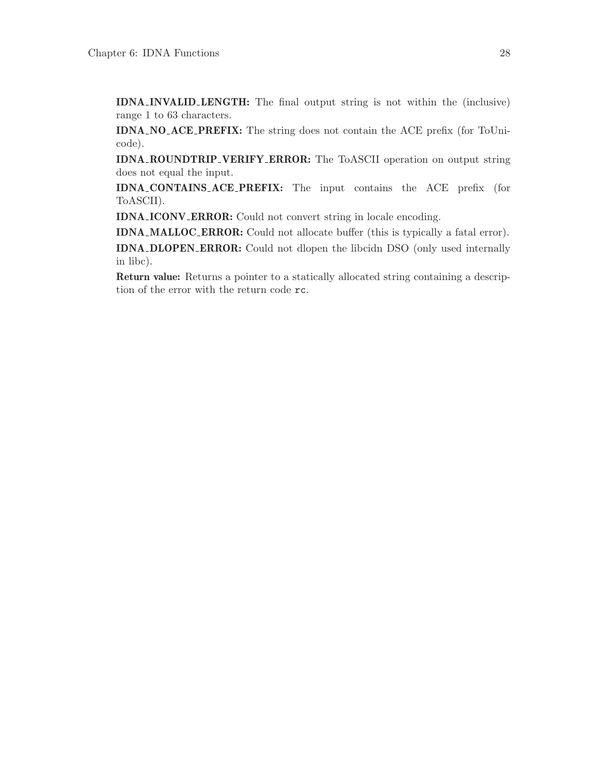IDNA INVALID LENGTH: The final output string is not within the (inclusive) range 1 to 63 characters.

IDNA NO ACE PREFIX: The string does not contain the ACE prefix (for ToUnicode).

IDNA ROUNDTRIP VERIFY ERROR: The ToASCII operation on output string does not equal the input.

IDNA CONTAINS ACE PREFIX: The input contains the ACE prefix (for ToASCII).

IDNA ICONV ERROR: Could not convert string in locale encoding.

IDNA MALLOC ERROR: Could not allocate buffer (this is typically a fatal error).

IDNA DLOPEN ERROR: Could not dlopen the libcidn DSO (only used internally in libc).

Return value: Returns a pointer to a statically allocated string containing a description of the error with the return code rc.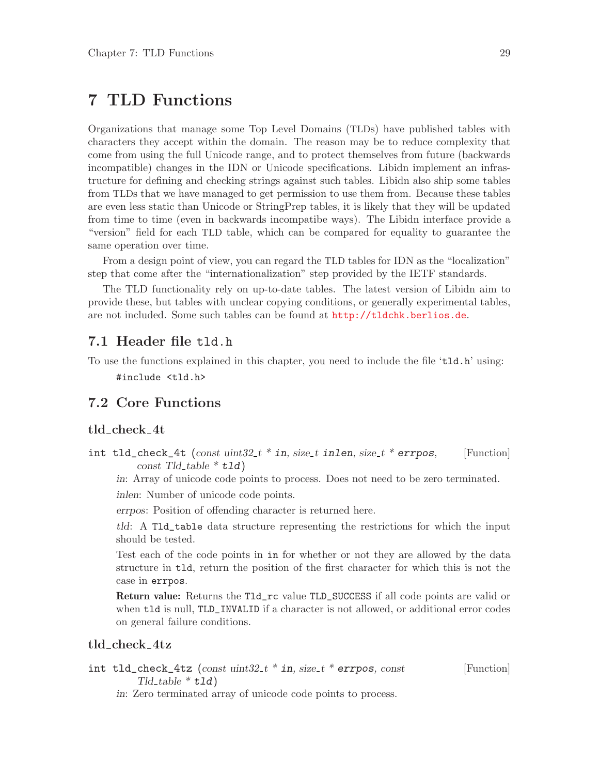# <span id="page-33-0"></span>7 TLD Functions

Organizations that manage some Top Level Domains (TLDs) have published tables with characters they accept within the domain. The reason may be to reduce complexity that come from using the full Unicode range, and to protect themselves from future (backwards incompatible) changes in the IDN or Unicode specifications. Libidn implement an infrastructure for defining and checking strings against such tables. Libidn also ship some tables from TLDs that we have managed to get permission to use them from. Because these tables are even less static than Unicode or StringPrep tables, it is likely that they will be updated from time to time (even in backwards incompatibe ways). The Libidn interface provide a "version" field for each TLD table, which can be compared for equality to guarantee the same operation over time.

From a design point of view, you can regard the TLD tables for IDN as the "localization" step that come after the "internationalization" step provided by the IETF standards.

The TLD functionality rely on up-to-date tables. The latest version of Libidn aim to provide these, but tables with unclear copying conditions, or generally experimental tables, are not included. Some such tables can be found at <http://tldchk.berlios.de>.

### 7.1 Header file tld.h

To use the functions explained in this chapter, you need to include the file 'tld.h' using: #include <tld.h>

### 7.2 Core Functions

#### tld check 4t

int tld\_check\_4t (const uint32 t \* in, size t inlen, size t \* errpos, [Function] const Tld\_table  $*$  tld)

in: Array of unicode code points to process. Does not need to be zero terminated. inlen: Number of unicode code points.

errpos: Position of offending character is returned here.

tld: A Tld\_table data structure representing the restrictions for which the input should be tested.

Test each of the code points in in for whether or not they are allowed by the data structure in tld, return the position of the first character for which this is not the case in errpos.

Return value: Returns the Tld\_rc value TLD\_SUCCESS if all code points are valid or when tld is null, TLD\_INVALID if a character is not allowed, or additional error codes on general failure conditions.

#### tld check 4tz

int tld\_check\_4tz (const  $uint32_t * in$ , size t \* errpos, const [Function]  $Tld\_table * tld)$ 

in: Zero terminated array of unicode code points to process.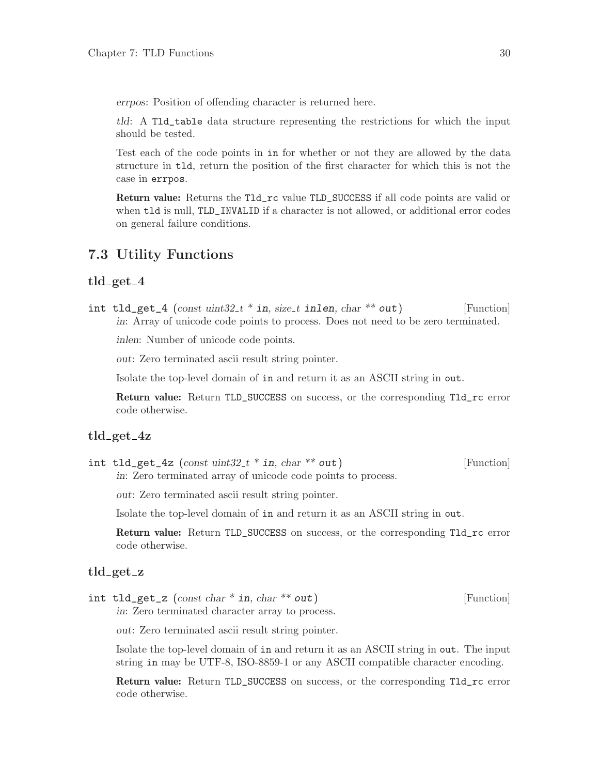<span id="page-34-0"></span>errpos: Position of offending character is returned here.

tld: A Tld\_table data structure representing the restrictions for which the input should be tested.

Test each of the code points in in for whether or not they are allowed by the data structure in tld, return the position of the first character for which this is not the case in errpos.

Return value: Returns the Tld\_rc value TLD\_SUCCESS if all code points are valid or when tld is null, TLD\_INVALID if a character is not allowed, or additional error codes on general failure conditions.

### 7.3 Utility Functions

#### $tld\_get_4$

int tld\_get\_4 (const  $\text{uint32}_t * \text{in}$ , size\_t inlen, char \*\* out) [Function] in: Array of unicode code points to process. Does not need to be zero terminated.

inlen: Number of unicode code points.

out: Zero terminated ascii result string pointer.

Isolate the top-level domain of in and return it as an ASCII string in out.

Return value: Return TLD\_SUCCESS on success, or the corresponding Tld\_rc error code otherwise.

#### tld\_get\_4z

int tld\_get\_4z  $(const \;uint32_t * in, \; char ** out)$  [Function] in: Zero terminated array of unicode code points to process.

out: Zero terminated ascii result string pointer.

Isolate the top-level domain of in and return it as an ASCII string in out.

Return value: Return TLD\_SUCCESS on success, or the corresponding Tld\_rc error code otherwise.

#### tld get z

int tld\_get\_z  $(const \ char * in, char ** out)$  [Function] in: Zero terminated character array to process.

out: Zero terminated ascii result string pointer.

Isolate the top-level domain of in and return it as an ASCII string in out. The input string in may be UTF-8, ISO-8859-1 or any ASCII compatible character encoding.

Return value: Return TLD\_SUCCESS on success, or the corresponding Tld\_rc error code otherwise.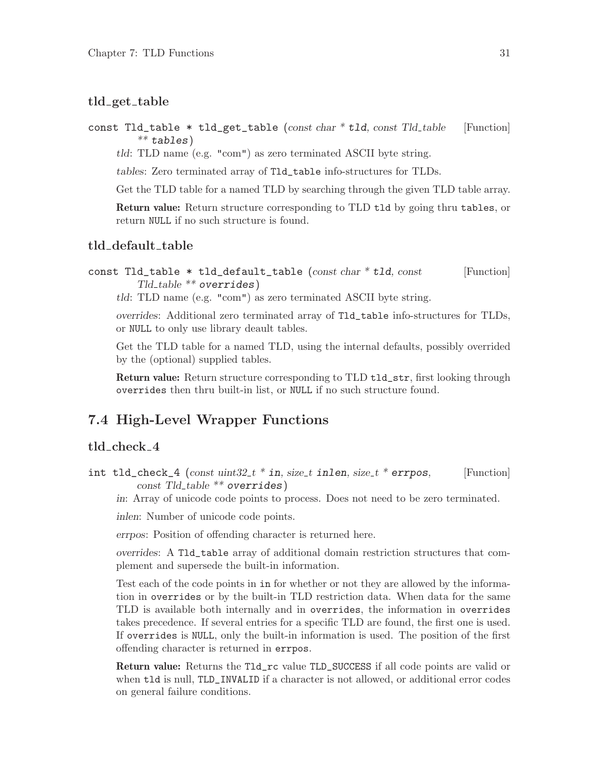#### <span id="page-35-0"></span>tld\_get\_table

const  $Tld\_table$  \* tld\_get\_table (const char \* tld, const Tld\_table [Function]  $**$  tables)

tld: TLD name (e.g. "com") as zero terminated ASCII byte string.

tables: Zero terminated array of Tld\_table info-structures for TLDs.

Get the TLD table for a named TLD by searching through the given TLD table array.

Return value: Return structure corresponding to TLD tld by going thru tables, or return NULL if no such structure is found.

#### tld\_default\_table

const  $Tld\_table$  \*  $tld\_default\_table$  (const char \*  $tld$ , const [Function]  $Tld\_table$  \*\* overrides)

tld: TLD name (e.g. "com") as zero terminated ASCII byte string.

overrides: Additional zero terminated array of Tld\_table info-structures for TLDs, or NULL to only use library deault tables.

Get the TLD table for a named TLD, using the internal defaults, possibly overrided by the (optional) supplied tables.

Return value: Return structure corresponding to TLD tld\_str, first looking through overrides then thru built-in list, or NULL if no such structure found.

### 7.4 High-Level Wrapper Functions

#### tld check 4

int tld\_check\_4 (const  $uint32_t * in$ , size\_t inlen, size\_t \* errpos, [Function]  $const$   $Tld$ -table  $**$  overrides)

in: Array of unicode code points to process. Does not need to be zero terminated.

inlen: Number of unicode code points.

errpos: Position of offending character is returned here.

overrides: A Tld\_table array of additional domain restriction structures that complement and supersede the built-in information.

Test each of the code points in in for whether or not they are allowed by the information in overrides or by the built-in TLD restriction data. When data for the same TLD is available both internally and in overrides, the information in overrides takes precedence. If several entries for a specific TLD are found, the first one is used. If overrides is NULL, only the built-in information is used. The position of the first offending character is returned in errpos.

Return value: Returns the Tld\_rc value TLD\_SUCCESS if all code points are valid or when tld is null, TLD\_INVALID if a character is not allowed, or additional error codes on general failure conditions.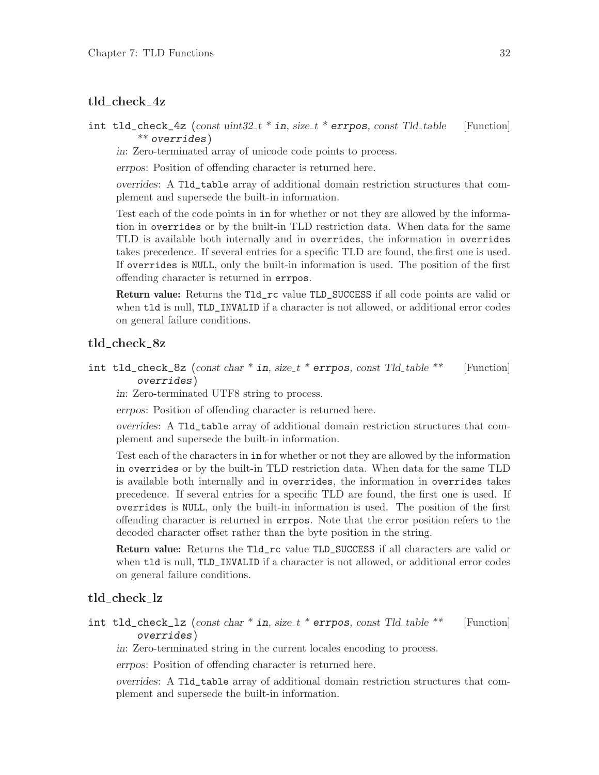#### tld check 4z

int tld\_check\_4z (const  $uint32_t * in$ , size\_t \* errpos, const Tld\_table [Function] \*\* overrides)

in: Zero-terminated array of unicode code points to process.

errpos: Position of offending character is returned here.

overrides: A Tld\_table array of additional domain restriction structures that complement and supersede the built-in information.

Test each of the code points in in for whether or not they are allowed by the information in overrides or by the built-in TLD restriction data. When data for the same TLD is available both internally and in overrides, the information in overrides takes precedence. If several entries for a specific TLD are found, the first one is used. If overrides is NULL, only the built-in information is used. The position of the first offending character is returned in errpos.

Return value: Returns the Tld\_rc value TLD\_SUCCESS if all code points are valid or when tld is null, TLD\_INVALID if a character is not allowed, or additional error codes on general failure conditions.

#### tld\_check\_8z

int tld\_check\_8z (const char \* in, size\_t \* errpos, const Tld\_table \*\* [Function] overrides)

in: Zero-terminated UTF8 string to process.

errpos: Position of offending character is returned here.

overrides: A Tld\_table array of additional domain restriction structures that complement and supersede the built-in information.

Test each of the characters in in for whether or not they are allowed by the information in overrides or by the built-in TLD restriction data. When data for the same TLD is available both internally and in overrides, the information in overrides takes precedence. If several entries for a specific TLD are found, the first one is used. If overrides is NULL, only the built-in information is used. The position of the first offending character is returned in errpos. Note that the error position refers to the decoded character offset rather than the byte position in the string.

Return value: Returns the Tld\_rc value TLD\_SUCCESS if all characters are valid or when tld is null, TLD\_INVALID if a character is not allowed, or additional error codes on general failure conditions.

#### tld check lz

int tld\_check\_lz (const char  $*$  in, size\_t  $*$  errpos, const Tld\_table  $**$  [Function] overrides)

in: Zero-terminated string in the current locales encoding to process.

errpos: Position of offending character is returned here.

overrides: A Tld\_table array of additional domain restriction structures that complement and supersede the built-in information.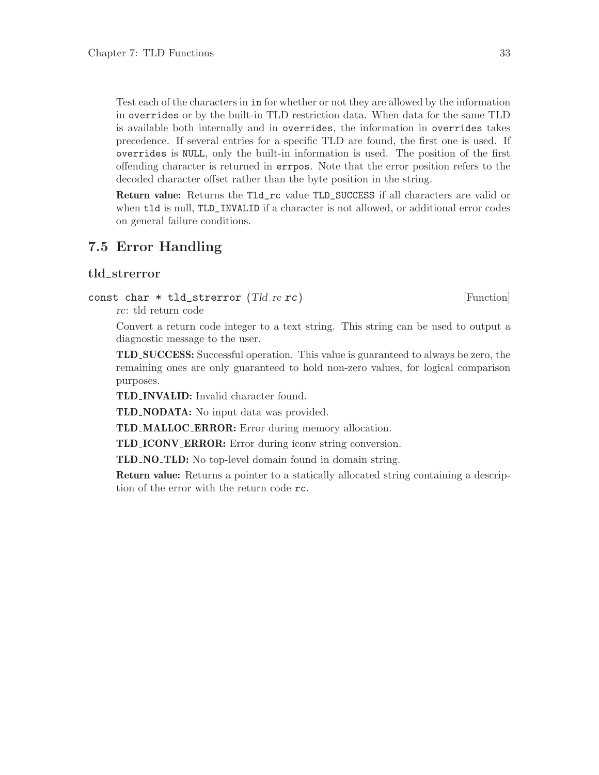Test each of the characters in in for whether or not they are allowed by the information in overrides or by the built-in TLD restriction data. When data for the same TLD is available both internally and in overrides, the information in overrides takes precedence. If several entries for a specific TLD are found, the first one is used. If overrides is NULL, only the built-in information is used. The position of the first offending character is returned in errpos. Note that the error position refers to the decoded character offset rather than the byte position in the string.

Return value: Returns the Tld\_rc value TLD\_SUCCESS if all characters are valid or when tld is null, TLD\_INVALID if a character is not allowed, or additional error codes on general failure conditions.

#### 7.5 Error Handling

#### tld strerror

```
const char * tld_strerror (Tld_rc rc) [Function]
```
rc: tld return code

Convert a return code integer to a text string. This string can be used to output a diagnostic message to the user.

TLD SUCCESS: Successful operation. This value is guaranteed to always be zero, the remaining ones are only guaranteed to hold non-zero values, for logical comparison purposes.

TLD INVALID: Invalid character found.

TLD NODATA: No input data was provided.

TLD MALLOC ERROR: Error during memory allocation.

TLD ICONV ERROR: Error during iconv string conversion.

TLD NO TLD: No top-level domain found in domain string.

Return value: Returns a pointer to a statically allocated string containing a description of the error with the return code rc.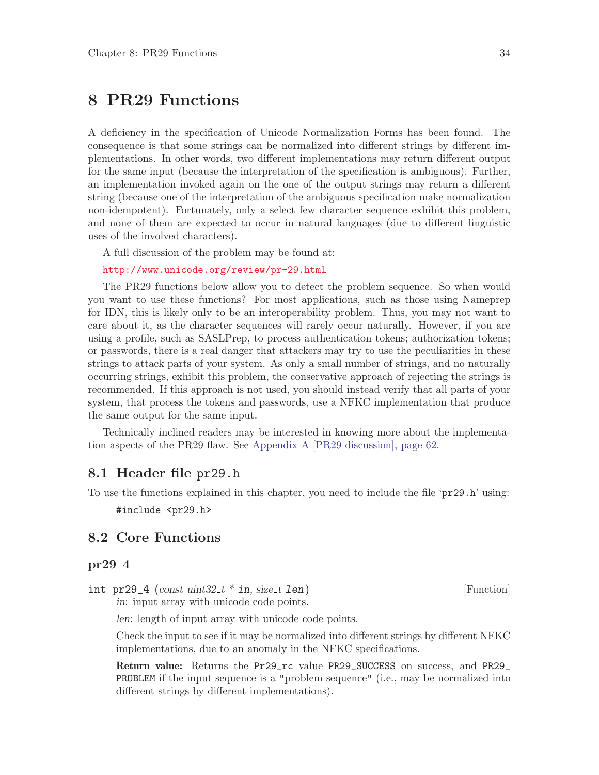# 8 PR29 Functions

A deficiency in the specification of Unicode Normalization Forms has been found. The consequence is that some strings can be normalized into different strings by different implementations. In other words, two different implementations may return different output for the same input (because the interpretation of the specification is ambiguous). Further, an implementation invoked again on the one of the output strings may return a different string (because one of the interpretation of the ambiguous specification make normalization non-idempotent). Fortunately, only a select few character sequence exhibit this problem, and none of them are expected to occur in natural languages (due to different linguistic uses of the involved characters).

A full discussion of the problem may be found at:

<http://www.unicode.org/review/pr-29.html>

The PR29 functions below allow you to detect the problem sequence. So when would you want to use these functions? For most applications, such as those using Nameprep for IDN, this is likely only to be an interoperability problem. Thus, you may not want to care about it, as the character sequences will rarely occur naturally. However, if you are using a profile, such as SASLPrep, to process authentication tokens; authorization tokens; or passwords, there is a real danger that attackers may try to use the peculiarities in these strings to attack parts of your system. As only a small number of strings, and no naturally occurring strings, exhibit this problem, the conservative approach of rejecting the strings is recommended. If this approach is not used, you should instead verify that all parts of your system, that process the tokens and passwords, use a NFKC implementation that produce the same output for the same input.

Technically inclined readers may be interested in knowing more about the implementation aspects of the PR29 flaw. See [Appendix A \[PR29 discussion\], page 62](#page-66-0).

#### 8.1 Header file pr29.h

To use the functions explained in this chapter, you need to include the file 'pr29.h' using:

#include <pr29.h>

#### 8.2 Core Functions

#### $pr29_4$

 $int pr29_4$  (const uint $32_t * in$ , size t len) [Function]

in: input array with unicode code points.

len: length of input array with unicode code points.

Check the input to see if it may be normalized into different strings by different NFKC implementations, due to an anomaly in the NFKC specifications.

Return value: Returns the Pr29\_rc value PR29\_SUCCESS on success, and PR29\_ PROBLEM if the input sequence is a "problem sequence" (i.e., may be normalized into different strings by different implementations).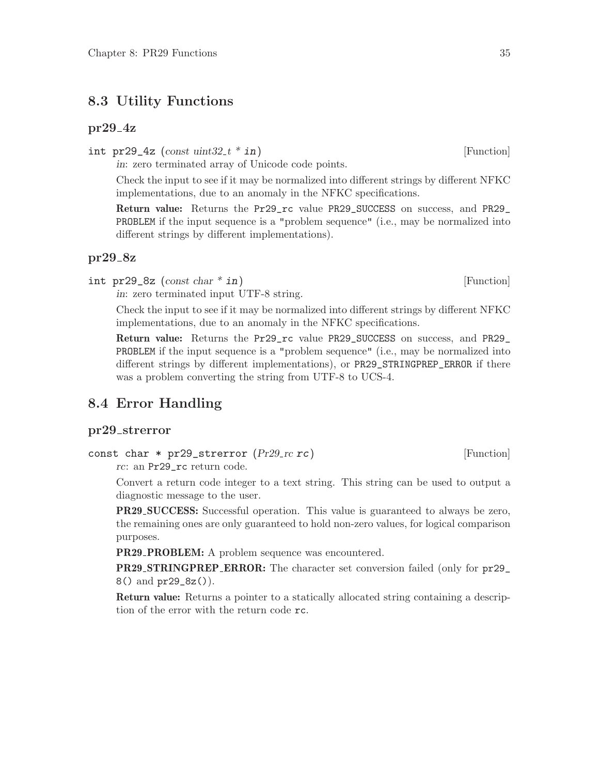#### 8.3 Utility Functions

#### $pr29_4z$

int pr29\_4z (const uint $32 \pm i \sin \theta$ ) [Function]

in: zero terminated array of Unicode code points.

Check the input to see if it may be normalized into different strings by different NFKC implementations, due to an anomaly in the NFKC specifications.

Return value: Returns the Pr29\_rc value PR29\_SUCCESS on success, and PR29\_ PROBLEM if the input sequence is a "problem sequence" (i.e., may be normalized into different strings by different implementations).

#### pr29<sub>-8z</sub>

int pr29\_8z (const char  $*$  in) [Function]

in: zero terminated input UTF-8 string.

Check the input to see if it may be normalized into different strings by different NFKC implementations, due to an anomaly in the NFKC specifications.

Return value: Returns the Pr29\_rc value PR29\_SUCCESS on success, and PR29\_ PROBLEM if the input sequence is a "problem sequence" (i.e., may be normalized into different strings by different implementations), or PR29\_STRINGPREP\_ERROR if there was a problem converting the string from UTF-8 to UCS-4.

#### 8.4 Error Handling

#### pr29 strerror

```
const char * pr29_strerror (Pr29<sub>-rc</sub> rc) [Function]
```
rc: an Pr29\_rc return code.

Convert a return code integer to a text string. This string can be used to output a diagnostic message to the user.

PR29 SUCCESS: Successful operation. This value is guaranteed to always be zero, the remaining ones are only guaranteed to hold non-zero values, for logical comparison purposes.

**PR29\_PROBLEM:** A problem sequence was encountered.

PR29 STRINGPREP ERROR: The character set conversion failed (only for pr29\_ 8() and pr29\_8z()).

Return value: Returns a pointer to a statically allocated string containing a description of the error with the return code rc.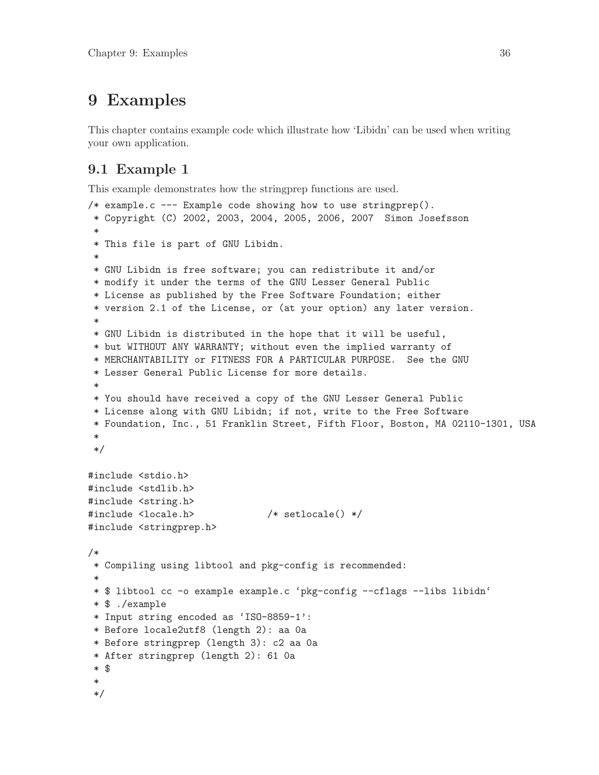# 9 Examples

This chapter contains example code which illustrate how 'Libidn' can be used when writing your own application.

# 9.1 Example 1

This example demonstrates how the stringprep functions are used.

```
/* example.c --- Example code showing how to use stringprep().
* Copyright (C) 2002, 2003, 2004, 2005, 2006, 2007 Simon Josefsson
 *
* This file is part of GNU Libidn.
 *
* GNU Libidn is free software; you can redistribute it and/or
* modify it under the terms of the GNU Lesser General Public
* License as published by the Free Software Foundation; either
* version 2.1 of the License, or (at your option) any later version.
 *
* GNU Libidn is distributed in the hope that it will be useful,
* but WITHOUT ANY WARRANTY; without even the implied warranty of
* MERCHANTABILITY or FITNESS FOR A PARTICULAR PURPOSE. See the GNU
* Lesser General Public License for more details.
 *
* You should have received a copy of the GNU Lesser General Public
* License along with GNU Libidn; if not, write to the Free Software
* Foundation, Inc., 51 Franklin Street, Fifth Floor, Boston, MA 02110-1301, USA
 *
*/
#include <stdio.h>
#include <stdlib.h>
#include <string.h>
#include <locale.h> /* setlocale() */
#include <stringprep.h>
/*
 * Compiling using libtool and pkg-config is recommended:
 *
* $ libtool cc -o example example.c 'pkg-config --cflags --libs libidn'
* $ ./example
* Input string encoded as 'ISO-8859-1':
* Before locale2utf8 (length 2): aa 0a
* Before stringprep (length 3): c2 aa 0a
* After stringprep (length 2): 61 0a
* $
 *
*/
```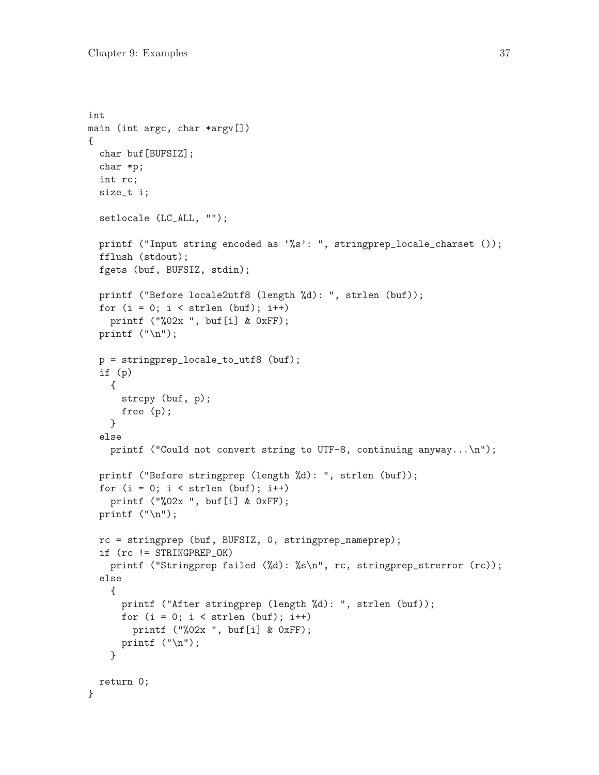```
int
main (int argc, char *argv[])
{
 char buf[BUFSIZ];
 char *p;
 int rc;
  size_t i;
 setlocale (LC_ALL, "");
 printf ("Input string encoded as '%s': ", stringprep_locale_charset ());
 fflush (stdout);
 fgets (buf, BUFSIZ, stdin);
 printf ("Before locale2utf8 (length %d): ", strlen (buf));
 for (i = 0; i < strlen (buf); i++)printf ("%02x ", buf[i] & 0xFF);
 printf ("n");
 p = stringprep_locale_to_utf8 (buf);
 if (p)
    {
      strcpy (buf, p);
     free (p);
    }
  else
    printf ("Could not convert string to UTF-8, continuing anyway...\n\cdot \n\cdot);
 printf ("Before stringprep (length %d): ", strlen (buf));
 for (i = 0; i < str1en (buf); i++)printf ("%02x ", buf[i] & 0xFF);
 printf ("n");
 rc = stringprep (buf, BUFSIZ, 0, stringprep_nameprep);
  if (rc != STRINGPREP_OK)
   printf ("Stringprep failed (%d): %s\n", rc, stringprep_strerror (rc));
 else
    {
      printf ("After stringprep (length %d): ", strlen (buf));
      for (i = 0; i < str1en (buf); i++)printf ("%02x ", buf[i] & 0xFF);
     printf ("n");
    }
 return 0;
}
```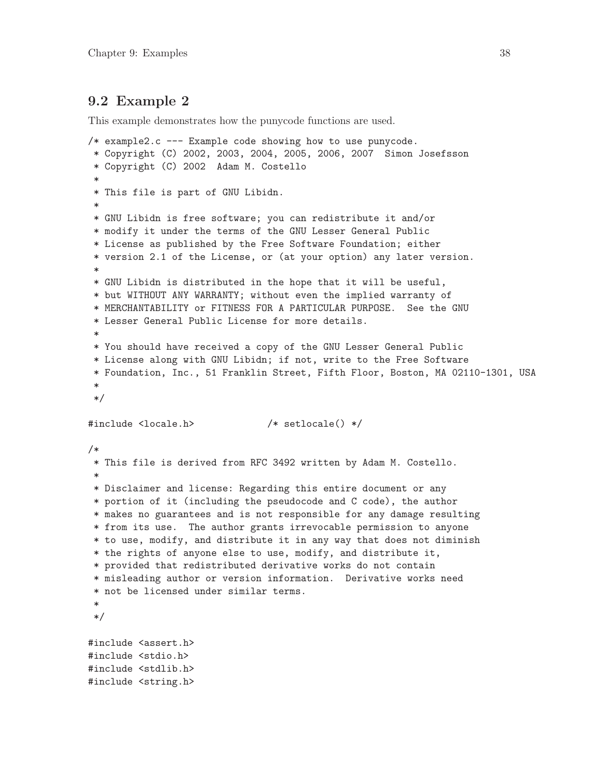# 9.2 Example 2

This example demonstrates how the punycode functions are used.

```
/* example2.c --- Example code showing how to use punycode.
 * Copyright (C) 2002, 2003, 2004, 2005, 2006, 2007 Simon Josefsson
 * Copyright (C) 2002 Adam M. Costello
 *
* This file is part of GNU Libidn.
 *
* GNU Libidn is free software; you can redistribute it and/or
 * modify it under the terms of the GNU Lesser General Public
 * License as published by the Free Software Foundation; either
 * version 2.1 of the License, or (at your option) any later version.
 *
 * GNU Libidn is distributed in the hope that it will be useful,
* but WITHOUT ANY WARRANTY; without even the implied warranty of
 * MERCHANTABILITY or FITNESS FOR A PARTICULAR PURPOSE. See the GNU
 * Lesser General Public License for more details.
 *
* You should have received a copy of the GNU Lesser General Public
 * License along with GNU Libidn; if not, write to the Free Software
* Foundation, Inc., 51 Franklin Street, Fifth Floor, Boston, MA 02110-1301, USA
 *
*/
#include <locale.h> /* setlocale() */
/*
 * This file is derived from RFC 3492 written by Adam M. Costello.
 *
 * Disclaimer and license: Regarding this entire document or any
 * portion of it (including the pseudocode and C code), the author
* makes no guarantees and is not responsible for any damage resulting
* from its use. The author grants irrevocable permission to anyone
 * to use, modify, and distribute it in any way that does not diminish
 * the rights of anyone else to use, modify, and distribute it,
 * provided that redistributed derivative works do not contain
 * misleading author or version information. Derivative works need
 * not be licensed under similar terms.
 *
*/
#include <assert.h>
#include <stdio.h>
#include <stdlib.h>
#include <string.h>
```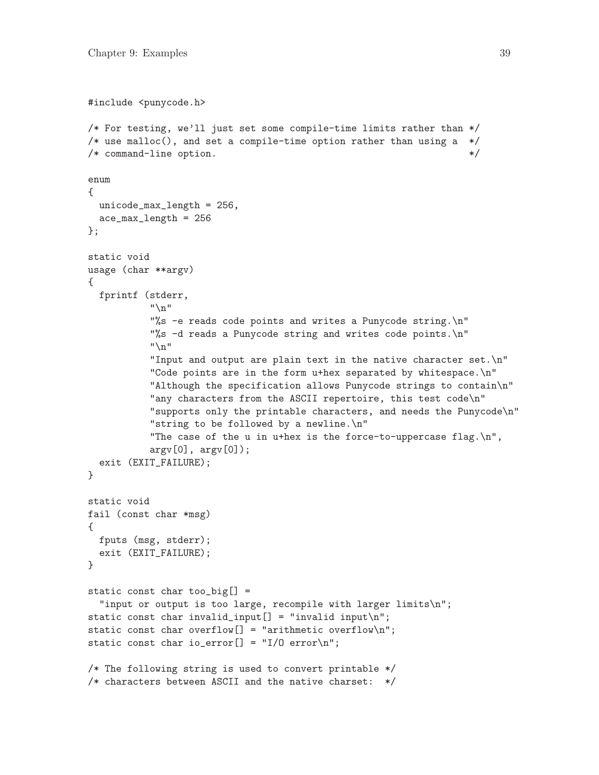```
#include <punycode.h>
/* For testing, we'll just set some compile-time limits rather than */
/* use malloc(), and set a compile-time option rather than using a *//* command-line option. */enum
{
 unicode_max_length = 256,
 ace_max_length = 256
};
static void
usage (char **argv)
{
 fprintf (stderr,
           "\n"
           "%s -e reads code points and writes a Punycode string.\n"
           "%s -d reads a Punycode string and writes code points.\n"
           "\n"
           "Input and output are plain text in the native character set.\n"
           "Code points are in the form u+hex separated by whitespace.\n"
           "Although the specification allows Punycode strings to contain\n"
           "any characters from the ASCII repertoire, this test code\n"
           "supports only the printable characters, and needs the Punycode\n"
           "string to be followed by a newline.\n"
           "The case of the u in u+hex is the force-to-uppercase flag.\n\cdot u",
           argv[0], argv[0]);exit (EXIT_FAILURE);
}
static void
fail (const char *msg)
{
 fputs (msg, stderr);
  exit (EXIT_FAILURE);
}
static const char too_big[] =
  "input or output is too large, recompile with larger limits\n";
static const char invalid_input[] = "invality input\\n";static const char overflow[] = "arithmetic overflow\n";
static const char io_error[] = "I/O error\n";
/* The following string is used to convert printable */
/* characters between ASCII and the native charset: */
```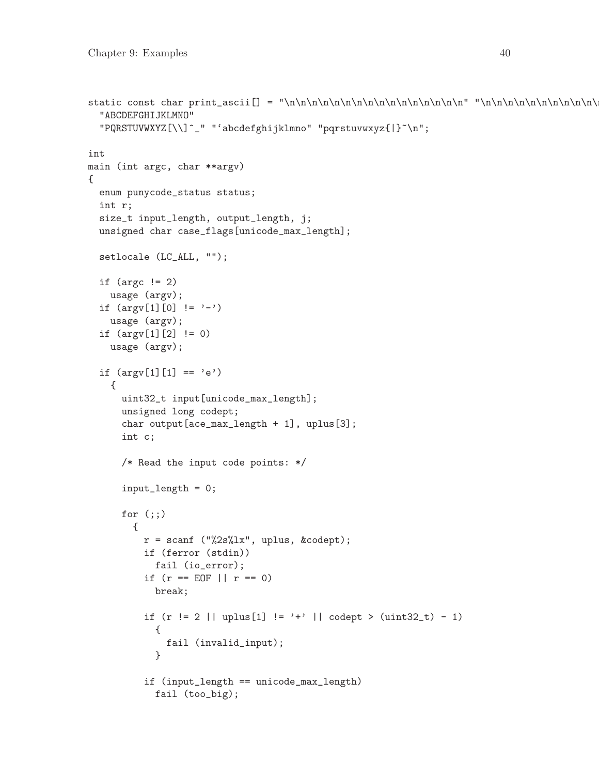```
static const char print_ascii[] = "\n\n\n\n\n\n\n\n\n\n\n\n\n\n\n\n" "\n\n\n\n\n\n\n\n\n\n\n\n\n\n\n\n" " !\"#$%&'()*+,-./" "0123456789:;<=>?" "\0x40" /* at sign */
  "ABCDEFGHIJKLMNO"
  "PQRSTUVWXYZ[\\]^_" "'abcdefghijklmno" "pqrstuvwxyz{|}~\n";
int
main (int argc, char **argv)
{
  enum punycode_status status;
  int r;
  size_t input_length, output_length, j;
  unsigned char case_flags[unicode_max_length];
  setlocale (LC_ALL, "");
  if (\arg c := 2)usage (argv);
  if (\arg v[1][0] != '-'')usage (argv);
  if (argv[1][2] != 0)
    usage (argv);
  if (\arg v[1][1] == 'e'){
      uint32_t input[unicode_max_length];
      unsigned long codept;
      char output[ace_max_length + 1], uplus[3];
      int c;
      /* Read the input code points: */
       input_length = 0;
      for (;;)
         {
           r = \text{scanf} ("%2s%1x", uplus, &codept);
           if (ferror (stdin))
             fail (io_error);
           if (r == E0F || r == 0)break;
           if (r := 2 || \text{uplus}[1] := '+' || \text{code} \times (\text{uint32}_t) - 1){
               fail (invalid_input);
             }
           if (input_length == unicode_max_length)
             fail (too_big);
```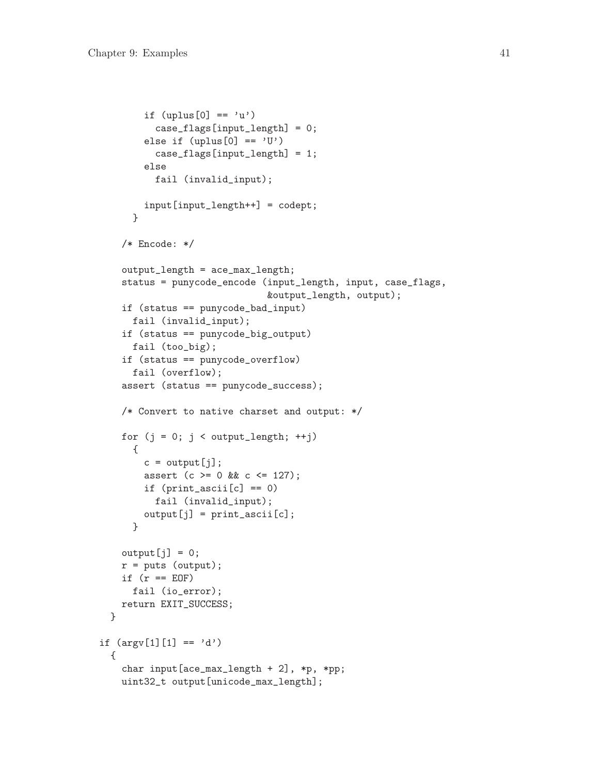```
if (uplus[0] == 'u')case_flags[input_length] = 0;
        else if (uplus[0] == 'U')case_flags[input_length] = 1;
        else
          fail (invalid_input);
        input[input_length++] = codept;
      }
    /* Encode: */
    output_length = ace_max_length;
    status = punycode_encode (input_length, input, case_flags,
                              &output_length, output);
    if (status == punycode_bad_input)
      fail (invalid_input);
    if (status == punycode_big_output)
      fail (too_big);
    if (status == punycode_overflow)
      fail (overflow);
    assert (status == punycode_success);
    /* Convert to native charset and output: */
    for (j = 0; j < output_length; ++j){
        c = output[j];assert (c >= 0 && c <= 127);
        if (print_ascii[c] == 0)fail (invalid_input);
        output[j] = print\_ascii[c];}
    output[j] = 0;r = puts (output);if (r == E0F)fail (io_error);
    return EXIT_SUCCESS;
  }
if (\arg v[1][1] == 'd'){
    char input[ace_max_length + 2], *p, *pp;
    uint32_t output[unicode_max_length];
```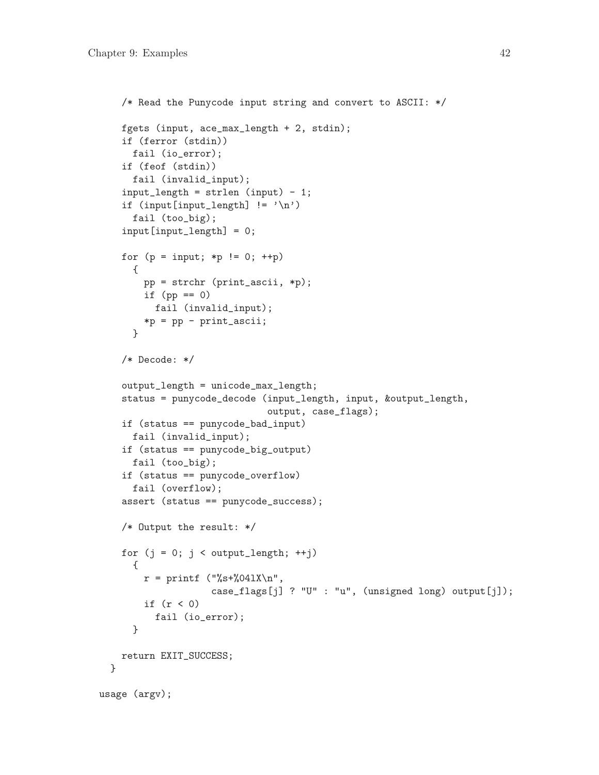```
/* Read the Punycode input string and convert to ASCII: */
   fgets (input, ace_max_length + 2, stdin);
    if (ferror (stdin))
     fail (io_error);
   if (feof (stdin))
     fail (invalid_input);
    input_length = strlen (input) - 1;
    if (input[input_length] != '\n')
     fail (too_big);
    input[input_length] = 0;
   for (p = input; *p != 0; ++p){
       pp = strchr (print_ascii, *p);
       if (pp == 0)fail (invalid_input);
       *p = pp - print_ascii;
     }
   /* Decode: */
    output_length = unicode_max_length;
    status = punycode_decode (input_length, input, &output_length,
                              output, case_flags);
   if (status == punycode_bad_input)
     fail (invalid_input);
   if (status == punycode_big_output)
     fail (too_big);
   if (status == punycode_overflow)
     fail (overflow);
   assert (status == punycode_success);
   /* Output the result: */
    for (j = 0; j < output_length; ++j){
       r = print ("%s+%041X\n",
                    case_flags[j] ? "U" : "u", (unsigned long) output[j]);
        if (r < 0)fail (io_error);
     }
   return EXIT_SUCCESS;
 }
usage (argv);
```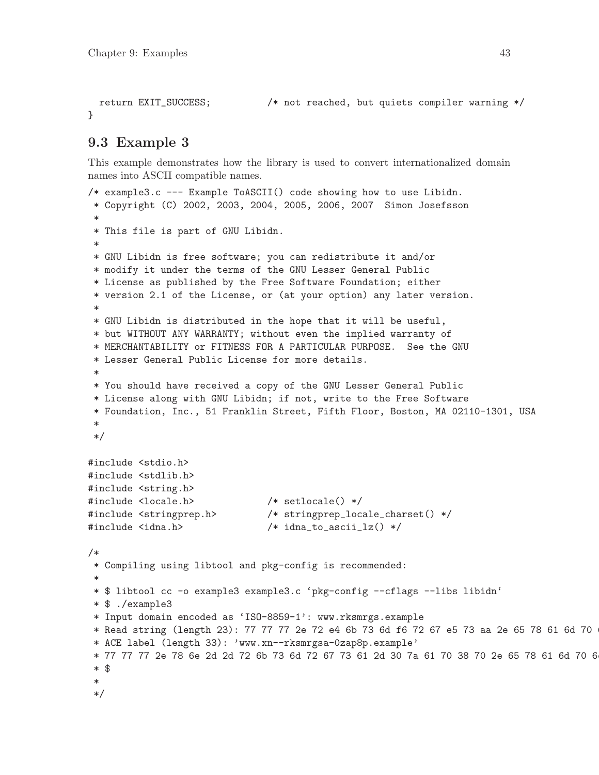```
return EXIT_SUCCESS; /* not reached, but quiets compiler warning */
}
```
# 9.3 Example 3

This example demonstrates how the library is used to convert internationalized domain names into ASCII compatible names.

```
/* example3.c --- Example ToASCII() code showing how to use Libidn.
 * Copyright (C) 2002, 2003, 2004, 2005, 2006, 2007 Simon Josefsson
 *
* This file is part of GNU Libidn.
 *
* GNU Libidn is free software; you can redistribute it and/or
* modify it under the terms of the GNU Lesser General Public
 * License as published by the Free Software Foundation; either
 * version 2.1 of the License, or (at your option) any later version.
 *
* GNU Libidn is distributed in the hope that it will be useful,
 * but WITHOUT ANY WARRANTY; without even the implied warranty of
 * MERCHANTABILITY or FITNESS FOR A PARTICULAR PURPOSE. See the GNU
 * Lesser General Public License for more details.
 *
* You should have received a copy of the GNU Lesser General Public
 * License along with GNU Libidn; if not, write to the Free Software
 * Foundation, Inc., 51 Franklin Street, Fifth Floor, Boston, MA 02110-1301, USA
 *
 */
#include <stdio.h>
#include <stdlib.h>
#include <string.h>
#include <locale.h> /* setlocale() */
#include <stringprep.h> /* stringprep_locale_charset() */
#include <idna.h> /* idna_to_ascii_lz() */
/*
 * Compiling using libtool and pkg-config is recommended:
 *
* $ libtool cc -o example3 example3.c 'pkg-config --cflags --libs libidn'
* $ ./example3
* Input domain encoded as 'ISO-8859-1': www.rksmrgs.example
* Read string (length 23): 77 77 77 2e 72 e4 6b 73 6d f6 72 67 e5 73 aa 2e 65 78 61 6d 70
* ACE label (length 33): 'www.xn--rksmrgsa-0zap8p.example'
 * 77 77 77 2e 78 6e 2d 2d 72 6b 73 6d 72 67 73 61 2d 30 7a 61 70 38 70 2e 65 78 61 6d 70 6
 * $
 *
 */
```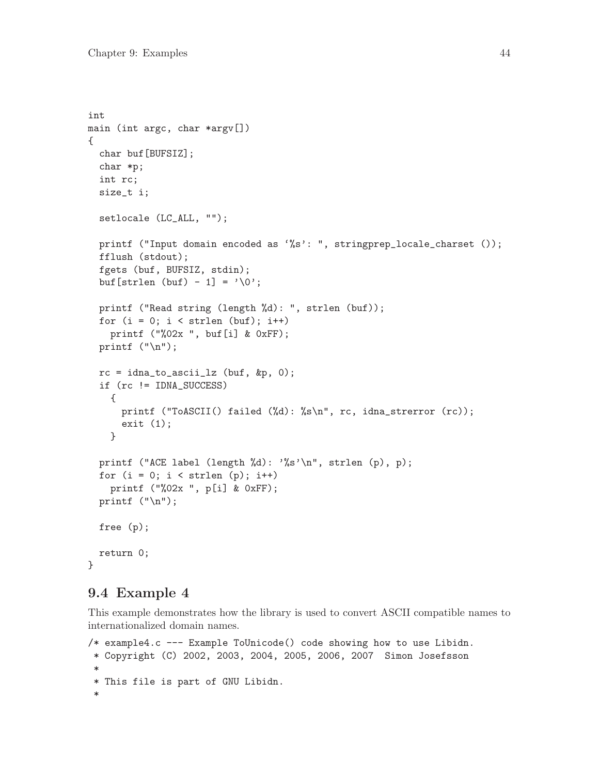```
int
main (int argc, char *argv[])
{
 char buf[BUFSIZ];
 char *p;
 int rc;
  size_t i;
 setlocale (LC_ALL, "");
 printf ("Input domain encoded as '%s': ", stringprep_locale_charset ());
 fflush (stdout);
 fgets (buf, BUFSIZ, stdin);
 buf [strlen (buf) - 1] = \sqrt{0'};
 printf ("Read string (length %d): ", strlen (buf));
 for (i = 0; i < str1en (buf); i++)printf ("%02x ", buf[i] & 0xFF);
 printf ("n");
 rc = idna_to_ascii_1z (buf, &p, 0);
  if (rc != IDNA_SUCCESS)
    {
     printf ("ToASCII() failed (%d): %s\n", rc, idna_strerror (rc));
      exit (1);
    }
 printf ("ACE label (length %d): '%s'\n", strlen (p), p);
 for (i = 0; i < strlen (p); i++)printf ("%02x ", p[i] & 0xFF);
 printf ("n");
 free (p);
 return 0;
}
```
# 9.4 Example 4

This example demonstrates how the library is used to convert ASCII compatible names to internationalized domain names.

```
/* example4.c --- Example ToUnicode() code showing how to use Libidn.
 * Copyright (C) 2002, 2003, 2004, 2005, 2006, 2007 Simon Josefsson
*
* This file is part of GNU Libidn.
 *
```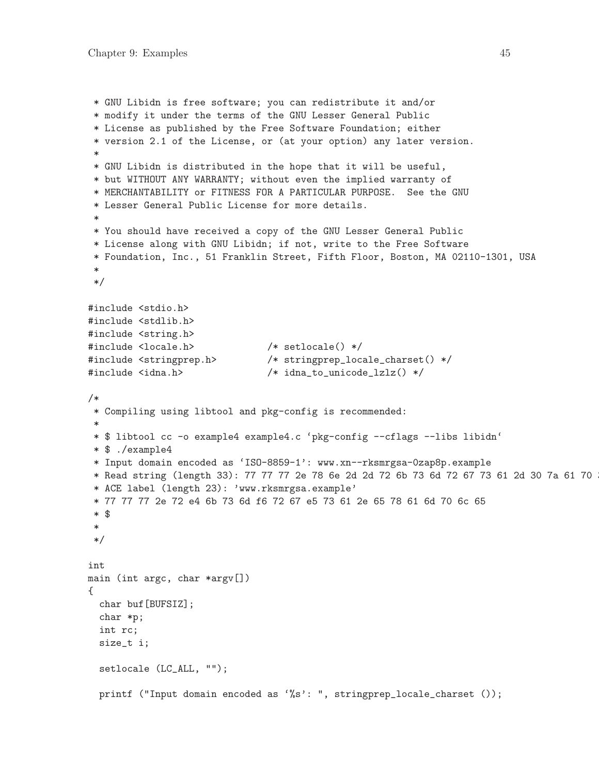```
* GNU Libidn is free software; you can redistribute it and/or
* modify it under the terms of the GNU Lesser General Public
 * License as published by the Free Software Foundation; either
* version 2.1 of the License, or (at your option) any later version.
 *
* GNU Libidn is distributed in the hope that it will be useful,
* but WITHOUT ANY WARRANTY; without even the implied warranty of
* MERCHANTABILITY or FITNESS FOR A PARTICULAR PURPOSE. See the GNU
 * Lesser General Public License for more details.
 *
* You should have received a copy of the GNU Lesser General Public
* License along with GNU Libidn; if not, write to the Free Software
* Foundation, Inc., 51 Franklin Street, Fifth Floor, Boston, MA 02110-1301, USA
 *
*/
#include <stdio.h>
#include <stdlib.h>
#include <string.h>
#include <locale.h> /* setlocale() */
#include <stringprep.h> /* stringprep_locale_charset() */
#include <idna.h> /* idna_to_unicode_lzlz() */
/*
* Compiling using libtool and pkg-config is recommended:
 *
* $ libtool cc -o example4 example4.c 'pkg-config --cflags --libs libidn'
* $ ./example4
 * Input domain encoded as 'ISO-8859-1': www.xn--rksmrgsa-0zap8p.example
* Read string (length 33): 77 77 77 2e 78 6e 2d 2d 72 6b 73 6d 72 67 73 61 2d 30 7a 61 70
 * ACE label (length 23): 'www.rksmrgsa.example'
* 77 77 77 2e 72 e4 6b 73 6d f6 72 67 e5 73 61 2e 65 78 61 6d 70 6c 65
 * $
 *
*/
int
main (int argc, char *argv[])
{
 char buf[BUFSIZ];
 char *p;
 int rc;
 size_t i;
 setlocale (LC_ALL, "");
 printf ("Input domain encoded as '%s': ", stringprep_locale_charset ());
```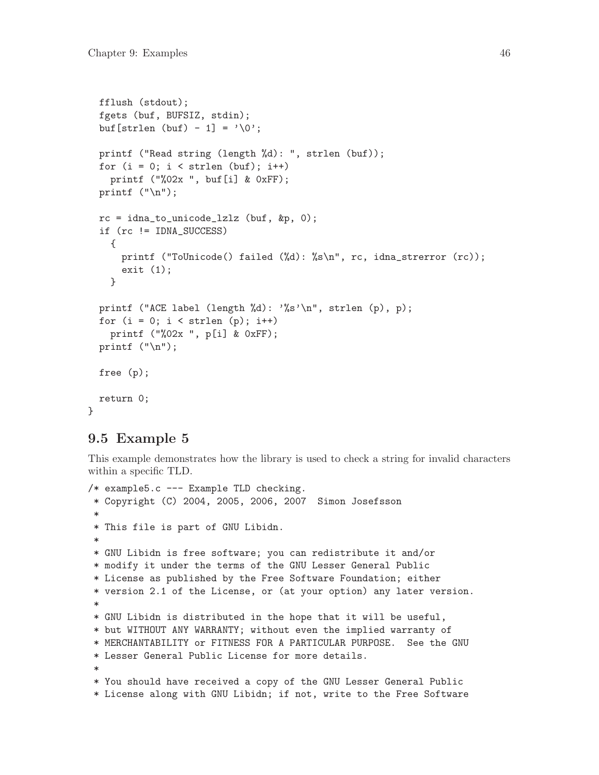```
fflush (stdout);
fgets (buf, BUFSIZ, stdin);
buf [strlen (buf) - 1] = \sqrt{0'};
printf ("Read string (length %d): ", strlen (buf));
for (i = 0; i < str1en (buf); i++)printf ("%02x ", buf[i] & 0xFF);
printf ("n");
rc = idna_to_unicode_1z1z (buf, kp, 0);
if (rc != IDNA_SUCCESS)
  {
    printf ("ToUnicode() failed (%d): %s\n", rc, idna_strerror (rc));
    exit (1);
  }
printf ("ACE label (length %d): '%s'\n", strlen (p), p);
for (i = 0; i < strlen (p); i++)printf ("%02x ", p[i] & 0xFF);
printf ("n");
free (p);
return 0;
```
### 9.5 Example 5

}

This example demonstrates how the library is used to check a string for invalid characters within a specific TLD.

```
/* example5.c --- Example TLD checking.
* Copyright (C) 2004, 2005, 2006, 2007 Simon Josefsson
 *
* This file is part of GNU Libidn.
 *
* GNU Libidn is free software; you can redistribute it and/or
* modify it under the terms of the GNU Lesser General Public
* License as published by the Free Software Foundation; either
* version 2.1 of the License, or (at your option) any later version.
 *
* GNU Libidn is distributed in the hope that it will be useful,
* but WITHOUT ANY WARRANTY; without even the implied warranty of
* MERCHANTABILITY or FITNESS FOR A PARTICULAR PURPOSE. See the GNU
* Lesser General Public License for more details.
 *
* You should have received a copy of the GNU Lesser General Public
* License along with GNU Libidn; if not, write to the Free Software
```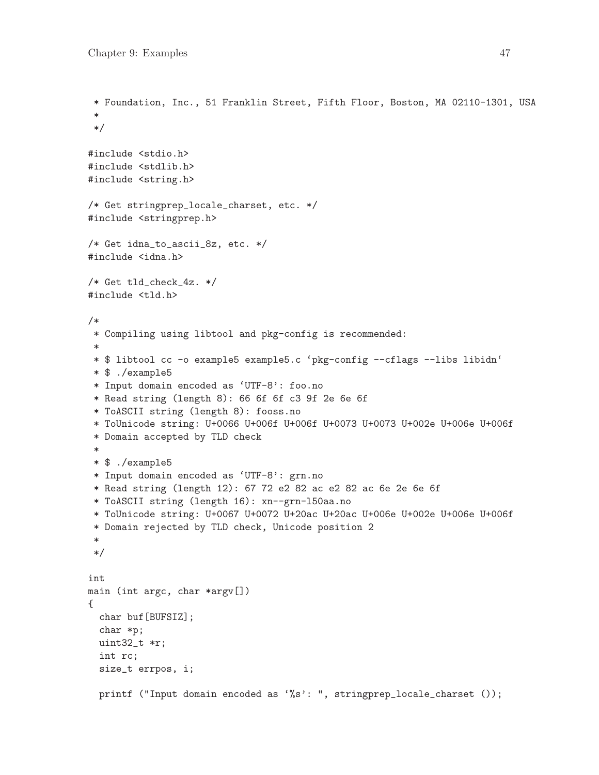```
* Foundation, Inc., 51 Franklin Street, Fifth Floor, Boston, MA 02110-1301, USA
 *
 */
#include <stdio.h>
#include <stdlib.h>
#include <string.h>
/* Get stringprep_locale_charset, etc. */
#include <stringprep.h>
/* Get idna_to_ascii_8z, etc. */
#include <idna.h>
/* Get tld_check_4z. */
#include <tld.h>
/*
* Compiling using libtool and pkg-config is recommended:
 *
* $ libtool cc -o example5 example5.c 'pkg-config --cflags --libs libidn'
* $ ./example5
* Input domain encoded as 'UTF-8': foo.no
* Read string (length 8): 66 6f 6f c3 9f 2e 6e 6f
* ToASCII string (length 8): fooss.no
* ToUnicode string: U+0066 U+006f U+006f U+0073 U+0073 U+002e U+006e U+006f
 * Domain accepted by TLD check
 *
* $ ./example5
* Input domain encoded as 'UTF-8': grn.no
* Read string (length 12): 67 72 e2 82 ac e2 82 ac 6e 2e 6e 6f
* ToASCII string (length 16): xn--grn-l50aa.no
* ToUnicode string: U+0067 U+0072 U+20ac U+20ac U+006e U+002e U+006e U+006f
 * Domain rejected by TLD check, Unicode position 2
 *
*/
int
main (int argc, char *argv[])
{
 char buf[BUFSIZ];
 char *p;
 uint32_t *r;
  int rc;
 size_t errpos, i;
 printf ("Input domain encoded as '%s': ", stringprep_locale_charset ());
```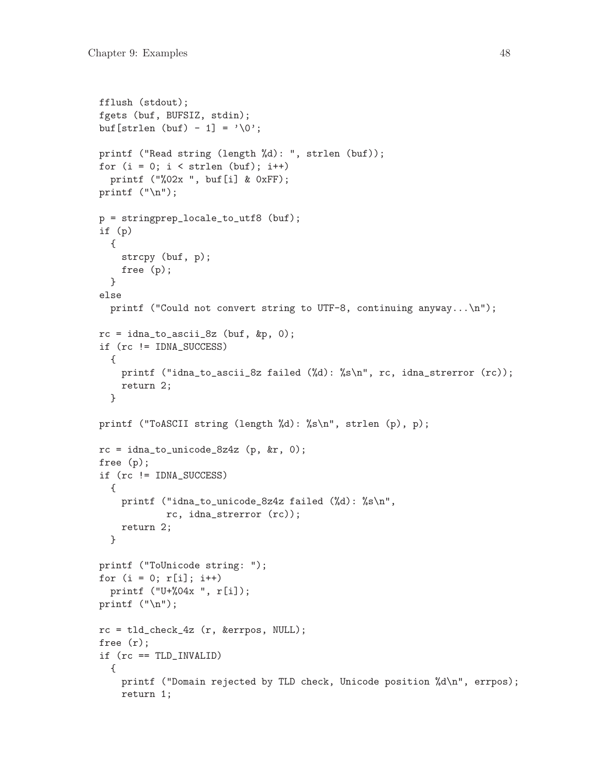```
fflush (stdout);
fgets (buf, BUFSIZ, stdin);
buf [strlen (buf) - 1] = \sqrt{0'};
printf ("Read string (length %d): ", strlen (buf));
for (i = 0; i < str1en (buf); i++)printf ("%02x ", buf[i] & 0xFF);
printf ("n");
p = stringprep_locale_to_utf8 (buf);
if (p)
  {
    strcpy (buf, p);
    free (p);
  }
else
  printf ("Could not convert string to UTF-8, continuing anyway...\n\cdot \cdot \cdot);
rc = idna_to_ascii_8z (buf, &p, 0);
if (rc != IDNA_SUCCESS)
  {
    printf ("idna_to_ascii_8z failed (%d): %s\n", rc, idna_strerror (rc));
    return 2;
  }
printf ("ToASCII string (length %d): %s\n", strlen (p), p);
rc = idna_to_unicode_8z4z (p, kr, 0);
free (p);
if (rc != IDNA_SUCCESS)
  {
    printf ("idna_to_unicode_8z4z failed (%d): %s\n",
           rc, idna_strerror (rc));
   return 2;
  }
printf ("ToUnicode string: ");
for (i = 0; r[i]; i++)printf ("U+%04x ", r[i]);
printf ("n");
rc = tld_check_4z (r, &errpos, NULL);
free (r);
if (rc == TLD_INVALID)
  {
    printf ("Domain rejected by TLD check, Unicode position %d\n", errpos);
    return 1;
```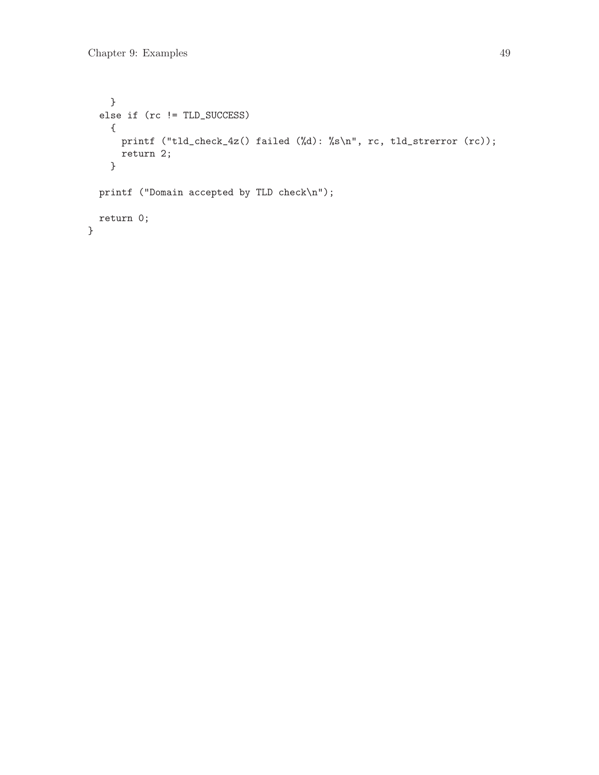```
}
 else if (rc != TLD_SUCCESS)
   {
     printf ("tld_check_4z() failed (%d): %s\n", rc, tld_strerror (rc));
     return 2;
   }
 printf ("Domain accepted by TLD check\n");
 return 0;
}
```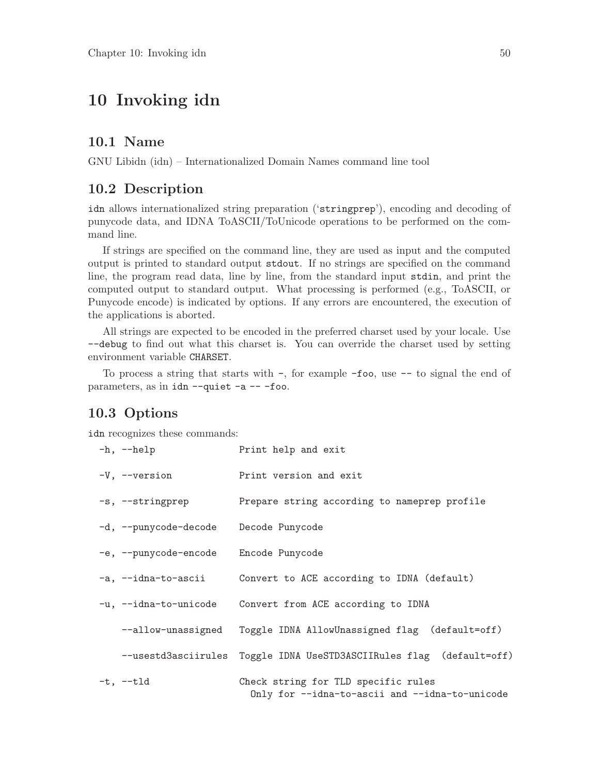# 10 Invoking idn

#### 10.1 Name

GNU Libidn (idn) – Internationalized Domain Names command line tool

#### 10.2 Description

idn allows internationalized string preparation ('stringprep'), encoding and decoding of punycode data, and IDNA ToASCII/ToUnicode operations to be performed on the command line.

If strings are specified on the command line, they are used as input and the computed output is printed to standard output stdout. If no strings are specified on the command line, the program read data, line by line, from the standard input stdin, and print the computed output to standard output. What processing is performed (e.g., ToASCII, or Punycode encode) is indicated by options. If any errors are encountered, the execution of the applications is aborted.

All strings are expected to be encoded in the preferred charset used by your locale. Use --debug to find out what this charset is. You can override the charset used by setting environment variable CHARSET.

To process a string that starts with -, for example -foo, use -- to signal the end of parameters, as in idn --quiet -a -- -foo.

### 10.3 Options

idn recognizes these commands:

| $-h$ , $-help$                        | Print help and exit                                                                   |
|---------------------------------------|---------------------------------------------------------------------------------------|
| -V, --version                         | Print version and exit                                                                |
| -s, --stringprep                      | Prepare string according to nameprep profile                                          |
| -d, --punycode-decode Decode Punycode |                                                                                       |
| -e, --punycode-encode Encode Punycode |                                                                                       |
| -a, --idna-to-ascii                   | Convert to ACE according to IDNA (default)                                            |
| -u, --idna-to-unicode                 | Convert from ACE according to IDNA                                                    |
|                                       | --allow-unassigned Toggle IDNA AllowUnassigned flag (default=off)                     |
|                                       | --usestd3asciirules Toggle IDNA UseSTD3ASCIIRules flag (default=off)                  |
| $-t, --t$ ld                          | Check string for TLD specific rules<br>Only for --idna-to-ascii and --idna-to-unicode |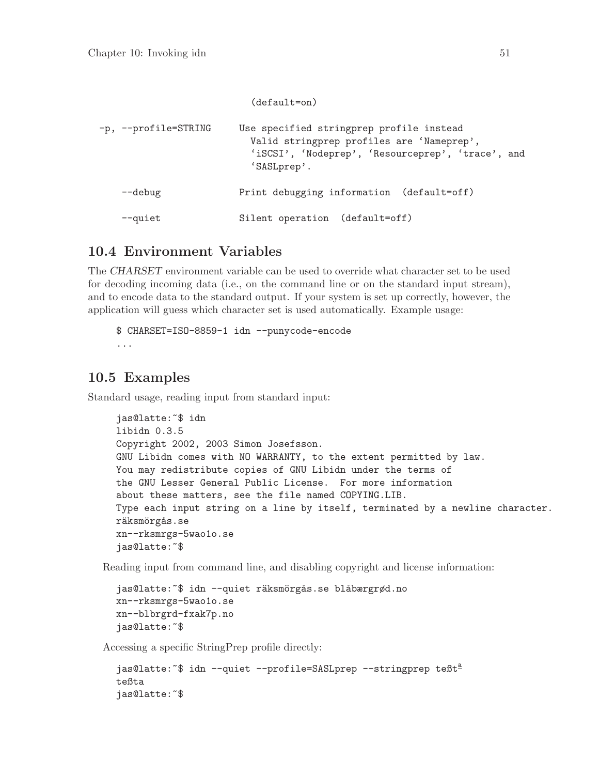|                      | $(default=on)$                                                                                                                                            |
|----------------------|-----------------------------------------------------------------------------------------------------------------------------------------------------------|
| -p, --profile=STRING | Use specified stringprep profile instead<br>Valid stringprep profiles are 'Nameprep',<br>'iSCSI', 'Nodeprep', 'Resourceprep', 'trace', and<br>'SASLprep'. |
| --debug              | Print debugging information (default=off)                                                                                                                 |
| --quiet              | Silent operation (default=off)                                                                                                                            |

# 10.4 Environment Variables

The CHARSET environment variable can be used to override what character set to be used for decoding incoming data (i.e., on the command line or on the standard input stream), and to encode data to the standard output. If your system is set up correctly, however, the application will guess which character set is used automatically. Example usage:

```
$ CHARSET=ISO-8859-1 idn --punycode-encode
...
```
# 10.5 Examples

Standard usage, reading input from standard input:

```
jas@latte:~$ idn
libidn 0.3.5
Copyright 2002, 2003 Simon Josefsson.
GNU Libidn comes with NO WARRANTY, to the extent permitted by law.
You may redistribute copies of GNU Libidn under the terms of
the GNU Lesser General Public License. For more information
about these matters, see the file named COPYING.LIB.
Type each input string on a line by itself, terminated by a newline character.
räksmörgås.se
xn--rksmrgs-5wao1o.se
jas@latte:~$
```
Reading input from command line, and disabling copyright and license information:

```
jas@latte:~$ idn --quiet räksmörgås.se blåbærgrød.no
xn--rksmrgs-5wao1o.se
xn--blbrgrd-fxak7p.no
jas@latte:~$
```
Accessing a specific StringPrep profile directly:

```
jas@latte:~$ idn --quiet --profile=SASLprep --stringprep teßt<sup>a</sup>
teßta
jas@latte:~$
```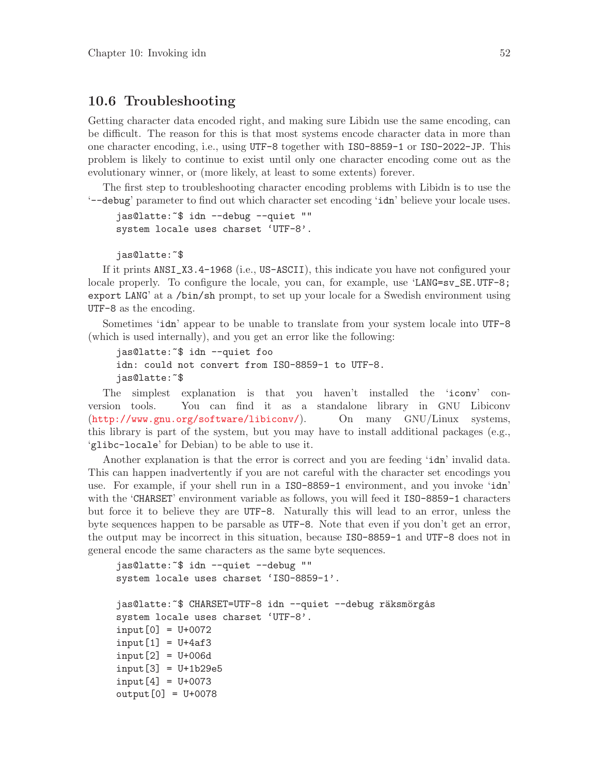#### 10.6 Troubleshooting

Getting character data encoded right, and making sure Libidn use the same encoding, can be difficult. The reason for this is that most systems encode character data in more than one character encoding, i.e., using UTF-8 together with ISO-8859-1 or ISO-2022-JP. This problem is likely to continue to exist until only one character encoding come out as the evolutionary winner, or (more likely, at least to some extents) forever.

The first step to troubleshooting character encoding problems with Libidn is to use the '--debug' parameter to find out which character set encoding 'idn' believe your locale uses.

```
jas@latte:~$ idn --debug --quiet ""
system locale uses charset 'UTF-8'.
```

```
jas@latte:~$
```
If it prints ANSI\_X3.4-1968 (i.e., US-ASCII), this indicate you have not configured your locale properly. To configure the locale, you can, for example, use 'LANG=sv\_SE.UTF-8; export LANG' at a /bin/sh prompt, to set up your locale for a Swedish environment using UTF-8 as the encoding.

Sometimes 'idn' appear to be unable to translate from your system locale into UTF-8 (which is used internally), and you get an error like the following:

```
jas@latte:~$ idn --quiet foo
idn: could not convert from ISO-8859-1 to UTF-8.
jas@latte:~$
```
The simplest explanation is that you haven't installed the 'iconv' conversion tools. You can find it as a standalone library in GNU Libiconv (<http://www.gnu.org/software/libiconv/>). On many GNU/Linux systems, this library is part of the system, but you may have to install additional packages (e.g., 'glibc-locale' for Debian) to be able to use it.

Another explanation is that the error is correct and you are feeding 'idn' invalid data. This can happen inadvertently if you are not careful with the character set encodings you use. For example, if your shell run in a ISO-8859-1 environment, and you invoke 'idn' with the 'CHARSET' environment variable as follows, you will feed it ISO-8859-1 characters but force it to believe they are UTF-8. Naturally this will lead to an error, unless the byte sequences happen to be parsable as UTF-8. Note that even if you don't get an error, the output may be incorrect in this situation, because ISO-8859-1 and UTF-8 does not in general encode the same characters as the same byte sequences.

```
jas@latte:~$ idn --quiet --debug ""
system locale uses charset 'ISO-8859-1'.
jas@latte:~$ CHARSET=UTF-8 idn --quiet --debug räksmörgås
system locale uses charset 'UTF-8'.
input[0] = U+0072
input[1] = U+4af3input[2] = U+006dinput[3] = U+1b29e5input[4] = U+0073output[0] = U+0078
```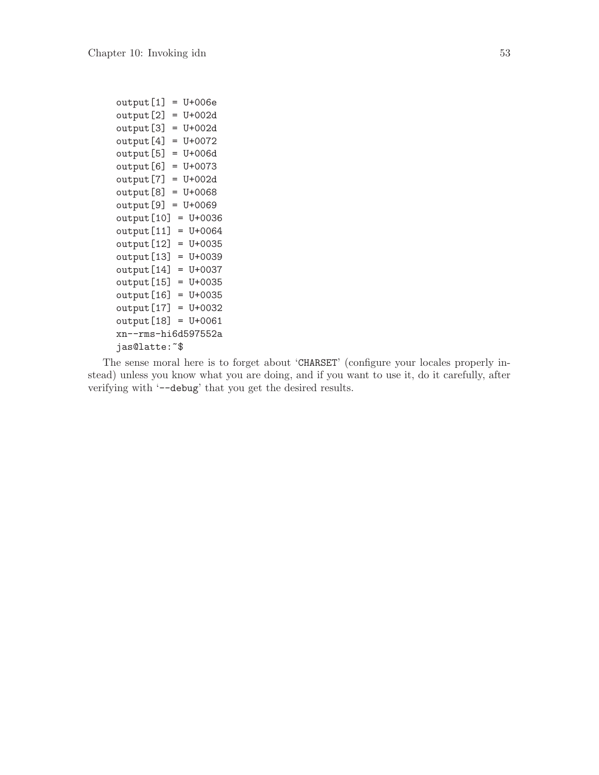```
output[1] = U+006eoutput[2] = U+002doutput[3] = U+002doutput[4] = U+0072output[5] = U+006doutput[6] = U+0073
output[7] = U+002d
output[8] = U+0068
output[9] = U+0069
output[10] = U+0036
output[11] = U+0064
output[12] = U+0035
output[13] = U+0039
output[14] = U+0037
output[15] = U+0035
output[16] = U+0035
output[17] = U+0032
output[18] = U+0061
xn--rms-hi6d597552a
jas@latte:~$
```
The sense moral here is to forget about 'CHARSET' (configure your locales properly instead) unless you know what you are doing, and if you want to use it, do it carefully, after verifying with '--debug' that you get the desired results.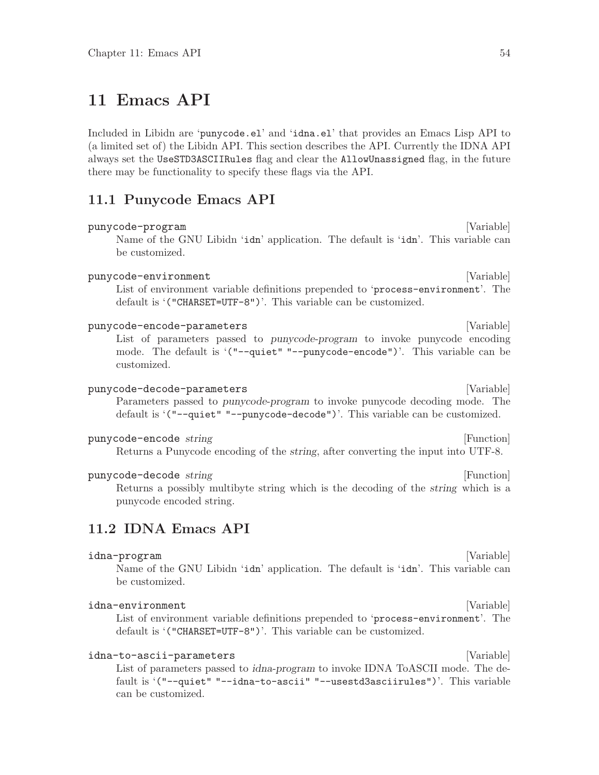# 11 Emacs API

Included in Libidn are 'punycode.el' and 'idna.el' that provides an Emacs Lisp API to (a limited set of) the Libidn API. This section describes the API. Currently the IDNA API always set the UseSTD3ASCIIRules flag and clear the AllowUnassigned flag, in the future there may be functionality to specify these flags via the API.

#### 11.1 Punycode Emacs API

#### punycode-program [Variable]

Name of the GNU Libidn 'idn' application. The default is 'idn'. This variable can be customized.

#### punycode-environment [Variable] [Variable]

List of environment variable definitions prepended to 'process-environment'. The default is '("CHARSET=UTF-8")'. This variable can be customized.

#### punycode-encode-parameters [Variable]

List of parameters passed to punycode-program to invoke punycode encoding mode. The default is '("--quiet" "--punycode-encode")'. This variable can be customized.

#### punycode-decode-parameters [Variable]

Parameters passed to punycode-program to invoke punycode decoding mode. The default is '("--quiet" "--punycode-decode")'. This variable can be customized.

#### punycode-encode string and a string string in the string string in the string string in the string string in the string string in the string string in the string string in the string string in the string string in the stri

Returns a Punycode encoding of the string, after converting the input into UTF-8.

#### punycode-decode string and a string string in the string string in the string string in the string string in the string string in the string string in the string string in the string string in the string string in the stri

Returns a possibly multibyte string which is the decoding of the string which is a punycode encoded string.

# 11.2 IDNA Emacs API

#### idna-program [Variable] [Variable]

Name of the GNU Libidn 'idn' application. The default is 'idn'. This variable can be customized.

#### idna-environment [Variable] [Variable]

List of environment variable definitions prepended to 'process-environment'. The default is '("CHARSET=UTF-8")'. This variable can be customized.

#### idna-to-ascii-parameters [Variable]

List of parameters passed to idna-program to invoke IDNA ToASCII mode. The default is '("--quiet" "--idna-to-ascii" "--usestd3asciirules")'. This variable can be customized.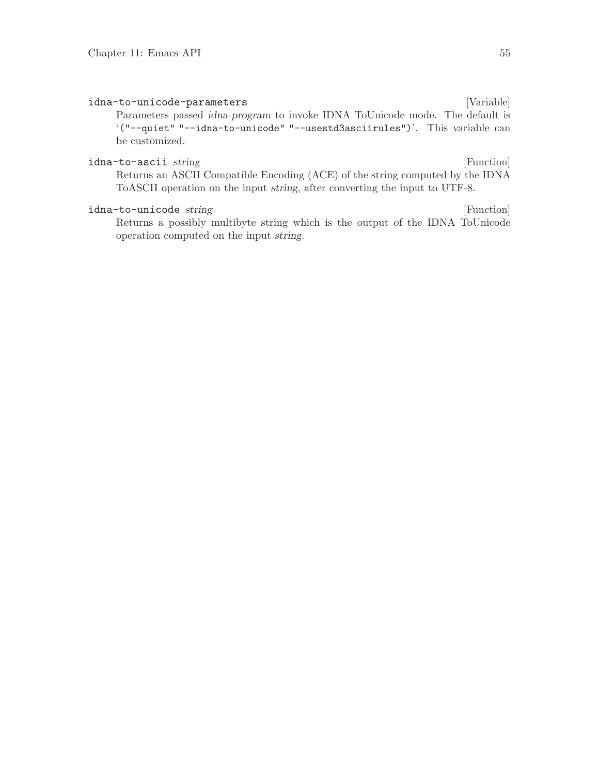idna-to-unicode-parameters [Variable] Parameters passed idna-program to invoke IDNA ToUnicode mode. The default is '("--quiet" "--idna-to-unicode" "--usestd3asciirules")'. This variable can be customized. idna-to-ascii string [Function] [Function]

Returns an ASCII Compatible Encoding (ACE) of the string computed by the IDNA ToASCII operation on the input string, after converting the input to UTF-8.

#### idna-to-unicode string [Function]

Returns a possibly multibyte string which is the output of the IDNA ToUnicode operation computed on the input string.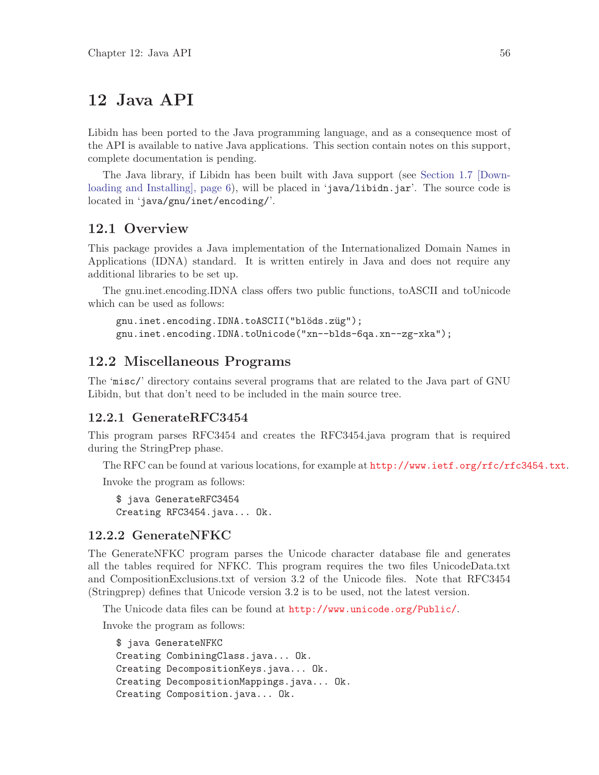# 12 Java API

Libidn has been ported to the Java programming language, and as a consequence most of the API is available to native Java applications. This section contain notes on this support, complete documentation is pending.

The Java library, if Libidn has been built with Java support (see [Section 1.7 \[Down](#page-10-0)loading and Installing, page 6), will be placed in 'java/libidn.jar'. The source code is located in 'java/gnu/inet/encoding/'.

#### 12.1 Overview

This package provides a Java implementation of the Internationalized Domain Names in Applications (IDNA) standard. It is written entirely in Java and does not require any additional libraries to be set up.

The gnu.inet.encoding.IDNA class offers two public functions, toASCII and toUnicode which can be used as follows:

```
gnu.inet.encoding.IDNA.toASCII("blöds.züg");
gnu.inet.encoding.IDNA.toUnicode("xn--blds-6qa.xn--zg-xka");
```
### 12.2 Miscellaneous Programs

The 'misc/' directory contains several programs that are related to the Java part of GNU Libidn, but that don't need to be included in the main source tree.

#### 12.2.1 GenerateRFC3454

This program parses RFC3454 and creates the RFC3454.java program that is required during the StringPrep phase.

The RFC can be found at various locations, for example at <http://www.ietf.org/rfc/rfc3454.txt>.

Invoke the program as follows:

\$ java GenerateRFC3454 Creating RFC3454.java... Ok.

#### 12.2.2 GenerateNFKC

The GenerateNFKC program parses the Unicode character database file and generates all the tables required for NFKC. This program requires the two files UnicodeData.txt and CompositionExclusions.txt of version 3.2 of the Unicode files. Note that RFC3454 (Stringprep) defines that Unicode version 3.2 is to be used, not the latest version.

The Unicode data files can be found at <http://www.unicode.org/Public/>.

Invoke the program as follows:

```
$ java GenerateNFKC
Creating CombiningClass.java... Ok.
Creating DecompositionKeys.java... Ok.
Creating DecompositionMappings.java... Ok.
Creating Composition.java... Ok.
```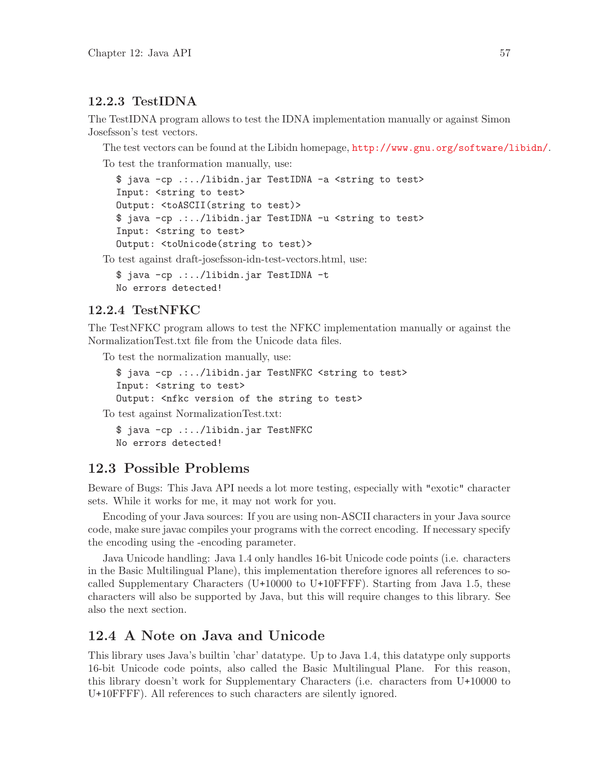#### 12.2.3 TestIDNA

The TestIDNA program allows to test the IDNA implementation manually or against Simon Josefsson's test vectors.

The test vectors can be found at the Libidn homepage, <http://www.gnu.org/software/libidn/>.

To test the tranformation manually, use:

```
$ java -cp .:../libidn.jar TestIDNA -a <string to test>
Input: <string to test>
Output: <toASCII(string to test)>
$ java -cp .:../libidn.jar TestIDNA -u <string to test>
Input: <string to test>
Output: <toUnicode(string to test)>
```
To test against draft-josefsson-idn-test-vectors.html, use:

\$ java -cp .:../libidn.jar TestIDNA -t No errors detected!

#### 12.2.4 TestNFKC

The TestNFKC program allows to test the NFKC implementation manually or against the NormalizationTest.txt file from the Unicode data files.

To test the normalization manually, use:

\$ java -cp .:../libidn.jar TestNFKC <string to test> Input: <string to test> Output: <nfkc version of the string to test>

To test against NormalizationTest.txt:

\$ java -cp .:../libidn.jar TestNFKC No errors detected!

# 12.3 Possible Problems

Beware of Bugs: This Java API needs a lot more testing, especially with "exotic" character sets. While it works for me, it may not work for you.

Encoding of your Java sources: If you are using non-ASCII characters in your Java source code, make sure javac compiles your programs with the correct encoding. If necessary specify the encoding using the -encoding parameter.

Java Unicode handling: Java 1.4 only handles 16-bit Unicode code points (i.e. characters in the Basic Multilingual Plane), this implementation therefore ignores all references to socalled Supplementary Characters (U+10000 to U+10FFFF). Starting from Java 1.5, these characters will also be supported by Java, but this will require changes to this library. See also the next section.

# 12.4 A Note on Java and Unicode

This library uses Java's builtin 'char' datatype. Up to Java 1.4, this datatype only supports 16-bit Unicode code points, also called the Basic Multilingual Plane. For this reason, this library doesn't work for Supplementary Characters (i.e. characters from U+10000 to U+10FFFF). All references to such characters are silently ignored.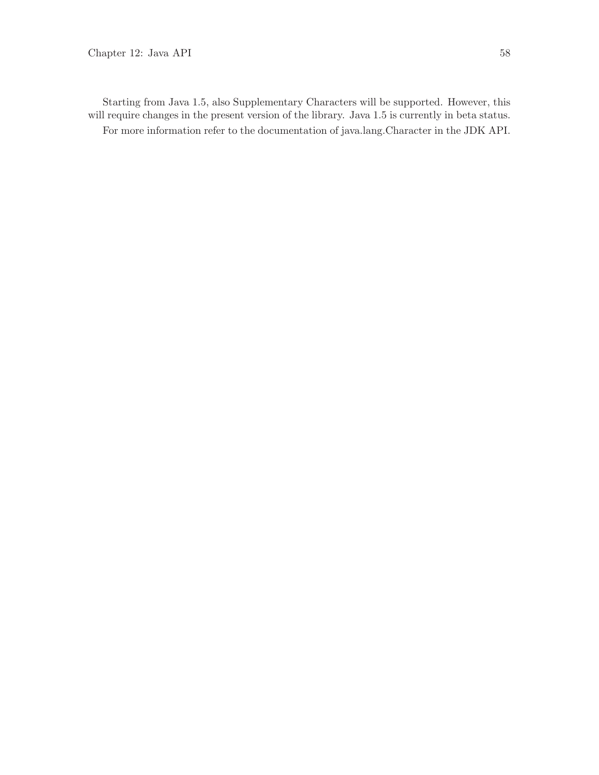Starting from Java 1.5, also Supplementary Characters will be supported. However, this will require changes in the present version of the library. Java 1.5 is currently in beta status. For more information refer to the documentation of java.lang.Character in the JDK API.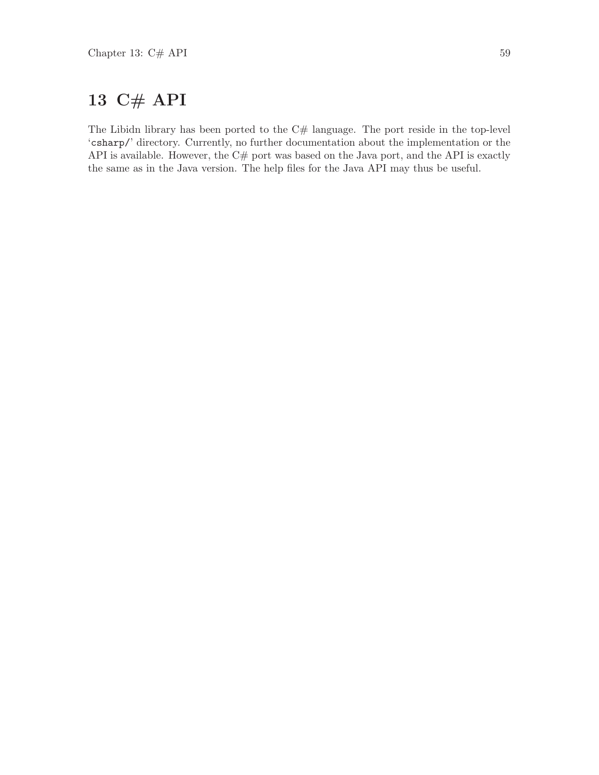# 13 C# API

The Libidn library has been ported to the  $C#$  language. The port reside in the top-level 'csharp/' directory. Currently, no further documentation about the implementation or the API is available. However, the  $C#$  port was based on the Java port, and the API is exactly the same as in the Java version. The help files for the Java API may thus be useful.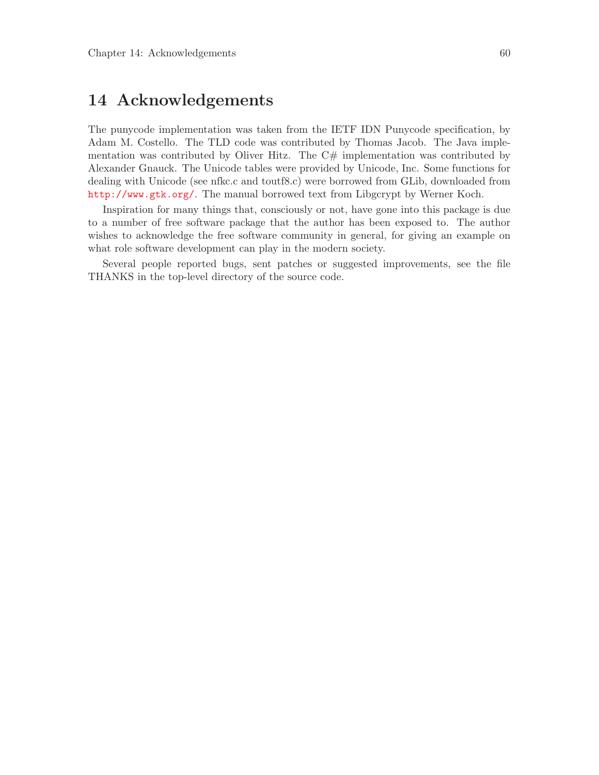# 14 Acknowledgements

The punycode implementation was taken from the IETF IDN Punycode specification, by Adam M. Costello. The TLD code was contributed by Thomas Jacob. The Java implementation was contributed by Oliver Hitz. The  $C#$  implementation was contributed by Alexander Gnauck. The Unicode tables were provided by Unicode, Inc. Some functions for dealing with Unicode (see nfkc.c and toutf8.c) were borrowed from GLib, downloaded from <http://www.gtk.org/>. The manual borrowed text from Libgcrypt by Werner Koch.

Inspiration for many things that, consciously or not, have gone into this package is due to a number of free software package that the author has been exposed to. The author wishes to acknowledge the free software community in general, for giving an example on what role software development can play in the modern society.

Several people reported bugs, sent patches or suggested improvements, see the file THANKS in the top-level directory of the source code.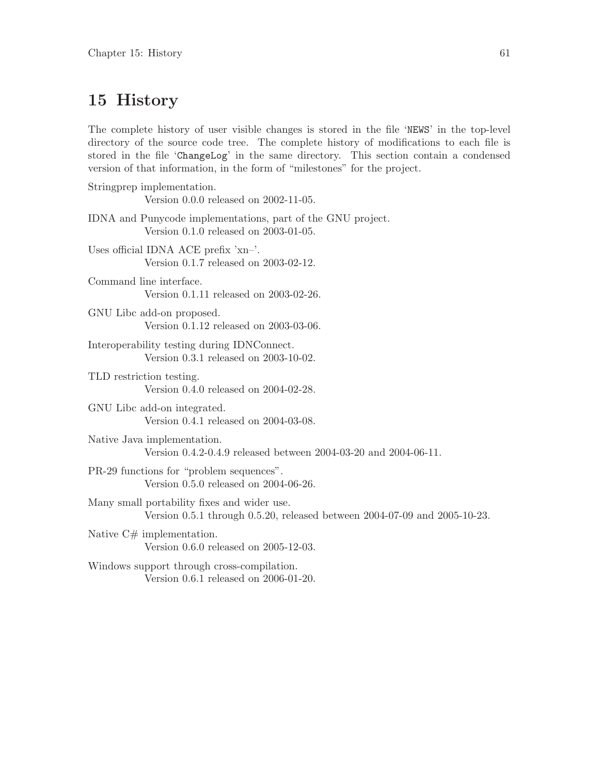# 15 History

The complete history of user visible changes is stored in the file 'NEWS' in the top-level directory of the source code tree. The complete history of modifications to each file is stored in the file 'ChangeLog' in the same directory. This section contain a condensed version of that information, in the form of "milestones" for the project.

| Stringprep implementation.<br>Version 0.0.0 released on 2002-11-05.                                                      |
|--------------------------------------------------------------------------------------------------------------------------|
| IDNA and Punycode implementations, part of the GNU project.<br>Version 0.1.0 released on 2003-01-05.                     |
| Uses official IDNA ACE prefix 'xn-'.<br>Version 0.1.7 released on 2003-02-12.                                            |
| Command line interface.<br>Version 0.1.11 released on 2003-02-26.                                                        |
| GNU Libc add-on proposed.<br>Version 0.1.12 released on 2003-03-06.                                                      |
| Interoperability testing during IDNConnect.<br>Version 0.3.1 released on 2003-10-02.                                     |
| TLD restriction testing.<br>Version 0.4.0 released on 2004-02-28.                                                        |
| GNU Libc add-on integrated.<br>Version 0.4.1 released on 2004-03-08.                                                     |
| Native Java implementation.<br>Version 0.4.2-0.4.9 released between 2004-03-20 and 2004-06-11.                           |
| PR-29 functions for "problem sequences".<br>Version 0.5.0 released on 2004-06-26.                                        |
| Many small portability fixes and wider use.<br>Version 0.5.1 through 0.5.20, released between 2004-07-09 and 2005-10-23. |
| Native $C#$ implementation.<br>Version 0.6.0 released on 2005-12-03.                                                     |
| Windows support through cross-compilation.<br>Version 0.6.1 released on 2006-01-20.                                      |
|                                                                                                                          |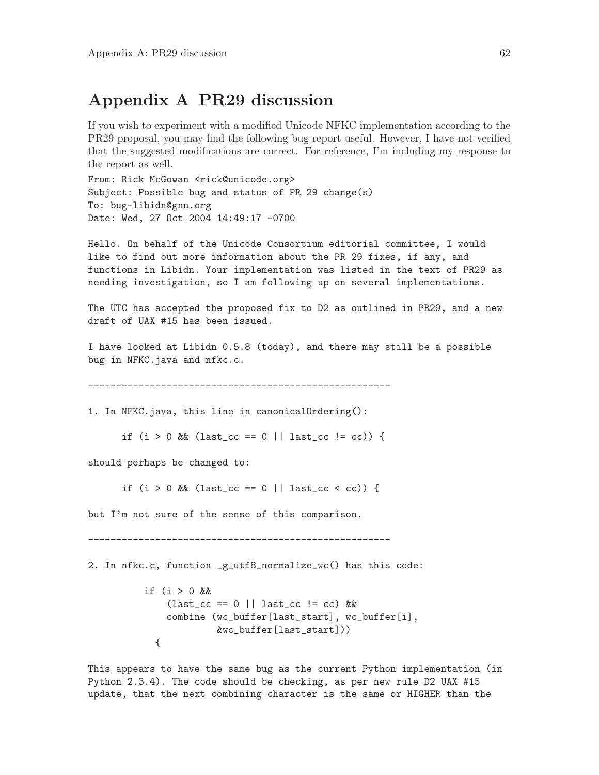# <span id="page-66-0"></span>Appendix A PR29 discussion

If you wish to experiment with a modified Unicode NFKC implementation according to the PR29 proposal, you may find the following bug report useful. However, I have not verified that the suggested modifications are correct. For reference, I'm including my response to the report as well.

From: Rick McGowan <rick@unicode.org> Subject: Possible bug and status of PR 29 change(s) To: bug-libidn@gnu.org Date: Wed, 27 Oct 2004 14:49:17 -0700

Hello. On behalf of the Unicode Consortium editorial committee, I would like to find out more information about the PR 29 fixes, if any, and functions in Libidn. Your implementation was listed in the text of PR29 as needing investigation, so I am following up on several implementations.

The UTC has accepted the proposed fix to D2 as outlined in PR29, and a new draft of UAX #15 has been issued.

I have looked at Libidn 0.5.8 (today), and there may still be a possible bug in NFKC.java and nfkc.c.

------------------------------------------------------

1. In NFKC.java, this line in canonicalOrdering():

```
if (i > 0 \&c (last_cc == 0 || last_cc != cc)) {
```
should perhaps be changed to:

if  $(i > 0$  && (last\_cc == 0 || last\_cc < cc)) {

but I'm not sure of the sense of this comparison.

------------------------------------------------------

2. In nfkc.c, function \_g\_utf8\_normalize\_wc() has this code:

```
if (i > 0 &&
    (last_c c == 0 || last_c c := cc) &&
    combine (wc_buffer[last_start], wc_buffer[i],
             &wc_buffer[last_start]))
  {
```
This appears to have the same bug as the current Python implementation (in Python 2.3.4). The code should be checking, as per new rule D2 UAX #15 update, that the next combining character is the same or HIGHER than the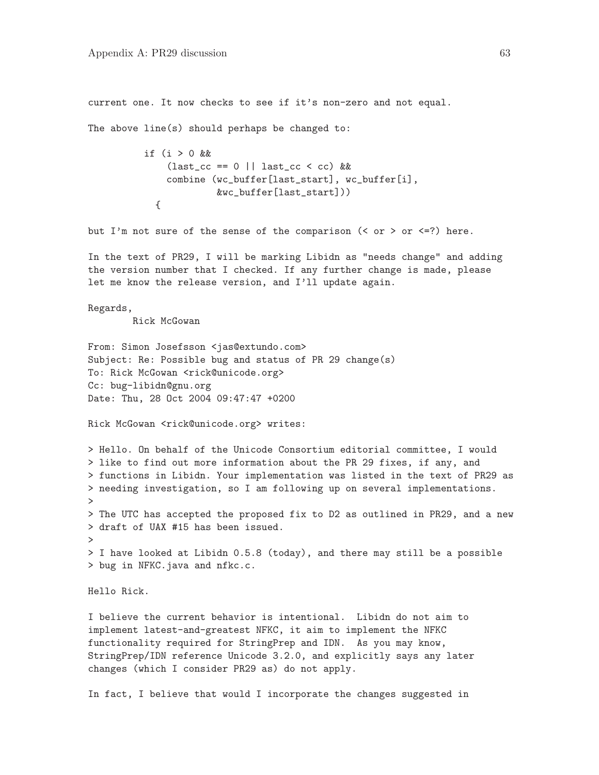current one. It now checks to see if it's non-zero and not equal.

The above line(s) should perhaps be changed to:

```
if (i > 0 &&
    \text{(last\_cc == 0 || last\_cc < cc) &combine (wc_buffer[last_start], wc_buffer[i],
             &wc_buffer[last_start]))
  {
```
but I'm not sure of the sense of the comparison  $($  or  $>$  or  $\le$ =?) here.

In the text of PR29, I will be marking Libidn as "needs change" and adding the version number that I checked. If any further change is made, please let me know the release version, and I'll update again.

Regards,

Rick McGowan

From: Simon Josefsson <jas@extundo.com> Subject: Re: Possible bug and status of PR 29 change(s) To: Rick McGowan <rick@unicode.org> Cc: bug-libidn@gnu.org Date: Thu, 28 Oct 2004 09:47:47 +0200

Rick McGowan <rick@unicode.org> writes:

> Hello. On behalf of the Unicode Consortium editorial committee, I would > like to find out more information about the PR 29 fixes, if any, and > functions in Libidn. Your implementation was listed in the text of PR29 as > needing investigation, so I am following up on several implementations. > > The UTC has accepted the proposed fix to D2 as outlined in PR29, and a new > draft of UAX #15 has been issued. > > I have looked at Libidn 0.5.8 (today), and there may still be a possible > bug in NFKC.java and nfkc.c.

Hello Rick.

I believe the current behavior is intentional. Libidn do not aim to implement latest-and-greatest NFKC, it aim to implement the NFKC functionality required for StringPrep and IDN. As you may know, StringPrep/IDN reference Unicode 3.2.0, and explicitly says any later changes (which I consider PR29 as) do not apply.

In fact, I believe that would I incorporate the changes suggested in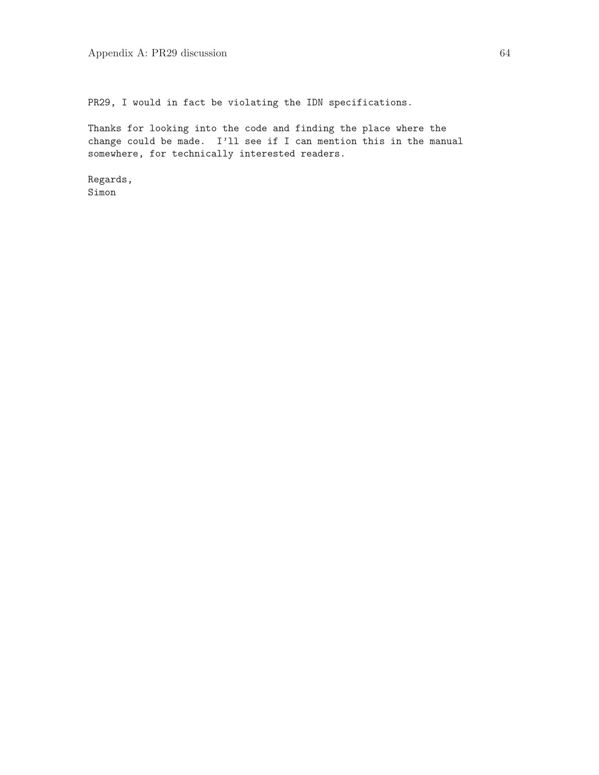PR29, I would in fact be violating the IDN specifications.

Thanks for looking into the code and finding the place where the change could be made. I'll see if I can mention this in the manual somewhere, for technically interested readers.

Regards, Simon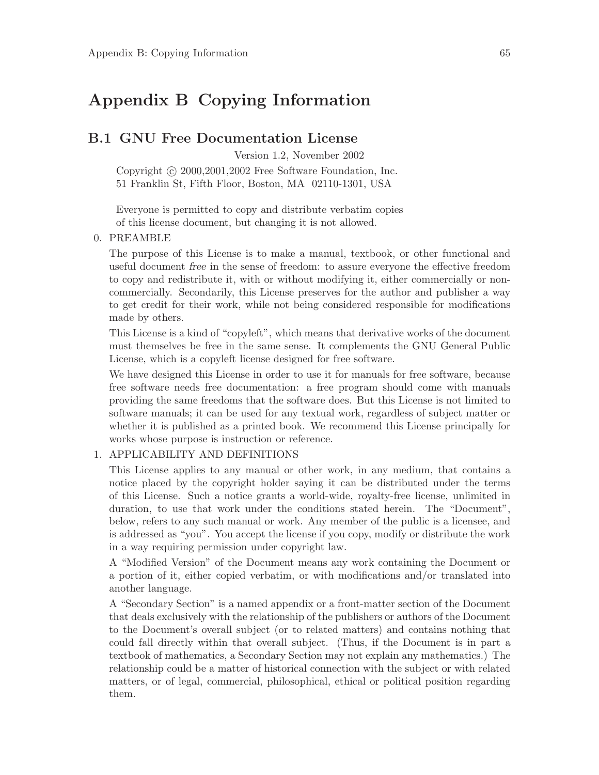# Appendix B Copying Information

#### B.1 GNU Free Documentation License

Version 1.2, November 2002

Copyright  $\odot$  2000, 2001, 2002 Free Software Foundation, Inc. 51 Franklin St, Fifth Floor, Boston, MA 02110-1301, USA

Everyone is permitted to copy and distribute verbatim copies of this license document, but changing it is not allowed.

#### 0. PREAMBLE

The purpose of this License is to make a manual, textbook, or other functional and useful document free in the sense of freedom: to assure everyone the effective freedom to copy and redistribute it, with or without modifying it, either commercially or noncommercially. Secondarily, this License preserves for the author and publisher a way to get credit for their work, while not being considered responsible for modifications made by others.

This License is a kind of "copyleft", which means that derivative works of the document must themselves be free in the same sense. It complements the GNU General Public License, which is a copyleft license designed for free software.

We have designed this License in order to use it for manuals for free software, because free software needs free documentation: a free program should come with manuals providing the same freedoms that the software does. But this License is not limited to software manuals; it can be used for any textual work, regardless of subject matter or whether it is published as a printed book. We recommend this License principally for works whose purpose is instruction or reference.

#### 1. APPLICABILITY AND DEFINITIONS

This License applies to any manual or other work, in any medium, that contains a notice placed by the copyright holder saying it can be distributed under the terms of this License. Such a notice grants a world-wide, royalty-free license, unlimited in duration, to use that work under the conditions stated herein. The "Document", below, refers to any such manual or work. Any member of the public is a licensee, and is addressed as "you". You accept the license if you copy, modify or distribute the work in a way requiring permission under copyright law.

A "Modified Version" of the Document means any work containing the Document or a portion of it, either copied verbatim, or with modifications and/or translated into another language.

A "Secondary Section" is a named appendix or a front-matter section of the Document that deals exclusively with the relationship of the publishers or authors of the Document to the Document's overall subject (or to related matters) and contains nothing that could fall directly within that overall subject. (Thus, if the Document is in part a textbook of mathematics, a Secondary Section may not explain any mathematics.) The relationship could be a matter of historical connection with the subject or with related matters, or of legal, commercial, philosophical, ethical or political position regarding them.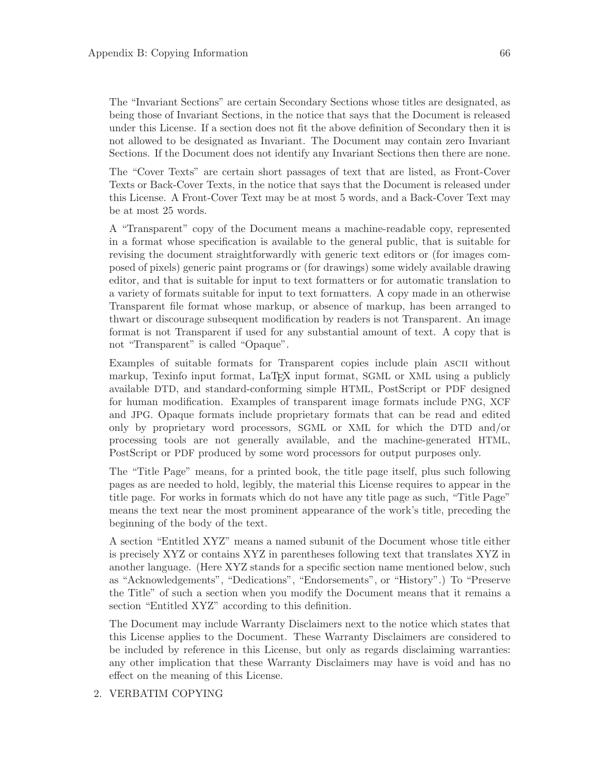The "Invariant Sections" are certain Secondary Sections whose titles are designated, as being those of Invariant Sections, in the notice that says that the Document is released under this License. If a section does not fit the above definition of Secondary then it is not allowed to be designated as Invariant. The Document may contain zero Invariant Sections. If the Document does not identify any Invariant Sections then there are none.

The "Cover Texts" are certain short passages of text that are listed, as Front-Cover Texts or Back-Cover Texts, in the notice that says that the Document is released under this License. A Front-Cover Text may be at most 5 words, and a Back-Cover Text may be at most 25 words.

A "Transparent" copy of the Document means a machine-readable copy, represented in a format whose specification is available to the general public, that is suitable for revising the document straightforwardly with generic text editors or (for images composed of pixels) generic paint programs or (for drawings) some widely available drawing editor, and that is suitable for input to text formatters or for automatic translation to a variety of formats suitable for input to text formatters. A copy made in an otherwise Transparent file format whose markup, or absence of markup, has been arranged to thwart or discourage subsequent modification by readers is not Transparent. An image format is not Transparent if used for any substantial amount of text. A copy that is not "Transparent" is called "Opaque".

Examples of suitable formats for Transparent copies include plain ascii without markup, Texinfo input format, LaT<sub>EX</sub> input format, SGML or XML using a publicly available DTD, and standard-conforming simple HTML, PostScript or PDF designed for human modification. Examples of transparent image formats include PNG, XCF and JPG. Opaque formats include proprietary formats that can be read and edited only by proprietary word processors, SGML or XML for which the DTD and/or processing tools are not generally available, and the machine-generated HTML, PostScript or PDF produced by some word processors for output purposes only.

The "Title Page" means, for a printed book, the title page itself, plus such following pages as are needed to hold, legibly, the material this License requires to appear in the title page. For works in formats which do not have any title page as such, "Title Page" means the text near the most prominent appearance of the work's title, preceding the beginning of the body of the text.

A section "Entitled XYZ" means a named subunit of the Document whose title either is precisely XYZ or contains XYZ in parentheses following text that translates XYZ in another language. (Here XYZ stands for a specific section name mentioned below, such as "Acknowledgements", "Dedications", "Endorsements", or "History".) To "Preserve the Title" of such a section when you modify the Document means that it remains a section "Entitled XYZ" according to this definition.

The Document may include Warranty Disclaimers next to the notice which states that this License applies to the Document. These Warranty Disclaimers are considered to be included by reference in this License, but only as regards disclaiming warranties: any other implication that these Warranty Disclaimers may have is void and has no effect on the meaning of this License.

#### 2. VERBATIM COPYING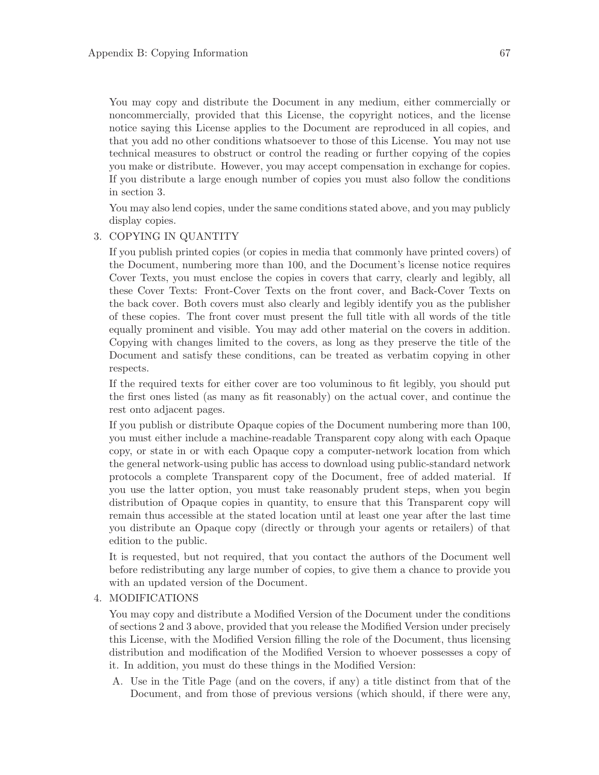You may copy and distribute the Document in any medium, either commercially or noncommercially, provided that this License, the copyright notices, and the license notice saying this License applies to the Document are reproduced in all copies, and that you add no other conditions whatsoever to those of this License. You may not use technical measures to obstruct or control the reading or further copying of the copies you make or distribute. However, you may accept compensation in exchange for copies. If you distribute a large enough number of copies you must also follow the conditions in section 3.

You may also lend copies, under the same conditions stated above, and you may publicly display copies.

#### 3. COPYING IN QUANTITY

If you publish printed copies (or copies in media that commonly have printed covers) of the Document, numbering more than 100, and the Document's license notice requires Cover Texts, you must enclose the copies in covers that carry, clearly and legibly, all these Cover Texts: Front-Cover Texts on the front cover, and Back-Cover Texts on the back cover. Both covers must also clearly and legibly identify you as the publisher of these copies. The front cover must present the full title with all words of the title equally prominent and visible. You may add other material on the covers in addition. Copying with changes limited to the covers, as long as they preserve the title of the Document and satisfy these conditions, can be treated as verbatim copying in other respects.

If the required texts for either cover are too voluminous to fit legibly, you should put the first ones listed (as many as fit reasonably) on the actual cover, and continue the rest onto adjacent pages.

If you publish or distribute Opaque copies of the Document numbering more than 100, you must either include a machine-readable Transparent copy along with each Opaque copy, or state in or with each Opaque copy a computer-network location from which the general network-using public has access to download using public-standard network protocols a complete Transparent copy of the Document, free of added material. If you use the latter option, you must take reasonably prudent steps, when you begin distribution of Opaque copies in quantity, to ensure that this Transparent copy will remain thus accessible at the stated location until at least one year after the last time you distribute an Opaque copy (directly or through your agents or retailers) of that edition to the public.

It is requested, but not required, that you contact the authors of the Document well before redistributing any large number of copies, to give them a chance to provide you with an updated version of the Document.

#### 4. MODIFICATIONS

You may copy and distribute a Modified Version of the Document under the conditions of sections 2 and 3 above, provided that you release the Modified Version under precisely this License, with the Modified Version filling the role of the Document, thus licensing distribution and modification of the Modified Version to whoever possesses a copy of it. In addition, you must do these things in the Modified Version:

A. Use in the Title Page (and on the covers, if any) a title distinct from that of the Document, and from those of previous versions (which should, if there were any,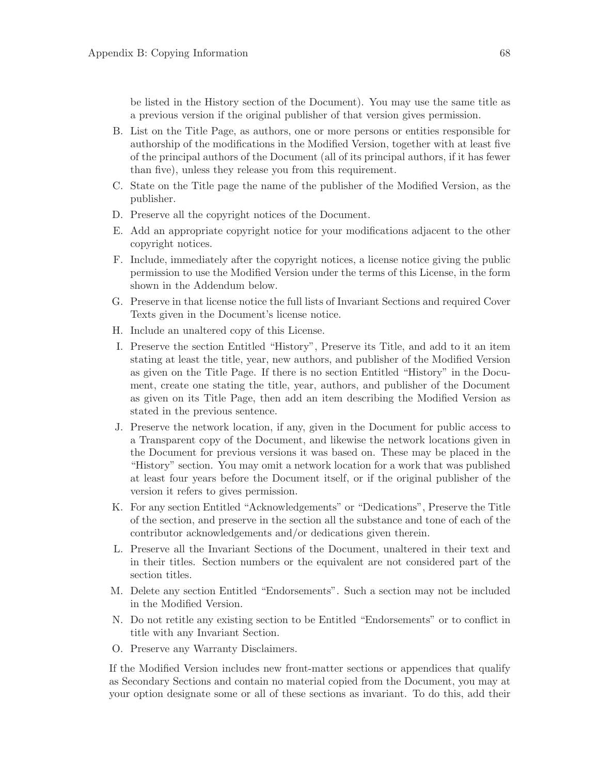be listed in the History section of the Document). You may use the same title as a previous version if the original publisher of that version gives permission.

- B. List on the Title Page, as authors, one or more persons or entities responsible for authorship of the modifications in the Modified Version, together with at least five of the principal authors of the Document (all of its principal authors, if it has fewer than five), unless they release you from this requirement.
- C. State on the Title page the name of the publisher of the Modified Version, as the publisher.
- D. Preserve all the copyright notices of the Document.
- E. Add an appropriate copyright notice for your modifications adjacent to the other copyright notices.
- F. Include, immediately after the copyright notices, a license notice giving the public permission to use the Modified Version under the terms of this License, in the form shown in the Addendum below.
- G. Preserve in that license notice the full lists of Invariant Sections and required Cover Texts given in the Document's license notice.
- H. Include an unaltered copy of this License.
- I. Preserve the section Entitled "History", Preserve its Title, and add to it an item stating at least the title, year, new authors, and publisher of the Modified Version as given on the Title Page. If there is no section Entitled "History" in the Document, create one stating the title, year, authors, and publisher of the Document as given on its Title Page, then add an item describing the Modified Version as stated in the previous sentence.
- J. Preserve the network location, if any, given in the Document for public access to a Transparent copy of the Document, and likewise the network locations given in the Document for previous versions it was based on. These may be placed in the "History" section. You may omit a network location for a work that was published at least four years before the Document itself, or if the original publisher of the version it refers to gives permission.
- K. For any section Entitled "Acknowledgements" or "Dedications", Preserve the Title of the section, and preserve in the section all the substance and tone of each of the contributor acknowledgements and/or dedications given therein.
- L. Preserve all the Invariant Sections of the Document, unaltered in their text and in their titles. Section numbers or the equivalent are not considered part of the section titles.
- M. Delete any section Entitled "Endorsements". Such a section may not be included in the Modified Version.
- N. Do not retitle any existing section to be Entitled "Endorsements" or to conflict in title with any Invariant Section.
- O. Preserve any Warranty Disclaimers.

If the Modified Version includes new front-matter sections or appendices that qualify as Secondary Sections and contain no material copied from the Document, you may at your option designate some or all of these sections as invariant. To do this, add their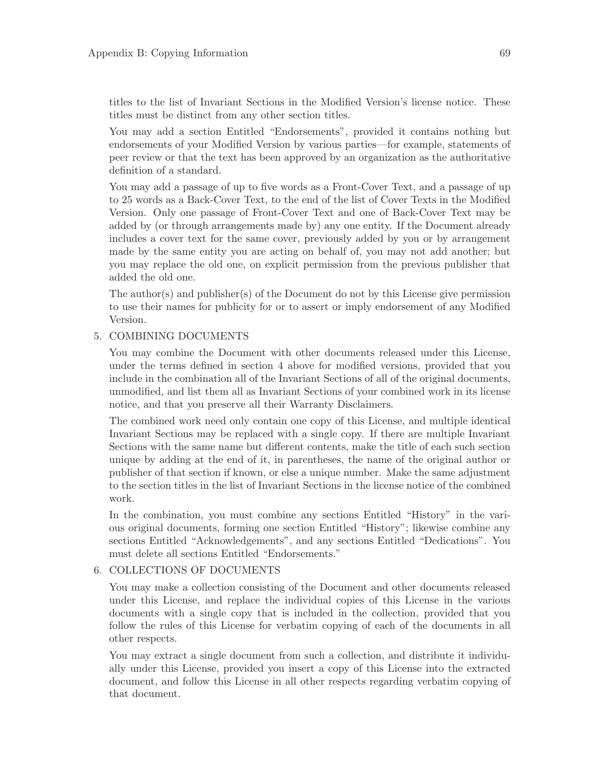titles to the list of Invariant Sections in the Modified Version's license notice. These titles must be distinct from any other section titles.

You may add a section Entitled "Endorsements", provided it contains nothing but endorsements of your Modified Version by various parties—for example, statements of peer review or that the text has been approved by an organization as the authoritative definition of a standard.

You may add a passage of up to five words as a Front-Cover Text, and a passage of up to 25 words as a Back-Cover Text, to the end of the list of Cover Texts in the Modified Version. Only one passage of Front-Cover Text and one of Back-Cover Text may be added by (or through arrangements made by) any one entity. If the Document already includes a cover text for the same cover, previously added by you or by arrangement made by the same entity you are acting on behalf of, you may not add another; but you may replace the old one, on explicit permission from the previous publisher that added the old one.

The author(s) and publisher(s) of the Document do not by this License give permission to use their names for publicity for or to assert or imply endorsement of any Modified Version.

#### 5. COMBINING DOCUMENTS

You may combine the Document with other documents released under this License, under the terms defined in section 4 above for modified versions, provided that you include in the combination all of the Invariant Sections of all of the original documents, unmodified, and list them all as Invariant Sections of your combined work in its license notice, and that you preserve all their Warranty Disclaimers.

The combined work need only contain one copy of this License, and multiple identical Invariant Sections may be replaced with a single copy. If there are multiple Invariant Sections with the same name but different contents, make the title of each such section unique by adding at the end of it, in parentheses, the name of the original author or publisher of that section if known, or else a unique number. Make the same adjustment to the section titles in the list of Invariant Sections in the license notice of the combined work.

In the combination, you must combine any sections Entitled "History" in the various original documents, forming one section Entitled "History"; likewise combine any sections Entitled "Acknowledgements", and any sections Entitled "Dedications". You must delete all sections Entitled "Endorsements."

#### 6. COLLECTIONS OF DOCUMENTS

You may make a collection consisting of the Document and other documents released under this License, and replace the individual copies of this License in the various documents with a single copy that is included in the collection, provided that you follow the rules of this License for verbatim copying of each of the documents in all other respects.

You may extract a single document from such a collection, and distribute it individually under this License, provided you insert a copy of this License into the extracted document, and follow this License in all other respects regarding verbatim copying of that document.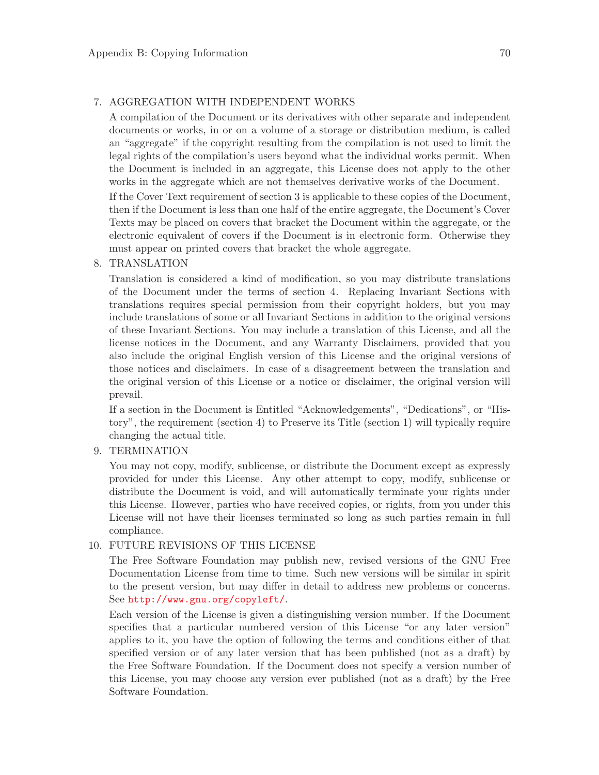#### 7. AGGREGATION WITH INDEPENDENT WORKS

A compilation of the Document or its derivatives with other separate and independent documents or works, in or on a volume of a storage or distribution medium, is called an "aggregate" if the copyright resulting from the compilation is not used to limit the legal rights of the compilation's users beyond what the individual works permit. When the Document is included in an aggregate, this License does not apply to the other works in the aggregate which are not themselves derivative works of the Document.

If the Cover Text requirement of section 3 is applicable to these copies of the Document, then if the Document is less than one half of the entire aggregate, the Document's Cover Texts may be placed on covers that bracket the Document within the aggregate, or the electronic equivalent of covers if the Document is in electronic form. Otherwise they must appear on printed covers that bracket the whole aggregate.

#### 8. TRANSLATION

Translation is considered a kind of modification, so you may distribute translations of the Document under the terms of section 4. Replacing Invariant Sections with translations requires special permission from their copyright holders, but you may include translations of some or all Invariant Sections in addition to the original versions of these Invariant Sections. You may include a translation of this License, and all the license notices in the Document, and any Warranty Disclaimers, provided that you also include the original English version of this License and the original versions of those notices and disclaimers. In case of a disagreement between the translation and the original version of this License or a notice or disclaimer, the original version will prevail.

If a section in the Document is Entitled "Acknowledgements", "Dedications", or "History", the requirement (section 4) to Preserve its Title (section 1) will typically require changing the actual title.

#### 9. TERMINATION

You may not copy, modify, sublicense, or distribute the Document except as expressly provided for under this License. Any other attempt to copy, modify, sublicense or distribute the Document is void, and will automatically terminate your rights under this License. However, parties who have received copies, or rights, from you under this License will not have their licenses terminated so long as such parties remain in full compliance.

#### 10. FUTURE REVISIONS OF THIS LICENSE

The Free Software Foundation may publish new, revised versions of the GNU Free Documentation License from time to time. Such new versions will be similar in spirit to the present version, but may differ in detail to address new problems or concerns. See <http://www.gnu.org/copyleft/>.

Each version of the License is given a distinguishing version number. If the Document specifies that a particular numbered version of this License "or any later version" applies to it, you have the option of following the terms and conditions either of that specified version or of any later version that has been published (not as a draft) by the Free Software Foundation. If the Document does not specify a version number of this License, you may choose any version ever published (not as a draft) by the Free Software Foundation.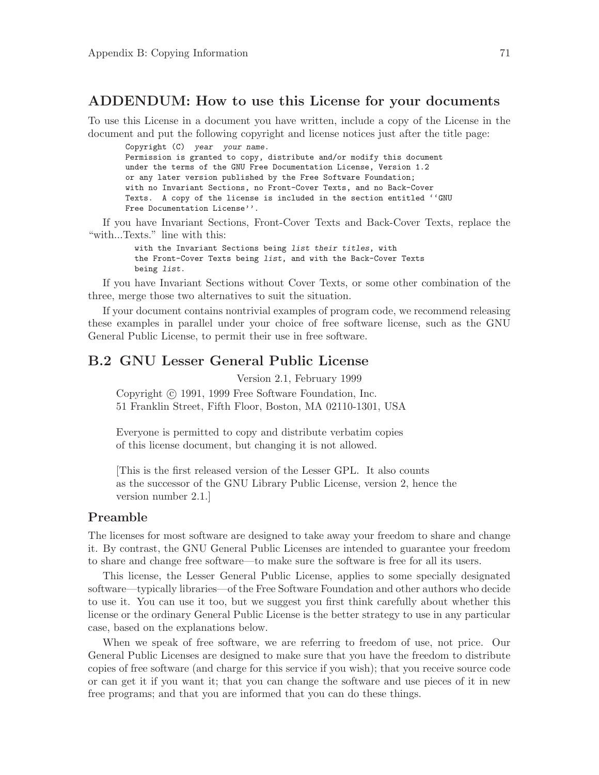### <span id="page-75-0"></span>ADDENDUM: How to use this License for your documents

To use this License in a document you have written, include a copy of the License in the document and put the following copyright and license notices just after the title page:

Copyright (C) year your name. Permission is granted to copy, distribute and/or modify this document under the terms of the GNU Free Documentation License, Version 1.2 or any later version published by the Free Software Foundation; with no Invariant Sections, no Front-Cover Texts, and no Back-Cover Texts. A copy of the license is included in the section entitled ''GNU Free Documentation License''.

If you have Invariant Sections, Front-Cover Texts and Back-Cover Texts, replace the "with...Texts." line with this:

> with the Invariant Sections being list their titles, with the Front-Cover Texts being list, and with the Back-Cover Texts being list.

If you have Invariant Sections without Cover Texts, or some other combination of the three, merge those two alternatives to suit the situation.

If your document contains nontrivial examples of program code, we recommend releasing these examples in parallel under your choice of free software license, such as the GNU General Public License, to permit their use in free software.

### B.2 GNU Lesser General Public License

Version 2.1, February 1999 Copyright  $\odot$  1991, 1999 Free Software Foundation, Inc. 51 Franklin Street, Fifth Floor, Boston, MA 02110-1301, USA

Everyone is permitted to copy and distribute verbatim copies of this license document, but changing it is not allowed.

[This is the first released version of the Lesser GPL. It also counts as the successor of the GNU Library Public License, version 2, hence the version number 2.1.]

#### Preamble

The licenses for most software are designed to take away your freedom to share and change it. By contrast, the GNU General Public Licenses are intended to guarantee your freedom to share and change free software—to make sure the software is free for all its users.

This license, the Lesser General Public License, applies to some specially designated software—typically libraries—of the Free Software Foundation and other authors who decide to use it. You can use it too, but we suggest you first think carefully about whether this license or the ordinary General Public License is the better strategy to use in any particular case, based on the explanations below.

When we speak of free software, we are referring to freedom of use, not price. Our General Public Licenses are designed to make sure that you have the freedom to distribute copies of free software (and charge for this service if you wish); that you receive source code or can get it if you want it; that you can change the software and use pieces of it in new free programs; and that you are informed that you can do these things.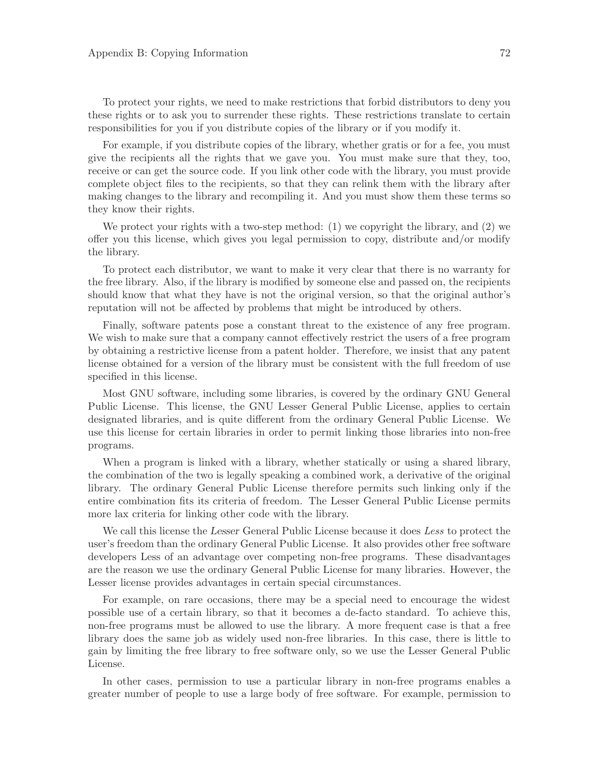To protect your rights, we need to make restrictions that forbid distributors to deny you these rights or to ask you to surrender these rights. These restrictions translate to certain responsibilities for you if you distribute copies of the library or if you modify it.

For example, if you distribute copies of the library, whether gratis or for a fee, you must give the recipients all the rights that we gave you. You must make sure that they, too, receive or can get the source code. If you link other code with the library, you must provide complete object files to the recipients, so that they can relink them with the library after making changes to the library and recompiling it. And you must show them these terms so they know their rights.

We protect your rights with a two-step method: (1) we copyright the library, and (2) we offer you this license, which gives you legal permission to copy, distribute and/or modify the library.

To protect each distributor, we want to make it very clear that there is no warranty for the free library. Also, if the library is modified by someone else and passed on, the recipients should know that what they have is not the original version, so that the original author's reputation will not be affected by problems that might be introduced by others.

Finally, software patents pose a constant threat to the existence of any free program. We wish to make sure that a company cannot effectively restrict the users of a free program by obtaining a restrictive license from a patent holder. Therefore, we insist that any patent license obtained for a version of the library must be consistent with the full freedom of use specified in this license.

Most GNU software, including some libraries, is covered by the ordinary GNU General Public License. This license, the GNU Lesser General Public License, applies to certain designated libraries, and is quite different from the ordinary General Public License. We use this license for certain libraries in order to permit linking those libraries into non-free programs.

When a program is linked with a library, whether statically or using a shared library, the combination of the two is legally speaking a combined work, a derivative of the original library. The ordinary General Public License therefore permits such linking only if the entire combination fits its criteria of freedom. The Lesser General Public License permits more lax criteria for linking other code with the library.

We call this license the Lesser General Public License because it does Less to protect the user's freedom than the ordinary General Public License. It also provides other free software developers Less of an advantage over competing non-free programs. These disadvantages are the reason we use the ordinary General Public License for many libraries. However, the Lesser license provides advantages in certain special circumstances.

For example, on rare occasions, there may be a special need to encourage the widest possible use of a certain library, so that it becomes a de-facto standard. To achieve this, non-free programs must be allowed to use the library. A more frequent case is that a free library does the same job as widely used non-free libraries. In this case, there is little to gain by limiting the free library to free software only, so we use the Lesser General Public License.

In other cases, permission to use a particular library in non-free programs enables a greater number of people to use a large body of free software. For example, permission to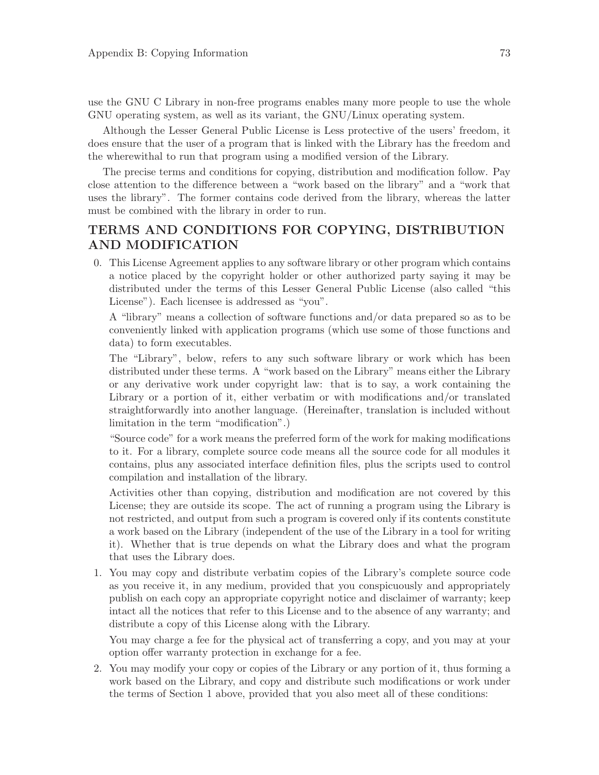use the GNU C Library in non-free programs enables many more people to use the whole GNU operating system, as well as its variant, the GNU/Linux operating system.

Although the Lesser General Public License is Less protective of the users' freedom, it does ensure that the user of a program that is linked with the Library has the freedom and the wherewithal to run that program using a modified version of the Library.

The precise terms and conditions for copying, distribution and modification follow. Pay close attention to the difference between a "work based on the library" and a "work that uses the library". The former contains code derived from the library, whereas the latter must be combined with the library in order to run.

### TERMS AND CONDITIONS FOR COPYING, DISTRIBUTION AND MODIFICATION

0. This License Agreement applies to any software library or other program which contains a notice placed by the copyright holder or other authorized party saying it may be distributed under the terms of this Lesser General Public License (also called "this License"). Each licensee is addressed as "you".

A "library" means a collection of software functions and/or data prepared so as to be conveniently linked with application programs (which use some of those functions and data) to form executables.

The "Library", below, refers to any such software library or work which has been distributed under these terms. A "work based on the Library" means either the Library or any derivative work under copyright law: that is to say, a work containing the Library or a portion of it, either verbatim or with modifications and/or translated straightforwardly into another language. (Hereinafter, translation is included without limitation in the term "modification".)

"Source code" for a work means the preferred form of the work for making modifications to it. For a library, complete source code means all the source code for all modules it contains, plus any associated interface definition files, plus the scripts used to control compilation and installation of the library.

Activities other than copying, distribution and modification are not covered by this License; they are outside its scope. The act of running a program using the Library is not restricted, and output from such a program is covered only if its contents constitute a work based on the Library (independent of the use of the Library in a tool for writing it). Whether that is true depends on what the Library does and what the program that uses the Library does.

1. You may copy and distribute verbatim copies of the Library's complete source code as you receive it, in any medium, provided that you conspicuously and appropriately publish on each copy an appropriate copyright notice and disclaimer of warranty; keep intact all the notices that refer to this License and to the absence of any warranty; and distribute a copy of this License along with the Library.

You may charge a fee for the physical act of transferring a copy, and you may at your option offer warranty protection in exchange for a fee.

2. You may modify your copy or copies of the Library or any portion of it, thus forming a work based on the Library, and copy and distribute such modifications or work under the terms of Section 1 above, provided that you also meet all of these conditions: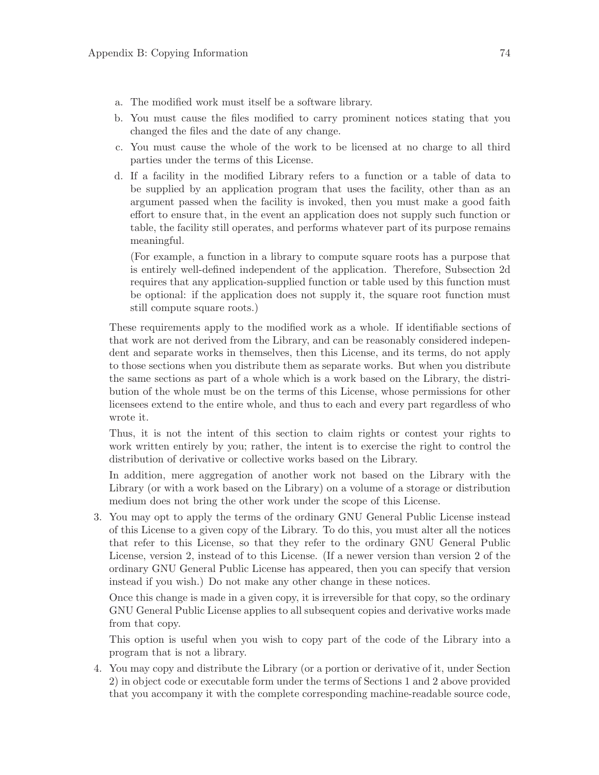- a. The modified work must itself be a software library.
- b. You must cause the files modified to carry prominent notices stating that you changed the files and the date of any change.
- c. You must cause the whole of the work to be licensed at no charge to all third parties under the terms of this License.
- d. If a facility in the modified Library refers to a function or a table of data to be supplied by an application program that uses the facility, other than as an argument passed when the facility is invoked, then you must make a good faith effort to ensure that, in the event an application does not supply such function or table, the facility still operates, and performs whatever part of its purpose remains meaningful.

(For example, a function in a library to compute square roots has a purpose that is entirely well-defined independent of the application. Therefore, Subsection 2d requires that any application-supplied function or table used by this function must be optional: if the application does not supply it, the square root function must still compute square roots.)

These requirements apply to the modified work as a whole. If identifiable sections of that work are not derived from the Library, and can be reasonably considered independent and separate works in themselves, then this License, and its terms, do not apply to those sections when you distribute them as separate works. But when you distribute the same sections as part of a whole which is a work based on the Library, the distribution of the whole must be on the terms of this License, whose permissions for other licensees extend to the entire whole, and thus to each and every part regardless of who wrote it.

Thus, it is not the intent of this section to claim rights or contest your rights to work written entirely by you; rather, the intent is to exercise the right to control the distribution of derivative or collective works based on the Library.

In addition, mere aggregation of another work not based on the Library with the Library (or with a work based on the Library) on a volume of a storage or distribution medium does not bring the other work under the scope of this License.

3. You may opt to apply the terms of the ordinary GNU General Public License instead of this License to a given copy of the Library. To do this, you must alter all the notices that refer to this License, so that they refer to the ordinary GNU General Public License, version 2, instead of to this License. (If a newer version than version 2 of the ordinary GNU General Public License has appeared, then you can specify that version instead if you wish.) Do not make any other change in these notices.

Once this change is made in a given copy, it is irreversible for that copy, so the ordinary GNU General Public License applies to all subsequent copies and derivative works made from that copy.

This option is useful when you wish to copy part of the code of the Library into a program that is not a library.

4. You may copy and distribute the Library (or a portion or derivative of it, under Section 2) in object code or executable form under the terms of Sections 1 and 2 above provided that you accompany it with the complete corresponding machine-readable source code,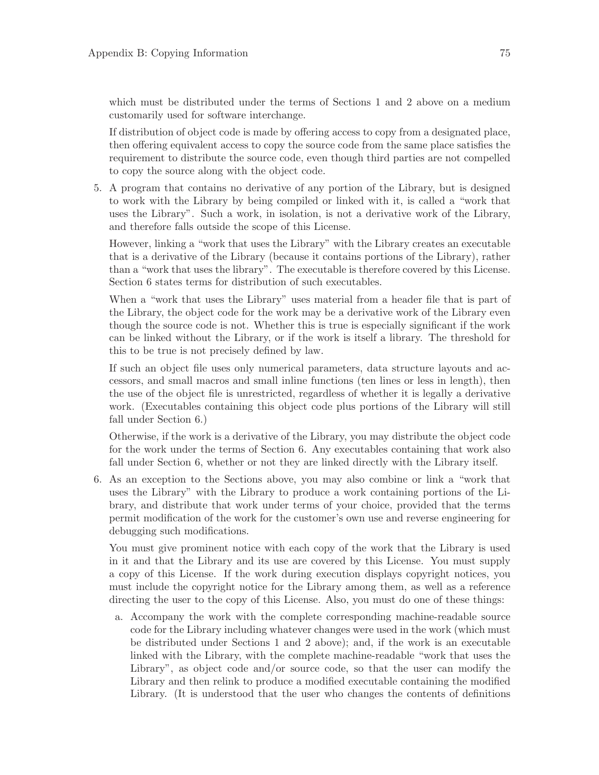which must be distributed under the terms of Sections 1 and 2 above on a medium customarily used for software interchange.

If distribution of object code is made by offering access to copy from a designated place, then offering equivalent access to copy the source code from the same place satisfies the requirement to distribute the source code, even though third parties are not compelled to copy the source along with the object code.

5. A program that contains no derivative of any portion of the Library, but is designed to work with the Library by being compiled or linked with it, is called a "work that uses the Library". Such a work, in isolation, is not a derivative work of the Library, and therefore falls outside the scope of this License.

However, linking a "work that uses the Library" with the Library creates an executable that is a derivative of the Library (because it contains portions of the Library), rather than a "work that uses the library". The executable is therefore covered by this License. Section 6 states terms for distribution of such executables.

When a "work that uses the Library" uses material from a header file that is part of the Library, the object code for the work may be a derivative work of the Library even though the source code is not. Whether this is true is especially significant if the work can be linked without the Library, or if the work is itself a library. The threshold for this to be true is not precisely defined by law.

If such an object file uses only numerical parameters, data structure layouts and accessors, and small macros and small inline functions (ten lines or less in length), then the use of the object file is unrestricted, regardless of whether it is legally a derivative work. (Executables containing this object code plus portions of the Library will still fall under Section 6.)

Otherwise, if the work is a derivative of the Library, you may distribute the object code for the work under the terms of Section 6. Any executables containing that work also fall under Section 6, whether or not they are linked directly with the Library itself.

6. As an exception to the Sections above, you may also combine or link a "work that uses the Library" with the Library to produce a work containing portions of the Library, and distribute that work under terms of your choice, provided that the terms permit modification of the work for the customer's own use and reverse engineering for debugging such modifications.

You must give prominent notice with each copy of the work that the Library is used in it and that the Library and its use are covered by this License. You must supply a copy of this License. If the work during execution displays copyright notices, you must include the copyright notice for the Library among them, as well as a reference directing the user to the copy of this License. Also, you must do one of these things:

a. Accompany the work with the complete corresponding machine-readable source code for the Library including whatever changes were used in the work (which must be distributed under Sections 1 and 2 above); and, if the work is an executable linked with the Library, with the complete machine-readable "work that uses the Library", as object code and/or source code, so that the user can modify the Library and then relink to produce a modified executable containing the modified Library. (It is understood that the user who changes the contents of definitions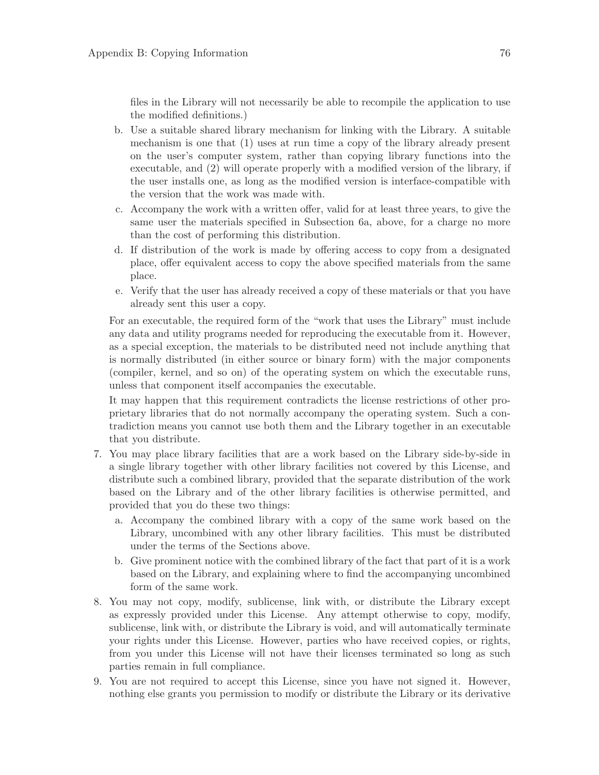files in the Library will not necessarily be able to recompile the application to use the modified definitions.)

- b. Use a suitable shared library mechanism for linking with the Library. A suitable mechanism is one that (1) uses at run time a copy of the library already present on the user's computer system, rather than copying library functions into the executable, and (2) will operate properly with a modified version of the library, if the user installs one, as long as the modified version is interface-compatible with the version that the work was made with.
- c. Accompany the work with a written offer, valid for at least three years, to give the same user the materials specified in Subsection 6a, above, for a charge no more than the cost of performing this distribution.
- d. If distribution of the work is made by offering access to copy from a designated place, offer equivalent access to copy the above specified materials from the same place.
- e. Verify that the user has already received a copy of these materials or that you have already sent this user a copy.

For an executable, the required form of the "work that uses the Library" must include any data and utility programs needed for reproducing the executable from it. However, as a special exception, the materials to be distributed need not include anything that is normally distributed (in either source or binary form) with the major components (compiler, kernel, and so on) of the operating system on which the executable runs, unless that component itself accompanies the executable.

It may happen that this requirement contradicts the license restrictions of other proprietary libraries that do not normally accompany the operating system. Such a contradiction means you cannot use both them and the Library together in an executable that you distribute.

- 7. You may place library facilities that are a work based on the Library side-by-side in a single library together with other library facilities not covered by this License, and distribute such a combined library, provided that the separate distribution of the work based on the Library and of the other library facilities is otherwise permitted, and provided that you do these two things:
	- a. Accompany the combined library with a copy of the same work based on the Library, uncombined with any other library facilities. This must be distributed under the terms of the Sections above.
	- b. Give prominent notice with the combined library of the fact that part of it is a work based on the Library, and explaining where to find the accompanying uncombined form of the same work.
- 8. You may not copy, modify, sublicense, link with, or distribute the Library except as expressly provided under this License. Any attempt otherwise to copy, modify, sublicense, link with, or distribute the Library is void, and will automatically terminate your rights under this License. However, parties who have received copies, or rights, from you under this License will not have their licenses terminated so long as such parties remain in full compliance.
- 9. You are not required to accept this License, since you have not signed it. However, nothing else grants you permission to modify or distribute the Library or its derivative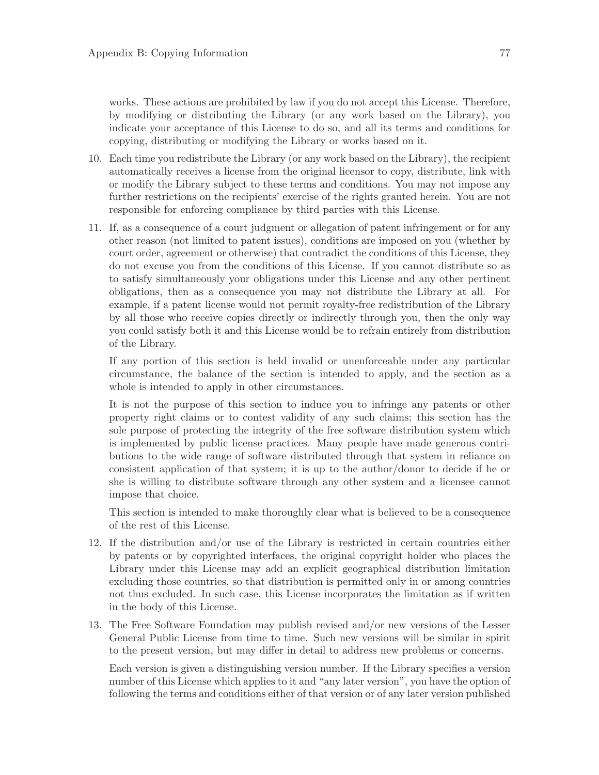works. These actions are prohibited by law if you do not accept this License. Therefore, by modifying or distributing the Library (or any work based on the Library), you indicate your acceptance of this License to do so, and all its terms and conditions for copying, distributing or modifying the Library or works based on it.

- 10. Each time you redistribute the Library (or any work based on the Library), the recipient automatically receives a license from the original licensor to copy, distribute, link with or modify the Library subject to these terms and conditions. You may not impose any further restrictions on the recipients' exercise of the rights granted herein. You are not responsible for enforcing compliance by third parties with this License.
- 11. If, as a consequence of a court judgment or allegation of patent infringement or for any other reason (not limited to patent issues), conditions are imposed on you (whether by court order, agreement or otherwise) that contradict the conditions of this License, they do not excuse you from the conditions of this License. If you cannot distribute so as to satisfy simultaneously your obligations under this License and any other pertinent obligations, then as a consequence you may not distribute the Library at all. For example, if a patent license would not permit royalty-free redistribution of the Library by all those who receive copies directly or indirectly through you, then the only way you could satisfy both it and this License would be to refrain entirely from distribution of the Library.

If any portion of this section is held invalid or unenforceable under any particular circumstance, the balance of the section is intended to apply, and the section as a whole is intended to apply in other circumstances.

It is not the purpose of this section to induce you to infringe any patents or other property right claims or to contest validity of any such claims; this section has the sole purpose of protecting the integrity of the free software distribution system which is implemented by public license practices. Many people have made generous contributions to the wide range of software distributed through that system in reliance on consistent application of that system; it is up to the author/donor to decide if he or she is willing to distribute software through any other system and a licensee cannot impose that choice.

This section is intended to make thoroughly clear what is believed to be a consequence of the rest of this License.

- 12. If the distribution and/or use of the Library is restricted in certain countries either by patents or by copyrighted interfaces, the original copyright holder who places the Library under this License may add an explicit geographical distribution limitation excluding those countries, so that distribution is permitted only in or among countries not thus excluded. In such case, this License incorporates the limitation as if written in the body of this License.
- 13. The Free Software Foundation may publish revised and/or new versions of the Lesser General Public License from time to time. Such new versions will be similar in spirit to the present version, but may differ in detail to address new problems or concerns.

Each version is given a distinguishing version number. If the Library specifies a version number of this License which applies to it and "any later version", you have the option of following the terms and conditions either of that version or of any later version published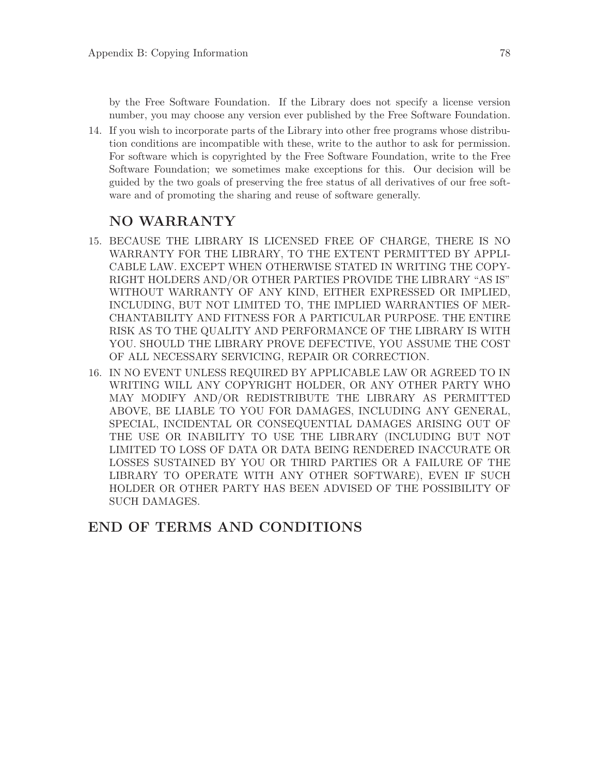by the Free Software Foundation. If the Library does not specify a license version number, you may choose any version ever published by the Free Software Foundation.

14. If you wish to incorporate parts of the Library into other free programs whose distribution conditions are incompatible with these, write to the author to ask for permission. For software which is copyrighted by the Free Software Foundation, write to the Free Software Foundation; we sometimes make exceptions for this. Our decision will be guided by the two goals of preserving the free status of all derivatives of our free software and of promoting the sharing and reuse of software generally.

### NO WARRANTY

- 15. BECAUSE THE LIBRARY IS LICENSED FREE OF CHARGE, THERE IS NO WARRANTY FOR THE LIBRARY, TO THE EXTENT PERMITTED BY APPLI-CABLE LAW. EXCEPT WHEN OTHERWISE STATED IN WRITING THE COPY-RIGHT HOLDERS AND/OR OTHER PARTIES PROVIDE THE LIBRARY "AS IS" WITHOUT WARRANTY OF ANY KIND, EITHER EXPRESSED OR IMPLIED, INCLUDING, BUT NOT LIMITED TO, THE IMPLIED WARRANTIES OF MER-CHANTABILITY AND FITNESS FOR A PARTICULAR PURPOSE. THE ENTIRE RISK AS TO THE QUALITY AND PERFORMANCE OF THE LIBRARY IS WITH YOU. SHOULD THE LIBRARY PROVE DEFECTIVE, YOU ASSUME THE COST OF ALL NECESSARY SERVICING, REPAIR OR CORRECTION.
- 16. IN NO EVENT UNLESS REQUIRED BY APPLICABLE LAW OR AGREED TO IN WRITING WILL ANY COPYRIGHT HOLDER, OR ANY OTHER PARTY WHO MAY MODIFY AND/OR REDISTRIBUTE THE LIBRARY AS PERMITTED ABOVE, BE LIABLE TO YOU FOR DAMAGES, INCLUDING ANY GENERAL, SPECIAL, INCIDENTAL OR CONSEQUENTIAL DAMAGES ARISING OUT OF THE USE OR INABILITY TO USE THE LIBRARY (INCLUDING BUT NOT LIMITED TO LOSS OF DATA OR DATA BEING RENDERED INACCURATE OR LOSSES SUSTAINED BY YOU OR THIRD PARTIES OR A FAILURE OF THE LIBRARY TO OPERATE WITH ANY OTHER SOFTWARE), EVEN IF SUCH HOLDER OR OTHER PARTY HAS BEEN ADVISED OF THE POSSIBILITY OF SUCH DAMAGES.

### END OF TERMS AND CONDITIONS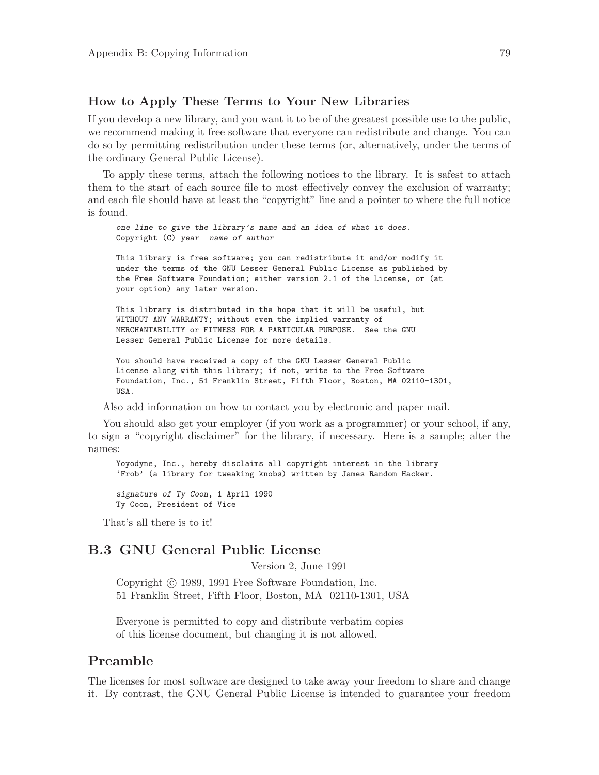#### <span id="page-83-0"></span>How to Apply These Terms to Your New Libraries

If you develop a new library, and you want it to be of the greatest possible use to the public, we recommend making it free software that everyone can redistribute and change. You can do so by permitting redistribution under these terms (or, alternatively, under the terms of the ordinary General Public License).

To apply these terms, attach the following notices to the library. It is safest to attach them to the start of each source file to most effectively convey the exclusion of warranty; and each file should have at least the "copyright" line and a pointer to where the full notice is found.

one line to give the library's name and an idea of what it does. Copyright (C) year name of author

This library is free software; you can redistribute it and/or modify it under the terms of the GNU Lesser General Public License as published by the Free Software Foundation; either version 2.1 of the License, or (at your option) any later version.

This library is distributed in the hope that it will be useful, but WITHOUT ANY WARRANTY; without even the implied warranty of MERCHANTABILITY or FITNESS FOR A PARTICULAR PURPOSE. See the GNU Lesser General Public License for more details.

You should have received a copy of the GNU Lesser General Public License along with this library; if not, write to the Free Software Foundation, Inc., 51 Franklin Street, Fifth Floor, Boston, MA 02110-1301, USA.

Also add information on how to contact you by electronic and paper mail.

You should also get your employer (if you work as a programmer) or your school, if any, to sign a "copyright disclaimer" for the library, if necessary. Here is a sample; alter the names:

Yoyodyne, Inc., hereby disclaims all copyright interest in the library 'Frob' (a library for tweaking knobs) written by James Random Hacker.

signature of Ty Coon, 1 April 1990 Ty Coon, President of Vice

That's all there is to it!

### B.3 GNU General Public License

Version 2, June 1991

Copyright  $\odot$  1989, 1991 Free Software Foundation, Inc. 51 Franklin Street, Fifth Floor, Boston, MA 02110-1301, USA

Everyone is permitted to copy and distribute verbatim copies of this license document, but changing it is not allowed.

#### Preamble

The licenses for most software are designed to take away your freedom to share and change it. By contrast, the GNU General Public License is intended to guarantee your freedom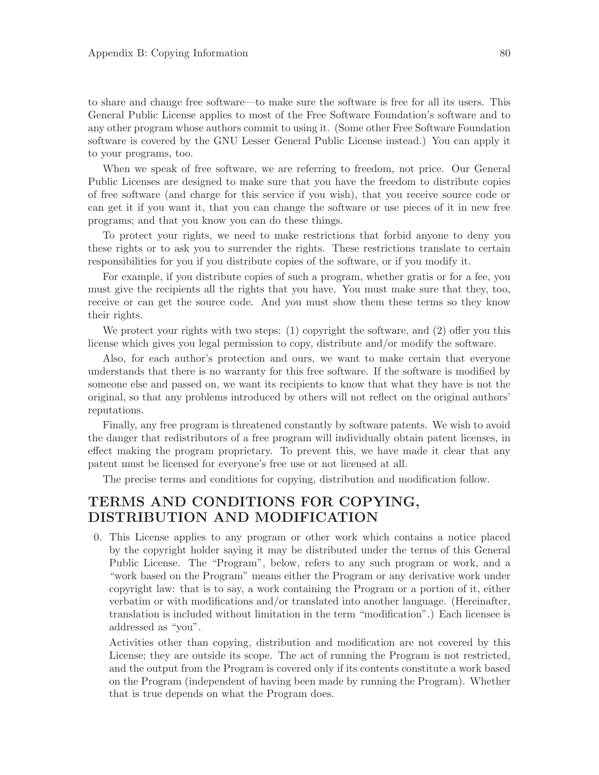to share and change free software—to make sure the software is free for all its users. This General Public License applies to most of the Free Software Foundation's software and to any other program whose authors commit to using it. (Some other Free Software Foundation software is covered by the GNU Lesser General Public License instead.) You can apply it to your programs, too.

When we speak of free software, we are referring to freedom, not price. Our General Public Licenses are designed to make sure that you have the freedom to distribute copies of free software (and charge for this service if you wish), that you receive source code or can get it if you want it, that you can change the software or use pieces of it in new free programs; and that you know you can do these things.

To protect your rights, we need to make restrictions that forbid anyone to deny you these rights or to ask you to surrender the rights. These restrictions translate to certain responsibilities for you if you distribute copies of the software, or if you modify it.

For example, if you distribute copies of such a program, whether gratis or for a fee, you must give the recipients all the rights that you have. You must make sure that they, too, receive or can get the source code. And you must show them these terms so they know their rights.

We protect your rights with two steps: (1) copyright the software, and (2) offer you this license which gives you legal permission to copy, distribute and/or modify the software.

Also, for each author's protection and ours, we want to make certain that everyone understands that there is no warranty for this free software. If the software is modified by someone else and passed on, we want its recipients to know that what they have is not the original, so that any problems introduced by others will not reflect on the original authors' reputations.

Finally, any free program is threatened constantly by software patents. We wish to avoid the danger that redistributors of a free program will individually obtain patent licenses, in effect making the program proprietary. To prevent this, we have made it clear that any patent must be licensed for everyone's free use or not licensed at all.

The precise terms and conditions for copying, distribution and modification follow.

### TERMS AND CONDITIONS FOR COPYING, DISTRIBUTION AND MODIFICATION

0. This License applies to any program or other work which contains a notice placed by the copyright holder saying it may be distributed under the terms of this General Public License. The "Program", below, refers to any such program or work, and a "work based on the Program" means either the Program or any derivative work under copyright law: that is to say, a work containing the Program or a portion of it, either verbatim or with modifications and/or translated into another language. (Hereinafter, translation is included without limitation in the term "modification".) Each licensee is addressed as "you".

Activities other than copying, distribution and modification are not covered by this License; they are outside its scope. The act of running the Program is not restricted, and the output from the Program is covered only if its contents constitute a work based on the Program (independent of having been made by running the Program). Whether that is true depends on what the Program does.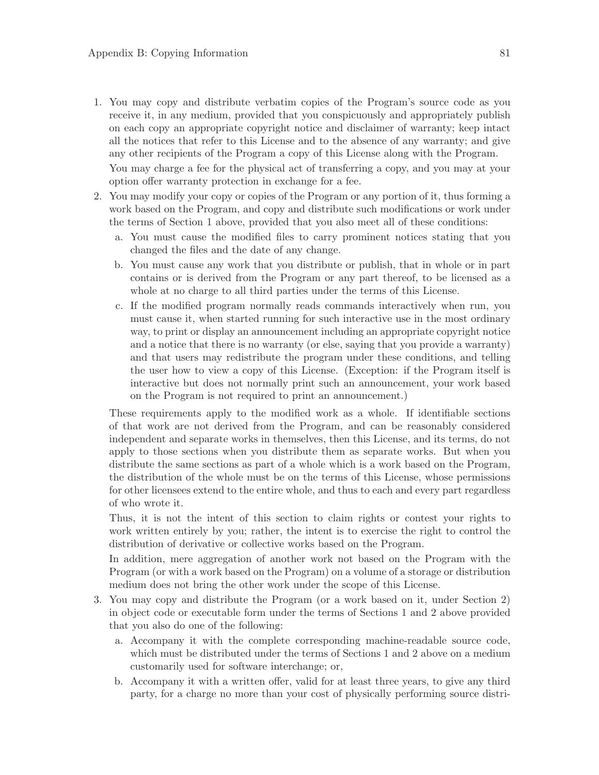1. You may copy and distribute verbatim copies of the Program's source code as you receive it, in any medium, provided that you conspicuously and appropriately publish on each copy an appropriate copyright notice and disclaimer of warranty; keep intact all the notices that refer to this License and to the absence of any warranty; and give any other recipients of the Program a copy of this License along with the Program. You may charge a fee for the physical act of transferring a copy, and you may at your

option offer warranty protection in exchange for a fee.

- 2. You may modify your copy or copies of the Program or any portion of it, thus forming a work based on the Program, and copy and distribute such modifications or work under the terms of Section 1 above, provided that you also meet all of these conditions:
	- a. You must cause the modified files to carry prominent notices stating that you changed the files and the date of any change.
	- b. You must cause any work that you distribute or publish, that in whole or in part contains or is derived from the Program or any part thereof, to be licensed as a whole at no charge to all third parties under the terms of this License.
	- c. If the modified program normally reads commands interactively when run, you must cause it, when started running for such interactive use in the most ordinary way, to print or display an announcement including an appropriate copyright notice and a notice that there is no warranty (or else, saying that you provide a warranty) and that users may redistribute the program under these conditions, and telling the user how to view a copy of this License. (Exception: if the Program itself is interactive but does not normally print such an announcement, your work based on the Program is not required to print an announcement.)

These requirements apply to the modified work as a whole. If identifiable sections of that work are not derived from the Program, and can be reasonably considered independent and separate works in themselves, then this License, and its terms, do not apply to those sections when you distribute them as separate works. But when you distribute the same sections as part of a whole which is a work based on the Program, the distribution of the whole must be on the terms of this License, whose permissions for other licensees extend to the entire whole, and thus to each and every part regardless of who wrote it.

Thus, it is not the intent of this section to claim rights or contest your rights to work written entirely by you; rather, the intent is to exercise the right to control the distribution of derivative or collective works based on the Program.

In addition, mere aggregation of another work not based on the Program with the Program (or with a work based on the Program) on a volume of a storage or distribution medium does not bring the other work under the scope of this License.

- 3. You may copy and distribute the Program (or a work based on it, under Section 2) in object code or executable form under the terms of Sections 1 and 2 above provided that you also do one of the following:
	- a. Accompany it with the complete corresponding machine-readable source code, which must be distributed under the terms of Sections 1 and 2 above on a medium customarily used for software interchange; or,
	- b. Accompany it with a written offer, valid for at least three years, to give any third party, for a charge no more than your cost of physically performing source distri-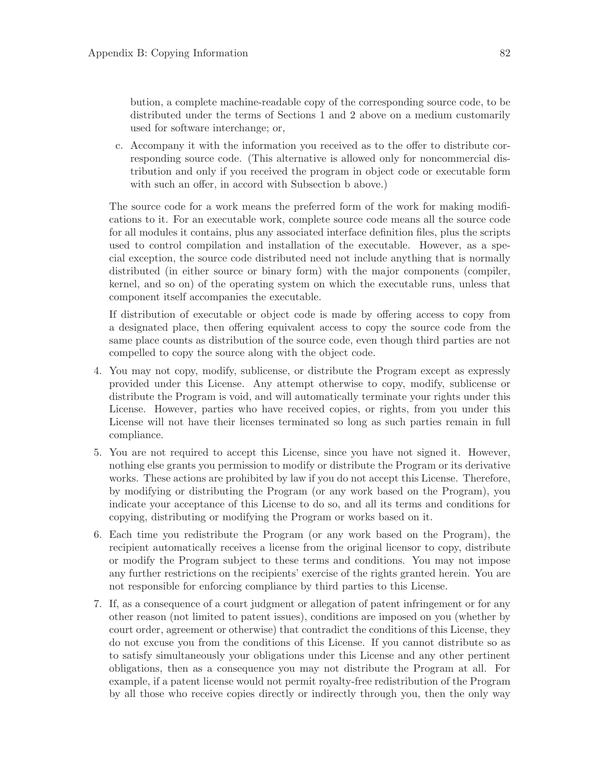bution, a complete machine-readable copy of the corresponding source code, to be distributed under the terms of Sections 1 and 2 above on a medium customarily used for software interchange; or,

c. Accompany it with the information you received as to the offer to distribute corresponding source code. (This alternative is allowed only for noncommercial distribution and only if you received the program in object code or executable form with such an offer, in accord with Subsection b above.)

The source code for a work means the preferred form of the work for making modifications to it. For an executable work, complete source code means all the source code for all modules it contains, plus any associated interface definition files, plus the scripts used to control compilation and installation of the executable. However, as a special exception, the source code distributed need not include anything that is normally distributed (in either source or binary form) with the major components (compiler, kernel, and so on) of the operating system on which the executable runs, unless that component itself accompanies the executable.

If distribution of executable or object code is made by offering access to copy from a designated place, then offering equivalent access to copy the source code from the same place counts as distribution of the source code, even though third parties are not compelled to copy the source along with the object code.

- 4. You may not copy, modify, sublicense, or distribute the Program except as expressly provided under this License. Any attempt otherwise to copy, modify, sublicense or distribute the Program is void, and will automatically terminate your rights under this License. However, parties who have received copies, or rights, from you under this License will not have their licenses terminated so long as such parties remain in full compliance.
- 5. You are not required to accept this License, since you have not signed it. However, nothing else grants you permission to modify or distribute the Program or its derivative works. These actions are prohibited by law if you do not accept this License. Therefore, by modifying or distributing the Program (or any work based on the Program), you indicate your acceptance of this License to do so, and all its terms and conditions for copying, distributing or modifying the Program or works based on it.
- 6. Each time you redistribute the Program (or any work based on the Program), the recipient automatically receives a license from the original licensor to copy, distribute or modify the Program subject to these terms and conditions. You may not impose any further restrictions on the recipients' exercise of the rights granted herein. You are not responsible for enforcing compliance by third parties to this License.
- 7. If, as a consequence of a court judgment or allegation of patent infringement or for any other reason (not limited to patent issues), conditions are imposed on you (whether by court order, agreement or otherwise) that contradict the conditions of this License, they do not excuse you from the conditions of this License. If you cannot distribute so as to satisfy simultaneously your obligations under this License and any other pertinent obligations, then as a consequence you may not distribute the Program at all. For example, if a patent license would not permit royalty-free redistribution of the Program by all those who receive copies directly or indirectly through you, then the only way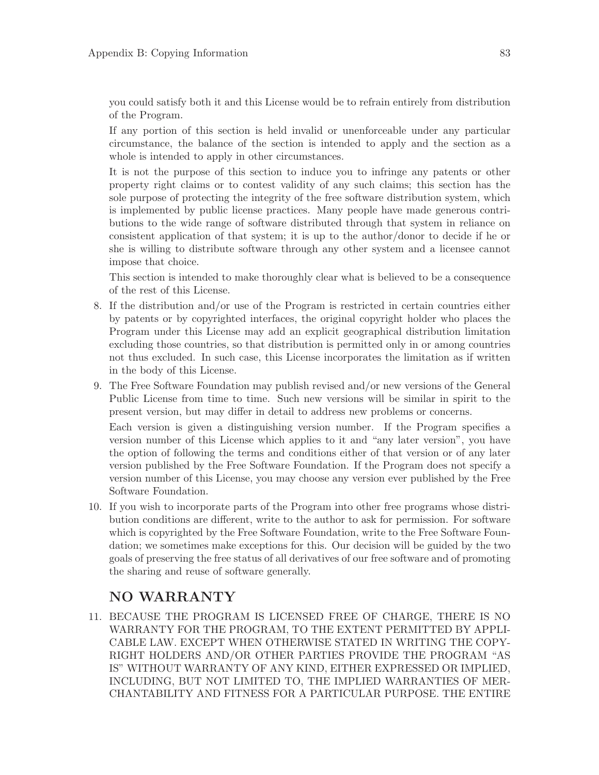you could satisfy both it and this License would be to refrain entirely from distribution of the Program.

If any portion of this section is held invalid or unenforceable under any particular circumstance, the balance of the section is intended to apply and the section as a whole is intended to apply in other circumstances.

It is not the purpose of this section to induce you to infringe any patents or other property right claims or to contest validity of any such claims; this section has the sole purpose of protecting the integrity of the free software distribution system, which is implemented by public license practices. Many people have made generous contributions to the wide range of software distributed through that system in reliance on consistent application of that system; it is up to the author/donor to decide if he or she is willing to distribute software through any other system and a licensee cannot impose that choice.

This section is intended to make thoroughly clear what is believed to be a consequence of the rest of this License.

- 8. If the distribution and/or use of the Program is restricted in certain countries either by patents or by copyrighted interfaces, the original copyright holder who places the Program under this License may add an explicit geographical distribution limitation excluding those countries, so that distribution is permitted only in or among countries not thus excluded. In such case, this License incorporates the limitation as if written in the body of this License.
- 9. The Free Software Foundation may publish revised and/or new versions of the General Public License from time to time. Such new versions will be similar in spirit to the present version, but may differ in detail to address new problems or concerns.

Each version is given a distinguishing version number. If the Program specifies a version number of this License which applies to it and "any later version", you have the option of following the terms and conditions either of that version or of any later version published by the Free Software Foundation. If the Program does not specify a version number of this License, you may choose any version ever published by the Free Software Foundation.

10. If you wish to incorporate parts of the Program into other free programs whose distribution conditions are different, write to the author to ask for permission. For software which is copyrighted by the Free Software Foundation, write to the Free Software Foundation; we sometimes make exceptions for this. Our decision will be guided by the two goals of preserving the free status of all derivatives of our free software and of promoting the sharing and reuse of software generally.

### NO WARRANTY

11. BECAUSE THE PROGRAM IS LICENSED FREE OF CHARGE, THERE IS NO WARRANTY FOR THE PROGRAM, TO THE EXTENT PERMITTED BY APPLI-CABLE LAW. EXCEPT WHEN OTHERWISE STATED IN WRITING THE COPY-RIGHT HOLDERS AND/OR OTHER PARTIES PROVIDE THE PROGRAM "AS IS" WITHOUT WARRANTY OF ANY KIND, EITHER EXPRESSED OR IMPLIED, INCLUDING, BUT NOT LIMITED TO, THE IMPLIED WARRANTIES OF MER-CHANTABILITY AND FITNESS FOR A PARTICULAR PURPOSE. THE ENTIRE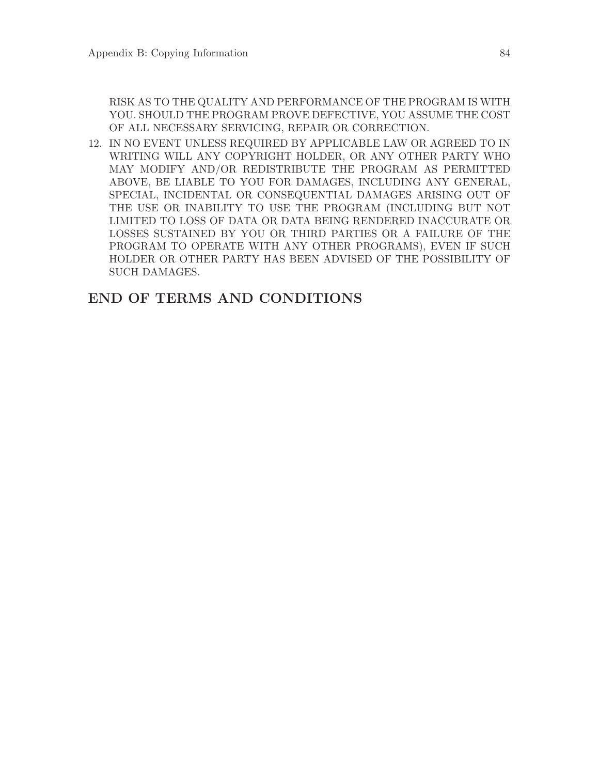RISK AS TO THE QUALITY AND PERFORMANCE OF THE PROGRAM IS WITH YOU. SHOULD THE PROGRAM PROVE DEFECTIVE, YOU ASSUME THE COST OF ALL NECESSARY SERVICING, REPAIR OR CORRECTION.

12. IN NO EVENT UNLESS REQUIRED BY APPLICABLE LAW OR AGREED TO IN WRITING WILL ANY COPYRIGHT HOLDER, OR ANY OTHER PARTY WHO MAY MODIFY AND/OR REDISTRIBUTE THE PROGRAM AS PERMITTED ABOVE, BE LIABLE TO YOU FOR DAMAGES, INCLUDING ANY GENERAL, SPECIAL, INCIDENTAL OR CONSEQUENTIAL DAMAGES ARISING OUT OF THE USE OR INABILITY TO USE THE PROGRAM (INCLUDING BUT NOT LIMITED TO LOSS OF DATA OR DATA BEING RENDERED INACCURATE OR LOSSES SUSTAINED BY YOU OR THIRD PARTIES OR A FAILURE OF THE PROGRAM TO OPERATE WITH ANY OTHER PROGRAMS), EVEN IF SUCH HOLDER OR OTHER PARTY HAS BEEN ADVISED OF THE POSSIBILITY OF SUCH DAMAGES.

### END OF TERMS AND CONDITIONS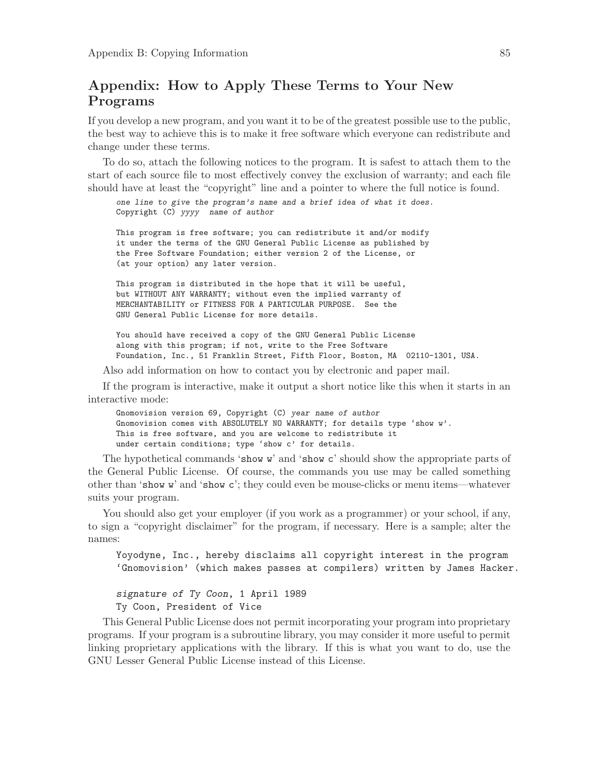### Appendix: How to Apply These Terms to Your New Programs

If you develop a new program, and you want it to be of the greatest possible use to the public, the best way to achieve this is to make it free software which everyone can redistribute and change under these terms.

To do so, attach the following notices to the program. It is safest to attach them to the start of each source file to most effectively convey the exclusion of warranty; and each file should have at least the "copyright" line and a pointer to where the full notice is found.

one line to give the program's name and a brief idea of what it does. Copyright (C) yyyy name of author

This program is free software; you can redistribute it and/or modify it under the terms of the GNU General Public License as published by the Free Software Foundation; either version 2 of the License, or (at your option) any later version.

This program is distributed in the hope that it will be useful, but WITHOUT ANY WARRANTY; without even the implied warranty of MERCHANTABILITY or FITNESS FOR A PARTICULAR PURPOSE. See the GNU General Public License for more details.

You should have received a copy of the GNU General Public License along with this program; if not, write to the Free Software Foundation, Inc., 51 Franklin Street, Fifth Floor, Boston, MA 02110-1301, USA.

Also add information on how to contact you by electronic and paper mail.

If the program is interactive, make it output a short notice like this when it starts in an interactive mode:

Gnomovision version 69, Copyright (C) year name of author Gnomovision comes with ABSOLUTELY NO WARRANTY; for details type 'show w'. This is free software, and you are welcome to redistribute it under certain conditions; type 'show c' for details.

The hypothetical commands 'show w' and 'show c' should show the appropriate parts of the General Public License. Of course, the commands you use may be called something other than 'show w' and 'show c'; they could even be mouse-clicks or menu items—whatever suits your program.

You should also get your employer (if you work as a programmer) or your school, if any, to sign a "copyright disclaimer" for the program, if necessary. Here is a sample; alter the names:

Yoyodyne, Inc., hereby disclaims all copyright interest in the program 'Gnomovision' (which makes passes at compilers) written by James Hacker.

signature of Ty Coon, 1 April 1989 Ty Coon, President of Vice

This General Public License does not permit incorporating your program into proprietary programs. If your program is a subroutine library, you may consider it more useful to permit linking proprietary applications with the library. If this is what you want to do, use the GNU Lesser General Public License instead of this License.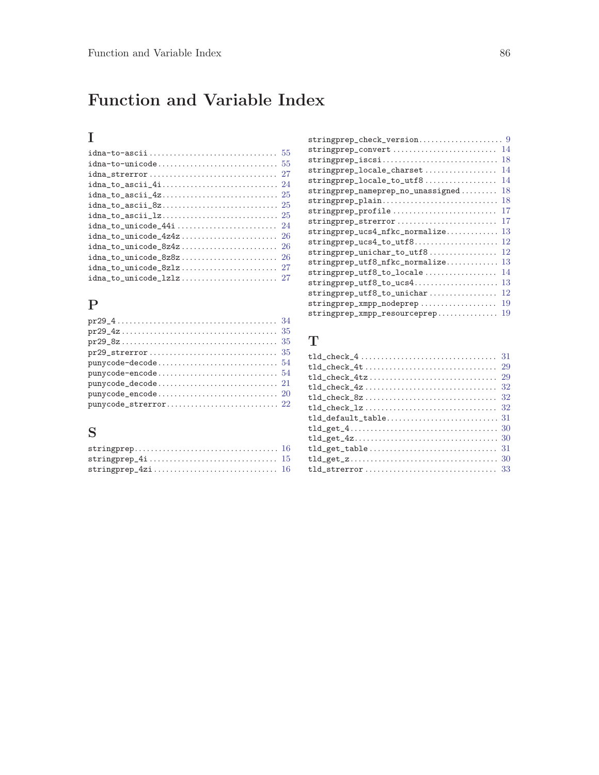# Function and Variable Index

### I

### P

| $punycode-encode \ldots \ldots \ldots \ldots \ldots \ldots \ldots 54$                                                    |  |
|--------------------------------------------------------------------------------------------------------------------------|--|
| $punycode\_decode \dots \dots \dots \dots \dots \dots \dots \dots \dots \dots \dots \dots \dots \dots \dots \dots \dots$ |  |
| $punycode_encode \ldots \ldots \ldots \ldots \ldots 20$                                                                  |  |
|                                                                                                                          |  |

### S

| $\texttt{stringprep\_check\_version} \dots \dots \dots \dots \dots \dots \ 9$ |
|-------------------------------------------------------------------------------|
| 14<br>stringprep_convert                                                      |
| 18<br>stringprep_iscsi                                                        |
| 14<br>stringprep_locale_charset                                               |
| 14<br>stringprep_locale_to_utf8                                               |
| 18<br>stringprep_nameprep_no_unassigned                                       |
| 18<br>stringprep_plain                                                        |
| 17<br>stringprep_profile                                                      |
| 17<br>stringprep_strerror                                                     |
| 13<br>stringprep_ucs4_nfkc_normalize                                          |
| 12<br>stringprep_ucs4_to_utf8                                                 |
| 12<br>stringprep_unichar_to_utf8                                              |
| 13<br>stringprep_utf8_nfkc_normalize                                          |
| stringprep_utf8_to_locale<br>14                                               |
| 13<br>stringprep_utf8_to_ucs4                                                 |
| 12<br>stringprep_utf8_to_unichar                                              |
| 19<br>stringprep_xmpp_nodeprep                                                |
| 19<br>stringprep_xmpp_resourceprep                                            |
|                                                                               |

### T